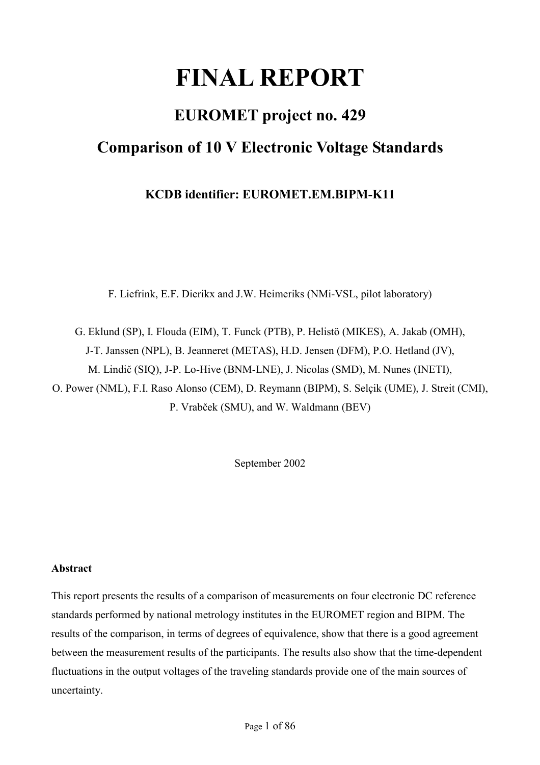# **FINAL REPORT**

# **EUROMET project no. 429 Comparison of 10 V Electronic Voltage Standards**

**KCDB identifier: EUROMET.EM.BIPM-K11** 

F. Liefrink, E.F. Dierikx and J.W. Heimeriks (NMi-VSL, pilot laboratory)

G. Eklund (SP), I. Flouda (EIM), T. Funck (PTB), P. Helistö (MIKES), A. Jakab (OMH), J-T. Janssen (NPL), B. Jeanneret (METAS), H.D. Jensen (DFM), P.O. Hetland (JV), M. Lindič (SIQ), J-P. Lo-Hive (BNM-LNE), J. Nicolas (SMD), M. Nunes (INETI), O. Power (NML), F.I. Raso Alonso (CEM), D. Reymann (BIPM), S. Selçik (UME), J. Streit (CMI), P. Vrabček (SMU), and W. Waldmann (BEV)

September 2002

# **Abstract**

This report presents the results of a comparison of measurements on four electronic DC reference standards performed by national metrology institutes in the EUROMET region and BIPM. The results of the comparison, in terms of degrees of equivalence, show that there is a good agreement between the measurement results of the participants. The results also show that the time-dependent fluctuations in the output voltages of the traveling standards provide one of the main sources of uncertainty.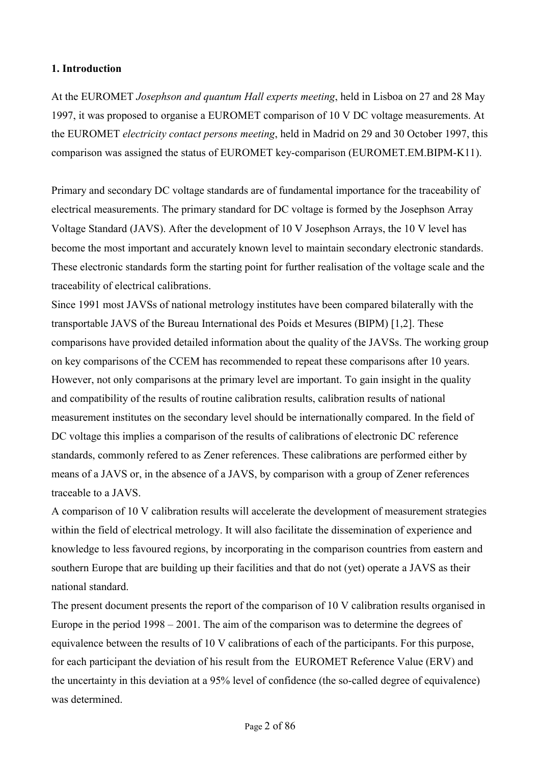## **1. Introduction**

At the EUROMET *Josephson and quantum Hall experts meeting*, held in Lisboa on 27 and 28 May 1997, it was proposed to organise a EUROMET comparison of 10 V DC voltage measurements. At the EUROMET *electricity contact persons meeting*, held in Madrid on 29 and 30 October 1997, this comparison was assigned the status of EUROMET key-comparison (EUROMET.EM.BIPM-K11).

Primary and secondary DC voltage standards are of fundamental importance for the traceability of electrical measurements. The primary standard for DC voltage is formed by the Josephson Array Voltage Standard (JAVS). After the development of 10 V Josephson Arrays, the 10 V level has become the most important and accurately known level to maintain secondary electronic standards. These electronic standards form the starting point for further realisation of the voltage scale and the traceability of electrical calibrations.

Since 1991 most JAVSs of national metrology institutes have been compared bilaterally with the transportable JAVS of the Bureau International des Poids et Mesures (BIPM) [1,2]. These comparisons have provided detailed information about the quality of the JAVSs. The working group on key comparisons of the CCEM has recommended to repeat these comparisons after 10 years. However, not only comparisons at the primary level are important. To gain insight in the quality and compatibility of the results of routine calibration results, calibration results of national measurement institutes on the secondary level should be internationally compared. In the field of DC voltage this implies a comparison of the results of calibrations of electronic DC reference standards, commonly refered to as Zener references. These calibrations are performed either by means of a JAVS or, in the absence of a JAVS, by comparison with a group of Zener references traceable to a JAVS.

A comparison of 10 V calibration results will accelerate the development of measurement strategies within the field of electrical metrology. It will also facilitate the dissemination of experience and knowledge to less favoured regions, by incorporating in the comparison countries from eastern and southern Europe that are building up their facilities and that do not (yet) operate a JAVS as their national standard.

The present document presents the report of the comparison of 10 V calibration results organised in Europe in the period 1998 – 2001. The aim of the comparison was to determine the degrees of equivalence between the results of 10 V calibrations of each of the participants. For this purpose, for each participant the deviation of his result from the EUROMET Reference Value (ERV) and the uncertainty in this deviation at a 95% level of confidence (the so-called degree of equivalence) was determined.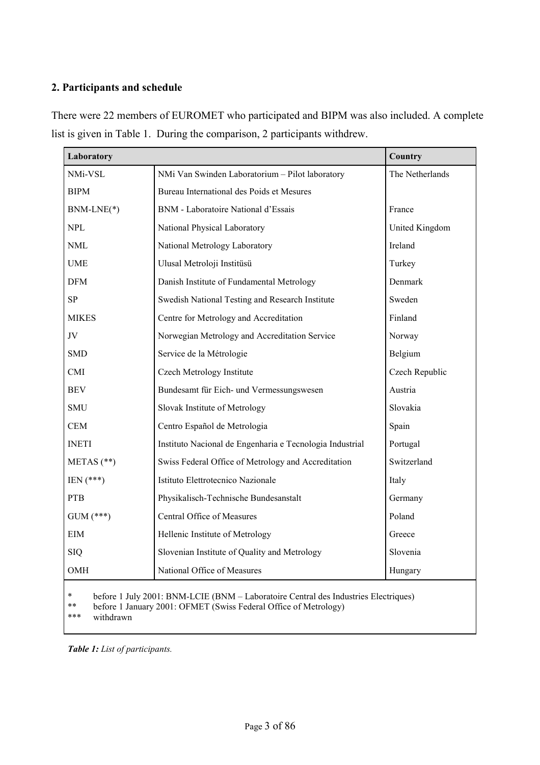# **2. Participants and schedule**

There were 22 members of EUROMET who participated and BIPM was also included. A complete list is given in Table 1. During the comparison, 2 participants withdrew.

| Laboratory                                                                                                                                                                                  | <b>Country</b>                                           |                 |  |  |  |
|---------------------------------------------------------------------------------------------------------------------------------------------------------------------------------------------|----------------------------------------------------------|-----------------|--|--|--|
| NMi-VSL                                                                                                                                                                                     | NMi Van Swinden Laboratorium - Pilot laboratory          | The Netherlands |  |  |  |
| <b>BIPM</b>                                                                                                                                                                                 | Bureau International des Poids et Mesures                |                 |  |  |  |
| BNM-LNE(*)                                                                                                                                                                                  | BNM - Laboratoire National d'Essais                      | France          |  |  |  |
| <b>NPL</b>                                                                                                                                                                                  | National Physical Laboratory                             | United Kingdom  |  |  |  |
| <b>NML</b>                                                                                                                                                                                  | National Metrology Laboratory                            | Ireland         |  |  |  |
| <b>UME</b>                                                                                                                                                                                  | Ulusal Metroloji Institüsü                               | Turkey          |  |  |  |
| <b>DFM</b>                                                                                                                                                                                  | Danish Institute of Fundamental Metrology                | Denmark         |  |  |  |
| SP                                                                                                                                                                                          | Swedish National Testing and Research Institute          | Sweden          |  |  |  |
| <b>MIKES</b>                                                                                                                                                                                | Centre for Metrology and Accreditation                   | Finland         |  |  |  |
| JV                                                                                                                                                                                          | Norwegian Metrology and Accreditation Service            | Norway          |  |  |  |
| <b>SMD</b>                                                                                                                                                                                  | Service de la Métrologie                                 | Belgium         |  |  |  |
| <b>CMI</b>                                                                                                                                                                                  | Czech Metrology Institute                                | Czech Republic  |  |  |  |
| <b>BEV</b>                                                                                                                                                                                  | Bundesamt für Eich- und Vermessungswesen                 | Austria         |  |  |  |
| <b>SMU</b>                                                                                                                                                                                  | Slovak Institute of Metrology                            | Slovakia        |  |  |  |
| <b>CEM</b>                                                                                                                                                                                  | Centro Español de Metrologia                             | Spain           |  |  |  |
| <b>INETI</b>                                                                                                                                                                                | Instituto Nacional de Engenharia e Tecnologia Industrial | Portugal        |  |  |  |
| METAS $(**)$                                                                                                                                                                                | Swiss Federal Office of Metrology and Accreditation      | Switzerland     |  |  |  |
| $IEN (***)$                                                                                                                                                                                 | Istituto Elettrotecnico Nazionale                        | Italy           |  |  |  |
| <b>PTB</b>                                                                                                                                                                                  | Physikalisch-Technische Bundesanstalt                    | Germany         |  |  |  |
| $GUM$ (***)                                                                                                                                                                                 | Central Office of Measures                               | Poland          |  |  |  |
| EIM                                                                                                                                                                                         | Hellenic Institute of Metrology                          | Greece          |  |  |  |
| <b>SIQ</b>                                                                                                                                                                                  | Slovenian Institute of Quality and Metrology             | Slovenia        |  |  |  |
| OMH                                                                                                                                                                                         | National Office of Measures                              | Hungary         |  |  |  |
| $\ast$<br>before 1 July 2001: BNM-LCIE (BNM – Laboratoire Central des Industries Electriques)<br>**<br>before 1 January 2001: OFMET (Swiss Federal Office of Metrology)<br>***<br>withdrawn |                                                          |                 |  |  |  |

*Table 1: List of participants.*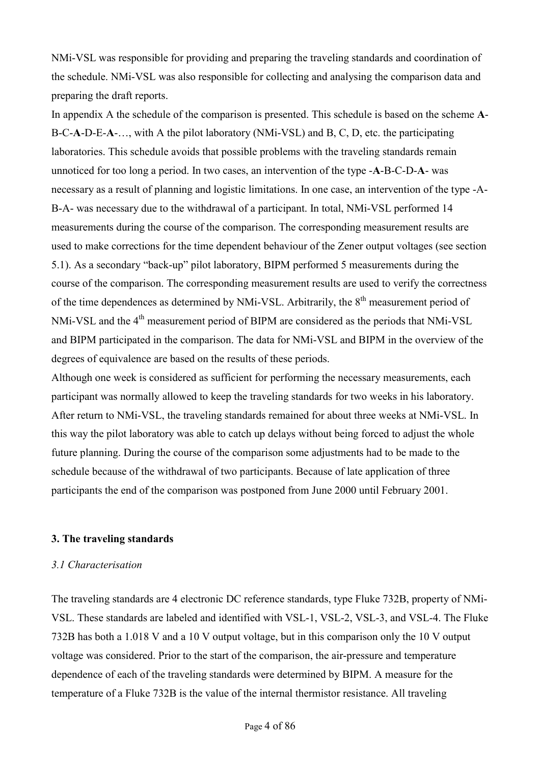NMi-VSL was responsible for providing and preparing the traveling standards and coordination of the schedule. NMi-VSL was also responsible for collecting and analysing the comparison data and preparing the draft reports.

In appendix A the schedule of the comparison is presented. This schedule is based on the scheme **A**-B-C-**A**-D-E-**A**-…, with A the pilot laboratory (NMi-VSL) and B, C, D, etc. the participating laboratories. This schedule avoids that possible problems with the traveling standards remain unnoticed for too long a period. In two cases, an intervention of the type -**A**-B-C-D-**A**- was necessary as a result of planning and logistic limitations. In one case, an intervention of the type -A-B-A- was necessary due to the withdrawal of a participant. In total, NMi-VSL performed 14 measurements during the course of the comparison. The corresponding measurement results are used to make corrections for the time dependent behaviour of the Zener output voltages (see section 5.1). As a secondary "back-up" pilot laboratory, BIPM performed 5 measurements during the course of the comparison. The corresponding measurement results are used to verify the correctness of the time dependences as determined by NMi-VSL. Arbitrarily, the 8<sup>th</sup> measurement period of NMi-VSL and the 4<sup>th</sup> measurement period of BIPM are considered as the periods that NMi-VSL and BIPM participated in the comparison. The data for NMi-VSL and BIPM in the overview of the degrees of equivalence are based on the results of these periods.

Although one week is considered as sufficient for performing the necessary measurements, each participant was normally allowed to keep the traveling standards for two weeks in his laboratory. After return to NMi-VSL, the traveling standards remained for about three weeks at NMi-VSL. In this way the pilot laboratory was able to catch up delays without being forced to adjust the whole future planning. During the course of the comparison some adjustments had to be made to the schedule because of the withdrawal of two participants. Because of late application of three participants the end of the comparison was postponed from June 2000 until February 2001.

#### **3. The traveling standards**

#### *3.1 Characterisation*

The traveling standards are 4 electronic DC reference standards, type Fluke 732B, property of NMi-VSL. These standards are labeled and identified with VSL-1, VSL-2, VSL-3, and VSL-4. The Fluke 732B has both a 1.018 V and a 10 V output voltage, but in this comparison only the 10 V output voltage was considered. Prior to the start of the comparison, the air-pressure and temperature dependence of each of the traveling standards were determined by BIPM. A measure for the temperature of a Fluke 732B is the value of the internal thermistor resistance. All traveling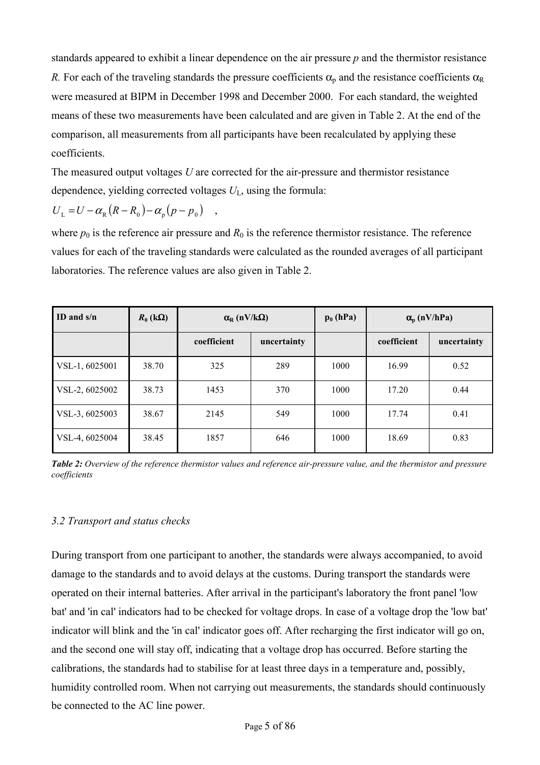standards appeared to exhibit a linear dependence on the air pressure *p* and the thermistor resistance *R.* For each of the traveling standards the pressure coefficients  $\alpha_p$  and the resistance coefficients  $\alpha_R$ were measured at BIPM in December 1998 and December 2000. For each standard, the weighted means of these two measurements have been calculated and are given in Table 2. At the end of the comparison, all measurements from all participants have been recalculated by applying these coefficients.

The measured output voltages *U* are corrected for the air-pressure and thermistor resistance dependence, yielding corrected voltages  $U_L$ , using the formula:

$$
U_{\rm L} = U - \alpha_{\rm R} (R - R_0) - \alpha_{\rm p} (p - p_0) \quad ,
$$

where  $p_0$  is the reference air pressure and  $R_0$  is the reference thermistor resistance. The reference values for each of the traveling standards were calculated as the rounded averages of all participant laboratories. The reference values are also given in Table 2.

| ID and $s/n$   | $R_0$ (k $\Omega$ ) | $\alpha_{\rm R}$ (nV/k $\Omega$ ) |             | $p_0$ (hPa) |             | $\alpha_p$ (nV/hPa) |
|----------------|---------------------|-----------------------------------|-------------|-------------|-------------|---------------------|
|                |                     | coefficient                       | uncertainty |             | coefficient | uncertainty         |
| VSL-1, 6025001 | 38.70               | 325                               | 289         | 1000        | 16.99       | 0.52                |
| VSL-2, 6025002 | 38.73               | 1453                              | 370         | 1000        | 17.20       | 0.44                |
| VSL-3, 6025003 | 38.67               | 2145                              | 549         | 1000        | 17.74       | 0.41                |
| VSL-4, 6025004 | 38.45               | 1857                              | 646         | 1000        | 18.69       | 0.83                |

*Table 2: Overview of the reference thermistor values and reference air-pressure value, and the thermistor and pressure coefficients* 

# *3.2 Transport and status checks*

During transport from one participant to another, the standards were always accompanied, to avoid damage to the standards and to avoid delays at the customs. During transport the standards were operated on their internal batteries. After arrival in the participant's laboratory the front panel 'low bat' and 'in cal' indicators had to be checked for voltage drops. In case of a voltage drop the 'low bat' indicator will blink and the 'in cal' indicator goes off. After recharging the first indicator will go on, and the second one will stay off, indicating that a voltage drop has occurred. Before starting the calibrations, the standards had to stabilise for at least three days in a temperature and, possibly, humidity controlled room. When not carrying out measurements, the standards should continuously be connected to the AC line power.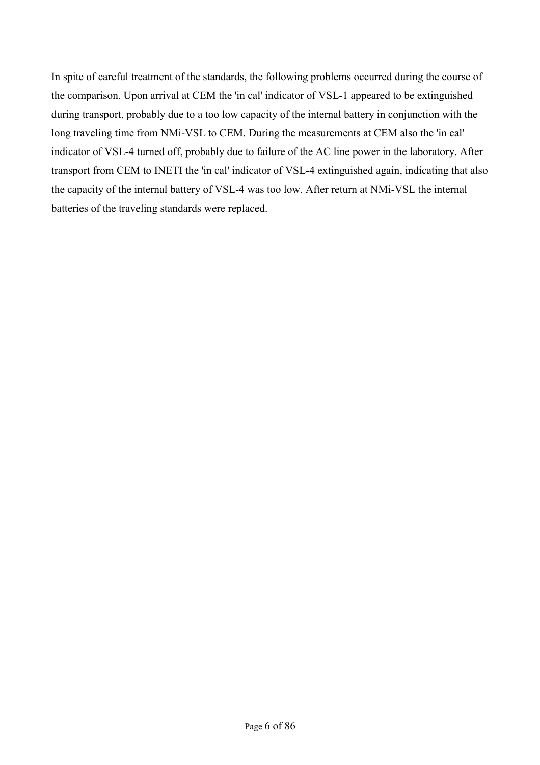In spite of careful treatment of the standards, the following problems occurred during the course of the comparison. Upon arrival at CEM the 'in cal' indicator of VSL-1 appeared to be extinguished during transport, probably due to a too low capacity of the internal battery in conjunction with the long traveling time from NMi-VSL to CEM. During the measurements at CEM also the 'in cal' indicator of VSL-4 turned off, probably due to failure of the AC line power in the laboratory. After transport from CEM to INETI the 'in cal' indicator of VSL-4 extinguished again, indicating that also the capacity of the internal battery of VSL-4 was too low. After return at NMi-VSL the internal batteries of the traveling standards were replaced.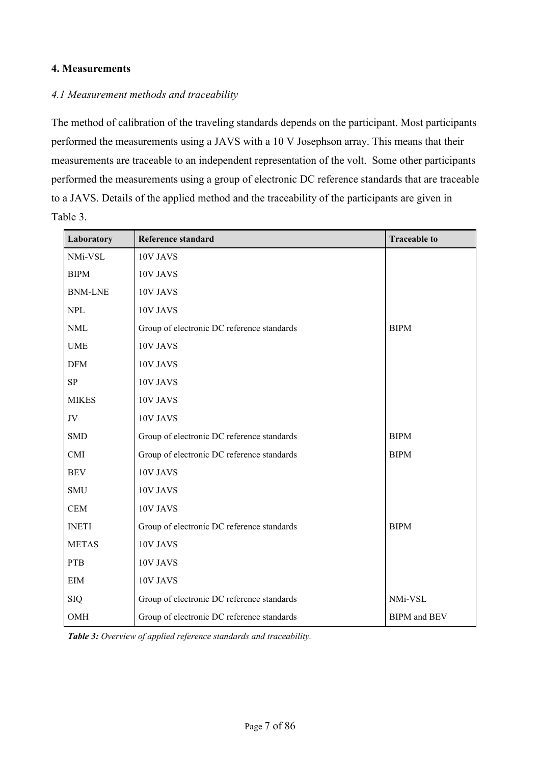# **4. Measurements**

## *4.1 Measurement methods and traceability*

The method of calibration of the traveling standards depends on the participant. Most participants performed the measurements using a JAVS with a 10 V Josephson array. This means that their measurements are traceable to an independent representation of the volt. Some other participants performed the measurements using a group of electronic DC reference standards that are traceable to a JAVS. Details of the applied method and the traceability of the participants are given in Table 3.

| Laboratory     | Reference standard                         | <b>Traceable to</b>        |
|----------------|--------------------------------------------|----------------------------|
| NMi-VSL        | 10V JAVS                                   |                            |
| <b>BIPM</b>    | 10V JAVS                                   |                            |
| <b>BNM-LNE</b> | 10V JAVS                                   |                            |
| <b>NPL</b>     | 10V JAVS                                   |                            |
| <b>NML</b>     | Group of electronic DC reference standards | <b>BIPM</b>                |
| <b>UME</b>     | 10V JAVS                                   |                            |
| <b>DFM</b>     | 10V JAVS                                   |                            |
| ${\bf SP}$     | 10V JAVS                                   |                            |
| <b>MIKES</b>   | 10V JAVS                                   |                            |
| JV             | 10V JAVS                                   |                            |
| <b>SMD</b>     | Group of electronic DC reference standards | <b>BIPM</b>                |
| <b>CMI</b>     | Group of electronic DC reference standards | <b>BIPM</b>                |
| <b>BEV</b>     | 10V JAVS                                   |                            |
| <b>SMU</b>     | 10V JAVS                                   |                            |
| <b>CEM</b>     | 10V JAVS                                   |                            |
| <b>INETI</b>   | Group of electronic DC reference standards | <b>BIPM</b>                |
| <b>METAS</b>   | 10V JAVS                                   |                            |
| <b>PTB</b>     | 10V JAVS                                   |                            |
| <b>EIM</b>     | 10V JAVS                                   |                            |
| <b>SIQ</b>     | Group of electronic DC reference standards | NMi-VSL                    |
| OMH            | Group of electronic DC reference standards | <b>BIPM</b> and <b>BEV</b> |

*Table 3: Overview of applied reference standards and traceability.*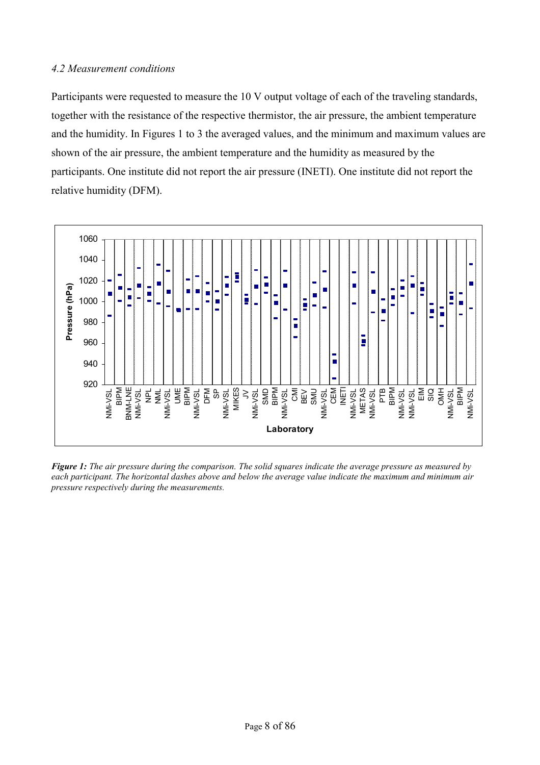## *4.2 Measurement conditions*

Participants were requested to measure the 10 V output voltage of each of the traveling standards, together with the resistance of the respective thermistor, the air pressure, the ambient temperature and the humidity. In Figures 1 to 3 the averaged values, and the minimum and maximum values are shown of the air pressure, the ambient temperature and the humidity as measured by the participants. One institute did not report the air pressure (INETI). One institute did not report the relative humidity (DFM).



*Figure 1: The air pressure during the comparison. The solid squares indicate the average pressure as measured by each participant. The horizontal dashes above and below the average value indicate the maximum and minimum air pressure respectively during the measurements.*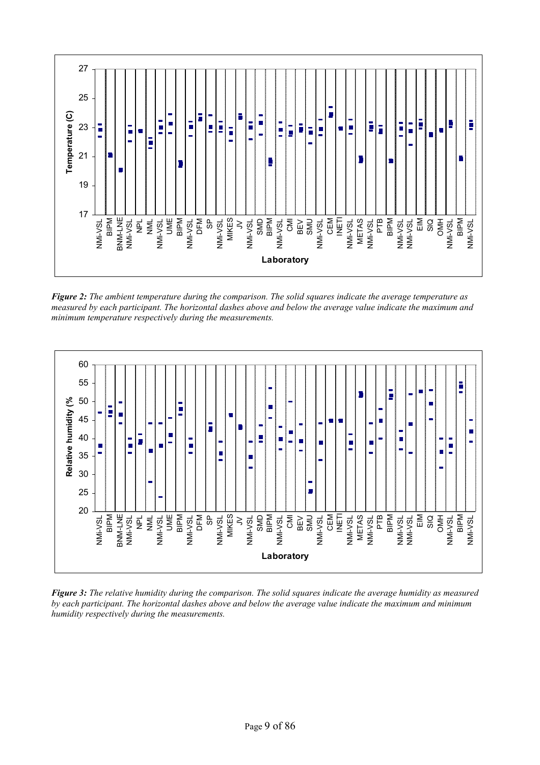

*Figure 2: The ambient temperature during the comparison. The solid squares indicate the average temperature as measured by each participant. The horizontal dashes above and below the average value indicate the maximum and minimum temperature respectively during the measurements.*



*Figure 3: The relative humidity during the comparison. The solid squares indicate the average humidity as measured by each participant. The horizontal dashes above and below the average value indicate the maximum and minimum humidity respectively during the measurements.*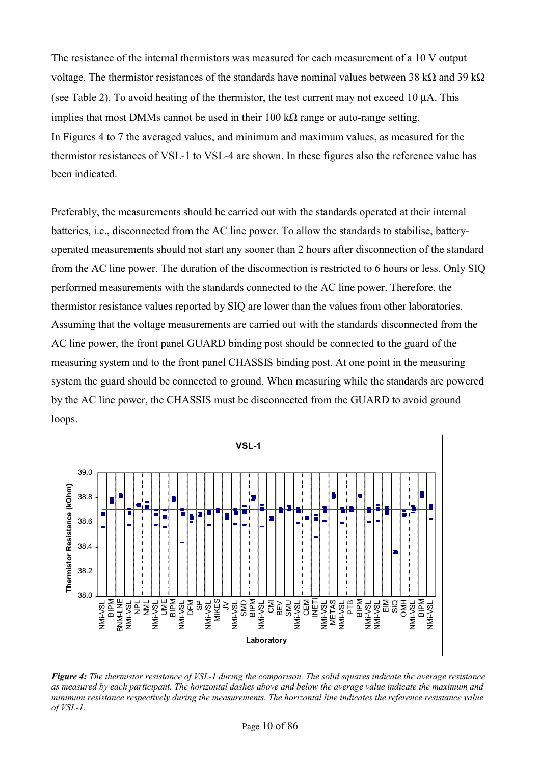The resistance of the internal thermistors was measured for each measurement of a 10 V output voltage. The thermistor resistances of the standards have nominal values between 38 kΩ and 39 kΩ (see Table 2). To avoid heating of the thermistor, the test current may not exceed 10 µA. This implies that most DMMs cannot be used in their 100 kΩ range or auto-range setting. In Figures 4 to 7 the averaged values, and minimum and maximum values, as measured for the thermistor resistances of VSL-1 to VSL-4 are shown. In these figures also the reference value has been indicated.

Preferably, the measurements should be carried out with the standards operated at their internal batteries, i.e., disconnected from the AC line power. To allow the standards to stabilise, batteryoperated measurements should not start any sooner than 2 hours after disconnection of the standard from the AC line power. The duration of the disconnection is restricted to 6 hours or less. Only SIQ performed measurements with the standards connected to the AC line power. Therefore, the thermistor resistance values reported by SIQ are lower than the values from other laboratories. Assuming that the voltage measurements are carried out with the standards disconnected from the AC line power, the front panel GUARD binding post should be connected to the guard of the measuring system and to the front panel CHASSIS binding post. At one point in the measuring system the guard should be connected to ground. When measuring while the standards are powered by the AC line power, the CHASSIS must be disconnected from the GUARD to avoid ground loops.



*Figure 4: The thermistor resistance of VSL-1 during the comparison. The solid squares indicate the average resistance as measured by each participant. The horizontal dashes above and below the average value indicate the maximum and minimum resistance respectively during the measurements. The horizontal line indicates the reference resistance value of VSL-1.*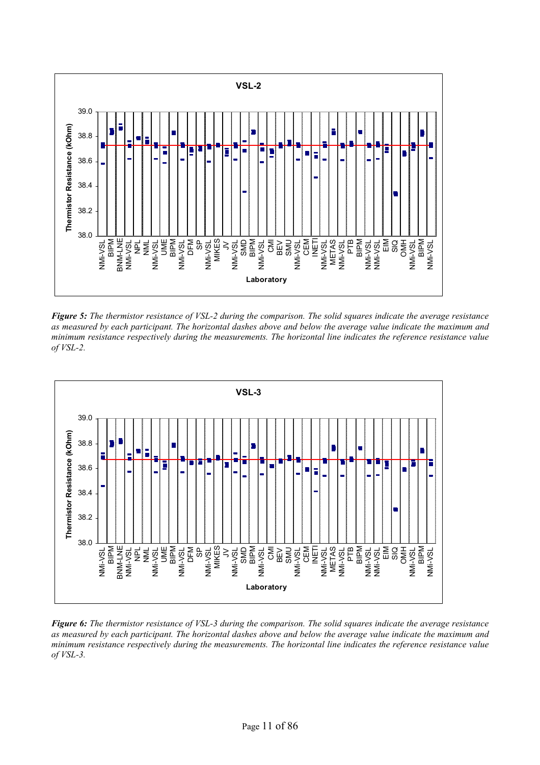

*Figure 5: The thermistor resistance of VSL-2 during the comparison. The solid squares indicate the average resistance as measured by each participant. The horizontal dashes above and below the average value indicate the maximum and minimum resistance respectively during the measurements. The horizontal line indicates the reference resistance value of VSL-2.* 



*Figure 6: The thermistor resistance of VSL-3 during the comparison. The solid squares indicate the average resistance as measured by each participant. The horizontal dashes above and below the average value indicate the maximum and minimum resistance respectively during the measurements. The horizontal line indicates the reference resistance value of VSL-3.*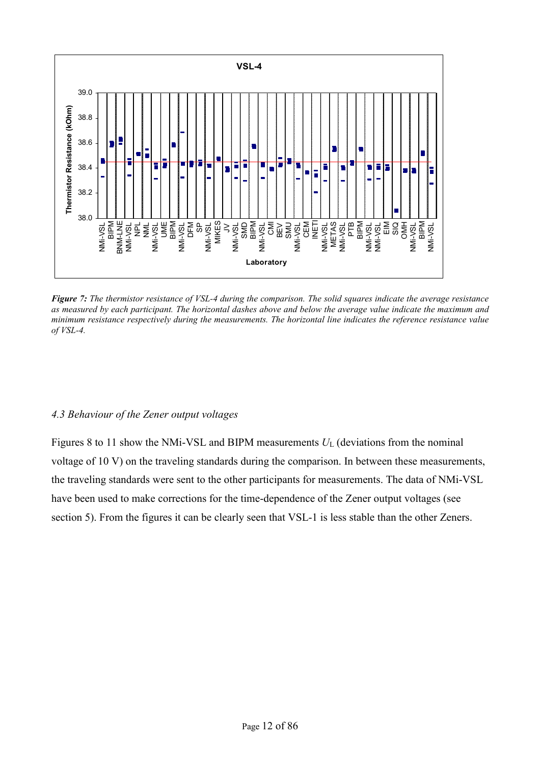

*Figure 7: The thermistor resistance of VSL-4 during the comparison. The solid squares indicate the average resistance as measured by each participant. The horizontal dashes above and below the average value indicate the maximum and minimum resistance respectively during the measurements. The horizontal line indicates the reference resistance value of VSL-4.*

#### *4.3 Behaviour of the Zener output voltages*

Figures 8 to 11 show the NMi-VSL and BIPM measurements  $U_L$  (deviations from the nominal voltage of 10 V) on the traveling standards during the comparison. In between these measurements, the traveling standards were sent to the other participants for measurements. The data of NMi-VSL have been used to make corrections for the time-dependence of the Zener output voltages (see section 5). From the figures it can be clearly seen that VSL-1 is less stable than the other Zeners.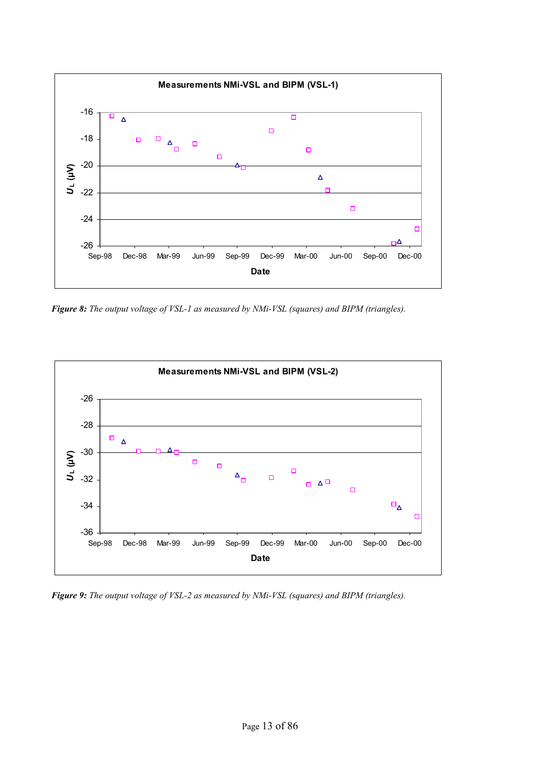

*Figure 8: The output voltage of VSL-1 as measured by NMi-VSL (squares) and BIPM (triangles).* 



*Figure 9: The output voltage of VSL-2 as measured by NMi-VSL (squares) and BIPM (triangles).*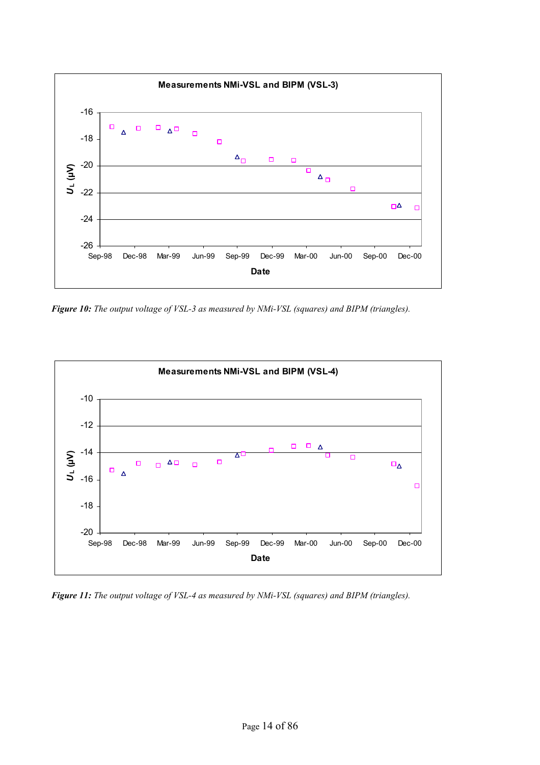

*Figure 10: The output voltage of VSL-3 as measured by NMi-VSL (squares) and BIPM (triangles).* 



*Figure 11: The output voltage of VSL-4 as measured by NMi-VSL (squares) and BIPM (triangles).*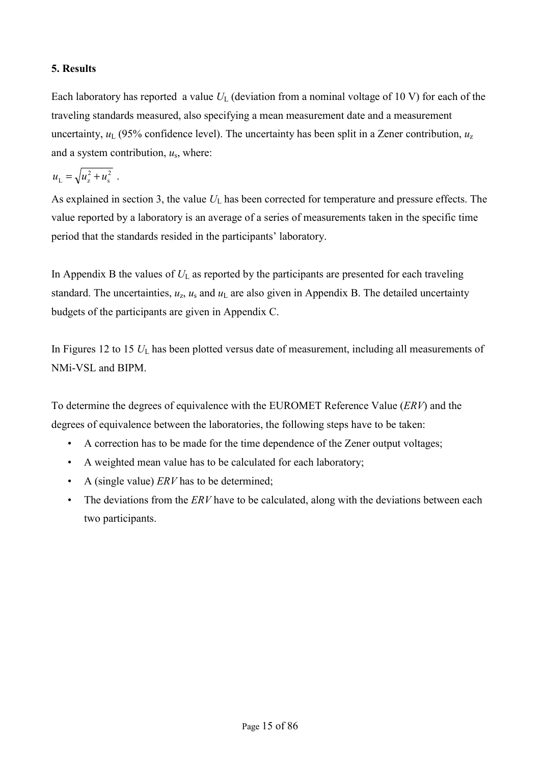# **5. Results**

Each laboratory has reported a value  $U_L$  (deviation from a nominal voltage of 10 V) for each of the traveling standards measured, also specifying a mean measurement date and a measurement uncertainty,  $u_L$  (95% confidence level). The uncertainty has been split in a Zener contribution,  $u_z$ and a system contribution, *u*s, where:

$$
u_{\rm L} = \sqrt{u_{\rm z}^2 + u_{\rm s}^2} \ .
$$

As explained in section 3, the value  $U_L$  has been corrected for temperature and pressure effects. The value reported by a laboratory is an average of a series of measurements taken in the specific time period that the standards resided in the participants' laboratory.

In Appendix B the values of  $U_L$  as reported by the participants are presented for each traveling standard. The uncertainties,  $u_z$ ,  $u_s$  and  $u_l$  are also given in Appendix B. The detailed uncertainty budgets of the participants are given in Appendix C.

In Figures 12 to 15  $U_L$  has been plotted versus date of measurement, including all measurements of NMi-VSL and BIPM.

To determine the degrees of equivalence with the EUROMET Reference Value (*ERV*) and the degrees of equivalence between the laboratories, the following steps have to be taken:

- A correction has to be made for the time dependence of the Zener output voltages;
- A weighted mean value has to be calculated for each laboratory;
- A (single value) *ERV* has to be determined;
- The deviations from the *ERV* have to be calculated, along with the deviations between each two participants.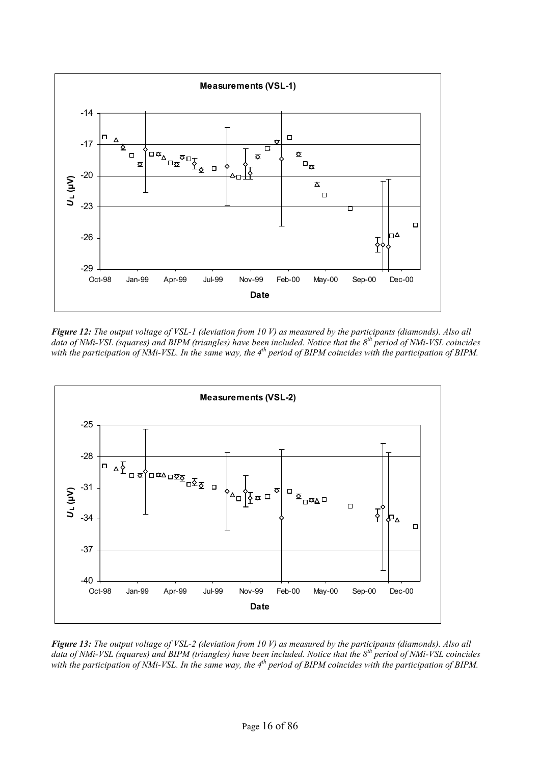

*Figure 12: The output voltage of VSL-1 (deviation from 10 V) as measured by the participants (diamonds). Also all data of NMi-VSL (squares) and BIPM (triangles) have been included. Notice that the 8th period of NMi-VSL coincides*  with the participation of NMi-VSL. In the same way, the 4<sup>th</sup> period of BIPM coincides with the participation of BIPM.



*Figure 13: The output voltage of VSL-2 (deviation from 10 V) as measured by the participants (diamonds). Also all data of NMi-VSL (squares) and BIPM (triangles) have been included. Notice that the 8th period of NMi-VSL coincides*  with the participation of NMi-VSL. In the same way, the 4<sup>th</sup> period of BIPM coincides with the participation of BIPM.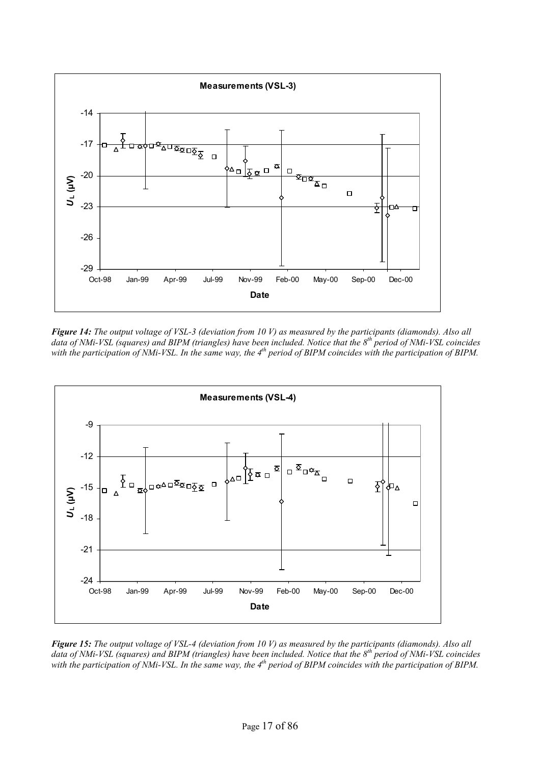

*Figure 14: The output voltage of VSL-3 (deviation from 10 V) as measured by the participants (diamonds). Also all data of NMi-VSL (squares) and BIPM (triangles) have been included. Notice that the 8th period of NMi-VSL coincides*  with the participation of NMi-VSL. In the same way, the 4<sup>th</sup> period of BIPM coincides with the participation of BIPM.



*Figure 15: The output voltage of VSL-4 (deviation from 10 V) as measured by the participants (diamonds). Also all data of NMi-VSL (squares) and BIPM (triangles) have been included. Notice that the 8th period of NMi-VSL coincides*  with the participation of NMi-VSL. In the same way, the 4<sup>th</sup> period of BIPM coincides with the participation of BIPM.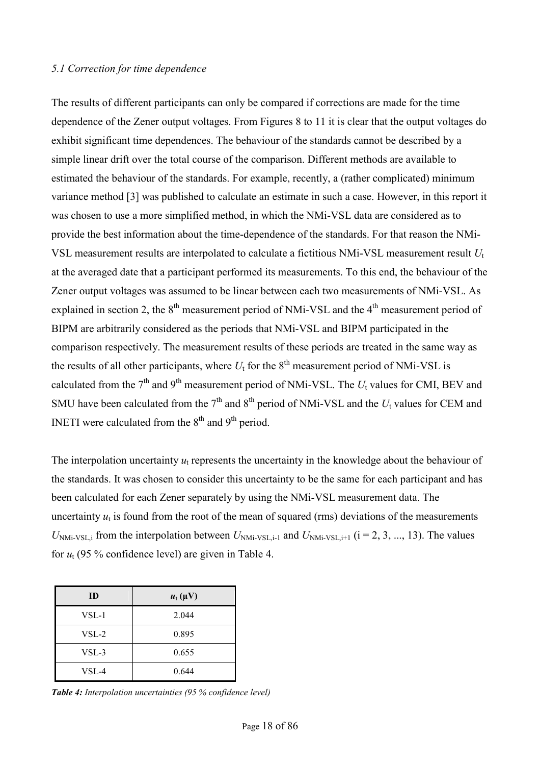#### *5.1 Correction for time dependence*

The results of different participants can only be compared if corrections are made for the time dependence of the Zener output voltages. From Figures 8 to 11 it is clear that the output voltages do exhibit significant time dependences. The behaviour of the standards cannot be described by a simple linear drift over the total course of the comparison. Different methods are available to estimated the behaviour of the standards. For example, recently, a (rather complicated) minimum variance method [3] was published to calculate an estimate in such a case. However, in this report it was chosen to use a more simplified method, in which the NMi-VSL data are considered as to provide the best information about the time-dependence of the standards. For that reason the NMi-VSL measurement results are interpolated to calculate a fictitious NMi-VSL measurement result *U*<sup>t</sup> at the averaged date that a participant performed its measurements. To this end, the behaviour of the Zener output voltages was assumed to be linear between each two measurements of NMi-VSL. As explained in section 2, the  $8<sup>th</sup>$  measurement period of NMi-VSL and the  $4<sup>th</sup>$  measurement period of BIPM are arbitrarily considered as the periods that NMi-VSL and BIPM participated in the comparison respectively. The measurement results of these periods are treated in the same way as the results of all other participants, where  $U_t$  for the  $8<sup>th</sup>$  measurement period of NMi-VSL is calculated from the  $7<sup>th</sup>$  and  $9<sup>th</sup>$  measurement period of NMi-VSL. The  $U_t$  values for CMI, BEV and SMU have been calculated from the  $7<sup>th</sup>$  and  $8<sup>th</sup>$  period of NMi-VSL and the  $U_t$  values for CEM and INETI were calculated from the  $8<sup>th</sup>$  and  $9<sup>th</sup>$  period.

The interpolation uncertainty  $u_t$  represents the uncertainty in the knowledge about the behaviour of the standards. It was chosen to consider this uncertainty to be the same for each participant and has been calculated for each Zener separately by using the NMi-VSL measurement data. The uncertainty  $u_t$  is found from the root of the mean of squared (rms) deviations of the measurements  $U_{NMi\text{-}VSL,i}$  from the interpolation between  $U_{NMi\text{-}VSL,i-1}$  and  $U_{NMi\text{-}VSL,i+1}$  ( $i = 2, 3, ..., 13$ ). The values for  $u_t$  (95 % confidence level) are given in Table 4.

| ID      | $u_t(\mu V)$ |
|---------|--------------|
| $VSL-1$ | 2.044        |
| $VSL-2$ | 0.895        |
| VSL-3   | 0.655        |
| VSL-4   | 0.644        |

*Table 4: Interpolation uncertainties (95 % confidence level)*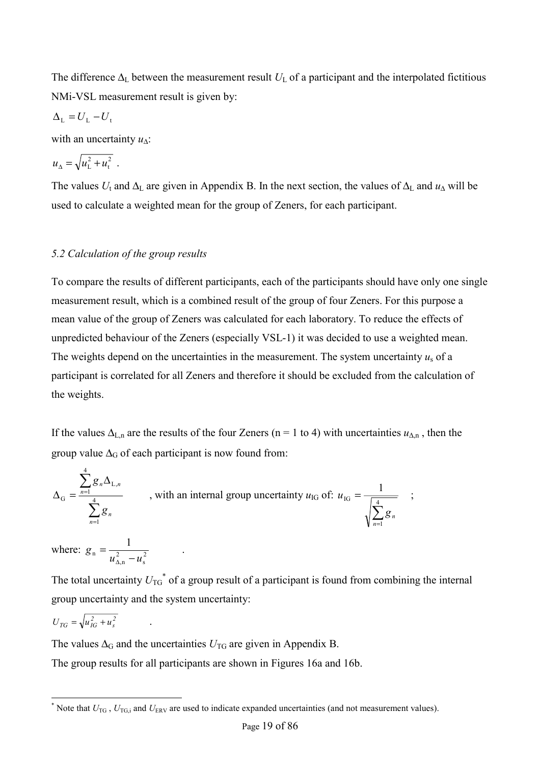The difference  $\Delta_L$  between the measurement result  $U_L$  of a participant and the interpolated fictitious NMi-VSL measurement result is given by:

$$
\Delta_{\rm L}=U_{\rm L}-U_{\rm t}
$$

with an uncertainty *u*∆:

$$
u_{\Delta} = \sqrt{u_{\rm L}^2 + u_{\rm t}^2} \ .
$$

The values  $U_t$  and  $\Delta_L$  are given in Appendix B. In the next section, the values of  $\Delta_L$  and  $u_\Delta$  will be used to calculate a weighted mean for the group of Zeners, for each participant.

#### *5.2 Calculation of the group results*

To compare the results of different participants, each of the participants should have only one single measurement result, which is a combined result of the group of four Zeners. For this purpose a mean value of the group of Zeners was calculated for each laboratory. To reduce the effects of unpredicted behaviour of the Zeners (especially VSL-1) it was decided to use a weighted mean. The weights depend on the uncertainties in the measurement. The system uncertainty  $u_s$  of a participant is correlated for all Zeners and therefore it should be excluded from the calculation of the weights.

If the values  $\Delta_{L,n}$  are the results of the four Zeners (n = 1 to 4) with uncertainties  $u_{\Delta,n}$ , then the group value  $\Delta_G$  of each participant is now found from:

$$
\Delta_{\mathcal{G}} = \frac{\sum_{n=1}^{4} g_n \Delta_{\mathcal{L},n}}{\sum_{n=1}^{4} g_n}, \text{ with an internal group uncertainty } u_{\mathcal{IG}} \text{ of: } u_{\mathcal{IG}} = \frac{1}{\sqrt{\sum_{n=1}^{4} g_n}} \quad ;
$$

where:  $g_n = \frac{1}{\mu^2 (m^2 - 1)^2}$ s 2 ,n n 1  $g_n = \frac{1}{u_{\Delta,n}^2 - u}$ .

The total uncertainty  $U_{\text{TG}}^*$  of a group result of a participant is found from combining the internal group uncertainty and the system uncertainty:

$$
U_{TG} = \sqrt{u_{IG}^2 + u_s^2} \qquad .
$$

The values  $\Delta_G$  and the uncertainties  $U_{\text{TG}}$  are given in Appendix B.

The group results for all participants are shown in Figures 16a and 16b.

<sup>\*</sup> Note that *U*<sub>TG</sub>, *U*<sub>TG,i</sub> and *U*<sub>ERV</sub> are used to indicate expanded uncertainties (and not measurement values).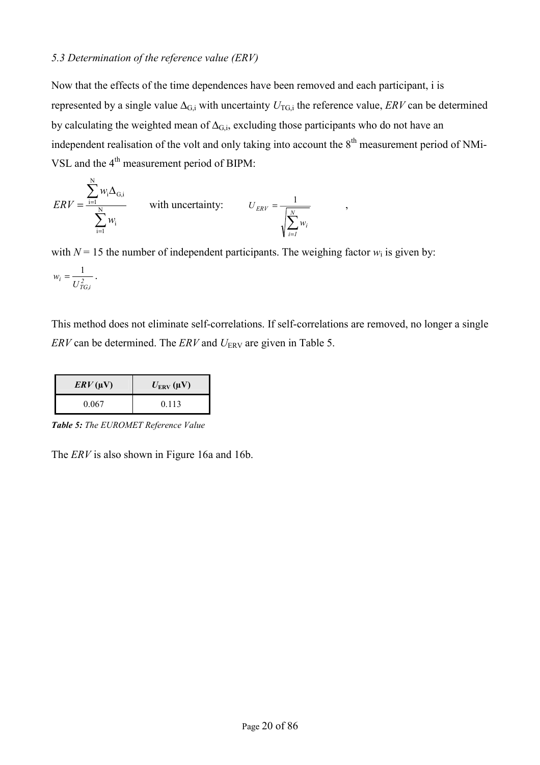#### *5.3 Determination of the reference value (ERV)*

Now that the effects of the time dependences have been removed and each participant, i is represented by a single value  $\Delta_{G,i}$  with uncertainty  $U_{TG,i}$  the reference value, *ERV* can be determined by calculating the weighted mean of  $\Delta_{G,i}$ , excluding those participants who do not have an independent realisation of the volt and only taking into account the  $8<sup>th</sup>$  measurement period of NMi-VSL and the 4<sup>th</sup> measurement period of BIPM:

$$
ERV = \frac{\sum_{i=1}^{N} w_i \Delta_{G,i}}{\sum_{i=1}^{N} w_i}
$$
 with uncertainty:  $U_{ERV} = \frac{1}{\sqrt{\sum_{i=1}^{N} w_i}}$ ,

with  $N = 15$  the number of independent participants. The weighing factor  $w_i$  is given by:

$$
w_i = \frac{1}{U_{TG,i}^2} \, .
$$

This method does not eliminate self-correlations. If self-correlations are removed, no longer a single *ERV* can be determined. The *ERV* and *U*<sub>ERV</sub> are given in Table 5.

| $\mathbb{E}$ RV(µV) | $U_{\text{ERV}}(\mu\text{V})$ |
|---------------------|-------------------------------|
| 0.067               | 0.113                         |

*Table 5: The EUROMET Reference Value* 

The *ERV* is also shown in Figure 16a and 16b.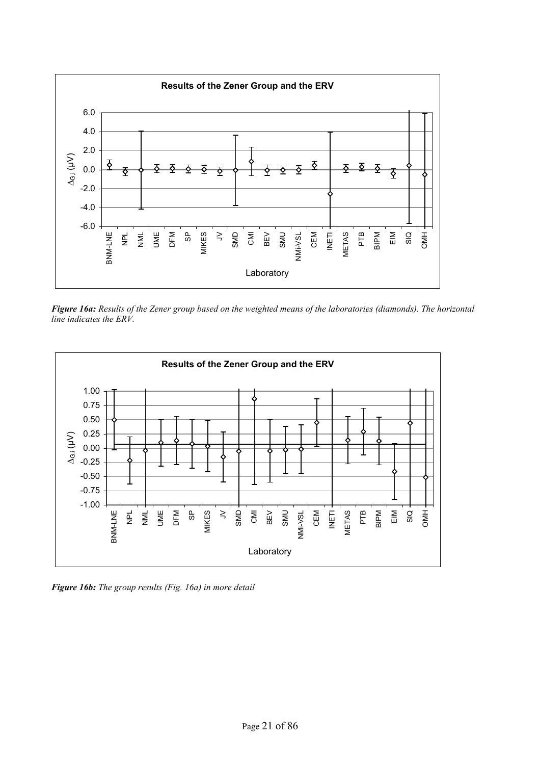

*Figure 16a: Results of the Zener group based on the weighted means of the laboratories (diamonds). The horizontal line indicates the ERV.* 



*Figure 16b: The group results (Fig. 16a) in more detail*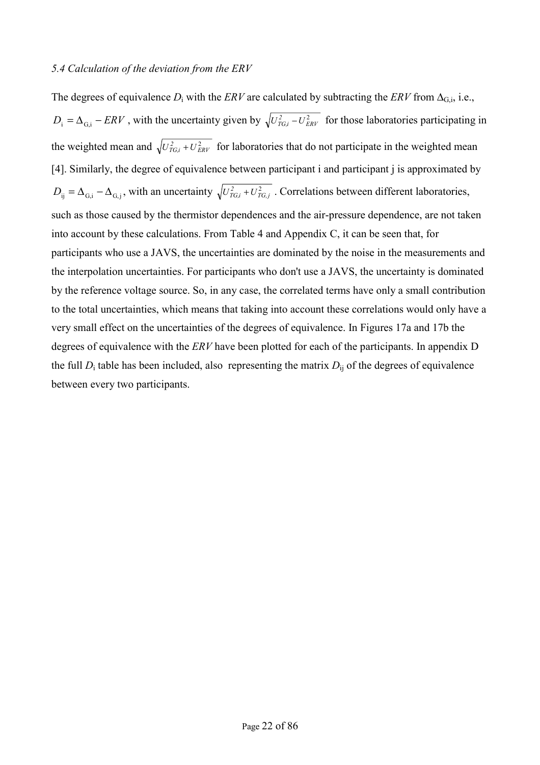## *5.4 Calculation of the deviation from the ERV*

The degrees of equivalence  $D_i$  with the *ERV* are calculated by subtracting the *ERV* from  $\Delta_{G,i}$ , i.e.,  $D_i = \Delta_{G,i} - ERV$ , with the uncertainty given by  $\sqrt{U_{TG,i}^2 - U_{ERV}^2}$  for those laboratories participating in the weighted mean and  $\sqrt{U_{TG,i}^2 + U_{ERV}^2}$  for laboratories that do not participate in the weighted mean [4]. Similarly, the degree of equivalence between participant i and participant j is approximated by  $D_{ij} = \Delta_{G,i} - \Delta_{G,j}$ , with an uncertainty  $\sqrt{U_{TG,i}^2 + U_{TG,j}^2}$ . Correlations between different laboratories, such as those caused by the thermistor dependences and the air-pressure dependence, are not taken into account by these calculations. From Table 4 and Appendix C, it can be seen that, for participants who use a JAVS, the uncertainties are dominated by the noise in the measurements and the interpolation uncertainties. For participants who don't use a JAVS, the uncertainty is dominated by the reference voltage source. So, in any case, the correlated terms have only a small contribution to the total uncertainties, which means that taking into account these correlations would only have a very small effect on the uncertainties of the degrees of equivalence. In Figures 17a and 17b the degrees of equivalence with the *ERV* have been plotted for each of the participants. In appendix D the full  $D_i$  table has been included, also representing the matrix  $D_{ij}$  of the degrees of equivalence between every two participants.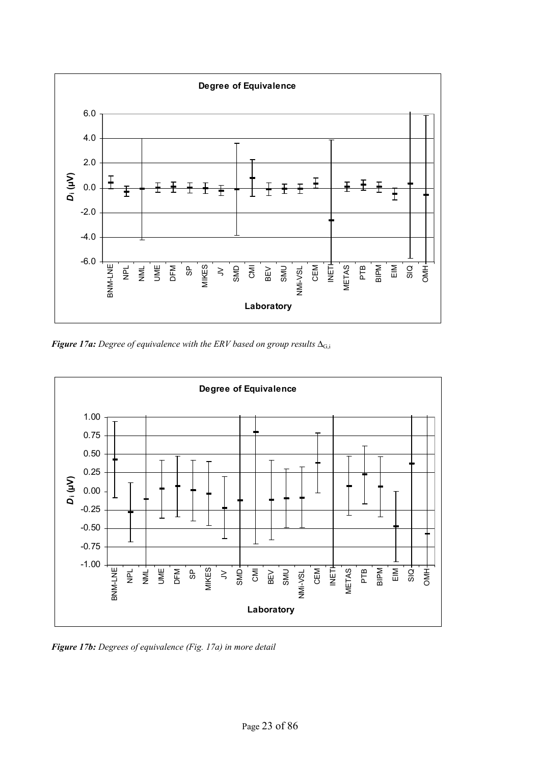

*Figure 17a: Degree of equivalence with the ERV based on group results* ∆G,i



*Figure 17b: Degrees of equivalence (Fig. 17a) in more detail*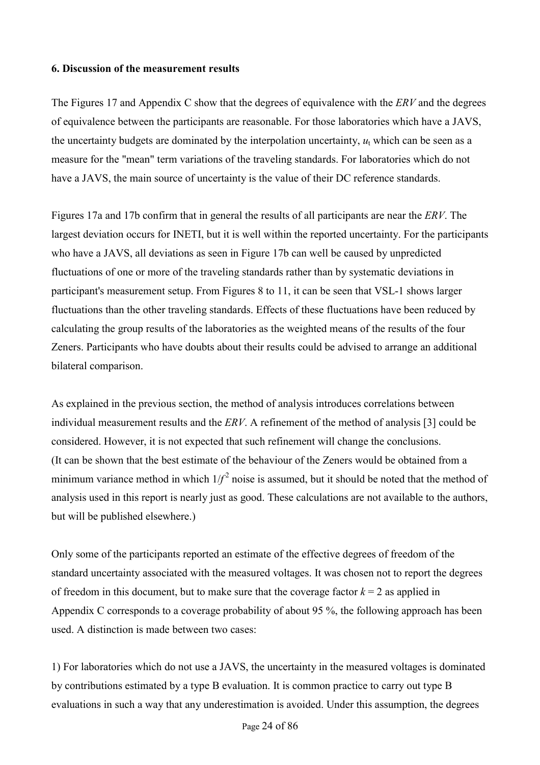# **6. Discussion of the measurement results**

The Figures 17 and Appendix C show that the degrees of equivalence with the *ERV* and the degrees of equivalence between the participants are reasonable. For those laboratories which have a JAVS, the uncertainty budgets are dominated by the interpolation uncertainty,  $u_t$  which can be seen as a measure for the "mean" term variations of the traveling standards. For laboratories which do not have a JAVS, the main source of uncertainty is the value of their DC reference standards.

Figures 17a and 17b confirm that in general the results of all participants are near the *ERV*. The largest deviation occurs for INETI, but it is well within the reported uncertainty. For the participants who have a JAVS, all deviations as seen in Figure 17b can well be caused by unpredicted fluctuations of one or more of the traveling standards rather than by systematic deviations in participant's measurement setup. From Figures 8 to 11, it can be seen that VSL-1 shows larger fluctuations than the other traveling standards. Effects of these fluctuations have been reduced by calculating the group results of the laboratories as the weighted means of the results of the four Zeners. Participants who have doubts about their results could be advised to arrange an additional bilateral comparison.

As explained in the previous section, the method of analysis introduces correlations between individual measurement results and the *ERV*. A refinement of the method of analysis [3] could be considered. However, it is not expected that such refinement will change the conclusions. (It can be shown that the best estimate of the behaviour of the Zeners would be obtained from a minimum variance method in which  $1/f^2$  noise is assumed, but it should be noted that the method of analysis used in this report is nearly just as good. These calculations are not available to the authors, but will be published elsewhere.)

Only some of the participants reported an estimate of the effective degrees of freedom of the standard uncertainty associated with the measured voltages. It was chosen not to report the degrees of freedom in this document, but to make sure that the coverage factor  $k = 2$  as applied in Appendix C corresponds to a coverage probability of about 95 %, the following approach has been used. A distinction is made between two cases:

1) For laboratories which do not use a JAVS, the uncertainty in the measured voltages is dominated by contributions estimated by a type B evaluation. It is common practice to carry out type B evaluations in such a way that any underestimation is avoided. Under this assumption, the degrees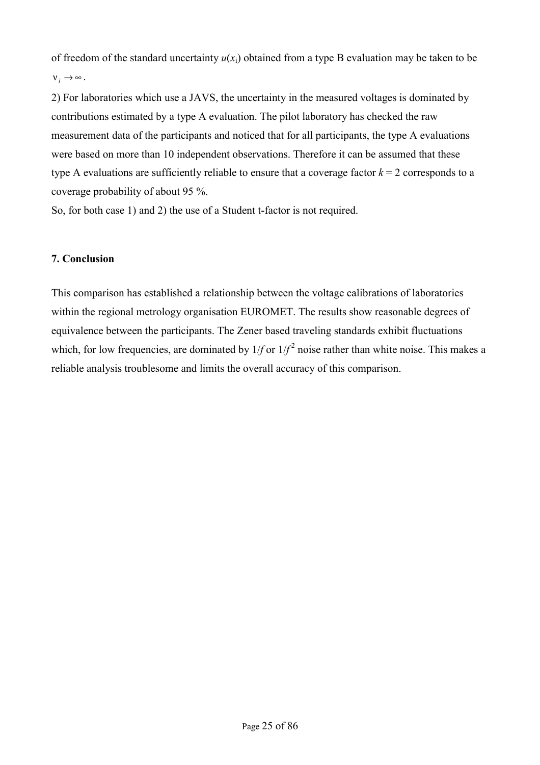of freedom of the standard uncertainty  $u(x_i)$  obtained from a type B evaluation may be taken to be  $V_i \rightarrow \infty$ .

2) For laboratories which use a JAVS, the uncertainty in the measured voltages is dominated by contributions estimated by a type A evaluation. The pilot laboratory has checked the raw measurement data of the participants and noticed that for all participants, the type A evaluations were based on more than 10 independent observations. Therefore it can be assumed that these type A evaluations are sufficiently reliable to ensure that a coverage factor  $k = 2$  corresponds to a coverage probability of about 95 %.

So, for both case 1) and 2) the use of a Student t-factor is not required.

# **7. Conclusion**

This comparison has established a relationship between the voltage calibrations of laboratories within the regional metrology organisation EUROMET. The results show reasonable degrees of equivalence between the participants. The Zener based traveling standards exhibit fluctuations which, for low frequencies, are dominated by  $1/f$  or  $1/f^2$  noise rather than white noise. This makes a reliable analysis troublesome and limits the overall accuracy of this comparison.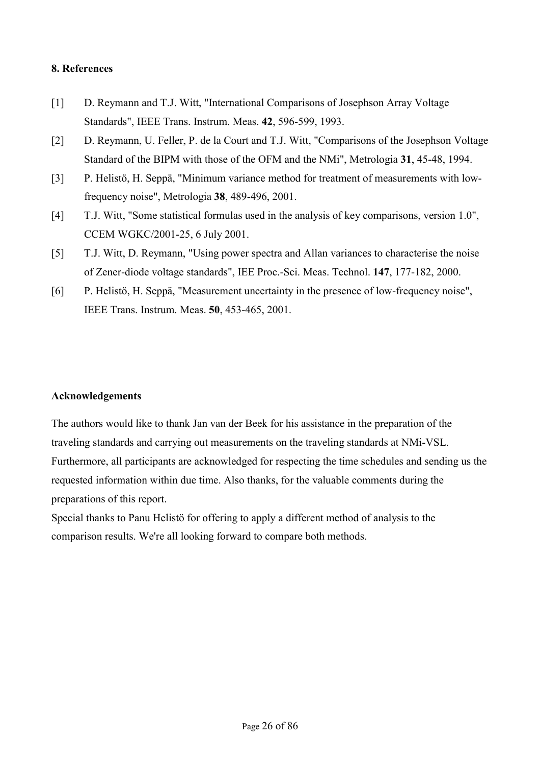## **8. References**

- [1] D. Reymann and T.J. Witt, "International Comparisons of Josephson Array Voltage Standards", IEEE Trans. Instrum. Meas. **42**, 596-599, 1993.
- [2] D. Reymann, U. Feller, P. de la Court and T.J. Witt, "Comparisons of the Josephson Voltage Standard of the BIPM with those of the OFM and the NMi", Metrologia **31**, 45-48, 1994.
- [3] P. Helistö, H. Seppä, "Minimum variance method for treatment of measurements with lowfrequency noise", Metrologia **38**, 489-496, 2001.
- [4] T.J. Witt, "Some statistical formulas used in the analysis of key comparisons, version 1.0", CCEM WGKC/2001-25, 6 July 2001.
- [5] T.J. Witt, D. Reymann, "Using power spectra and Allan variances to characterise the noise of Zener-diode voltage standards", IEE Proc.-Sci. Meas. Technol. **147**, 177-182, 2000.
- [6] P. Helistö, H. Seppä, "Measurement uncertainty in the presence of low-frequency noise", IEEE Trans. Instrum. Meas. **50**, 453-465, 2001.

#### **Acknowledgements**

The authors would like to thank Jan van der Beek for his assistance in the preparation of the traveling standards and carrying out measurements on the traveling standards at NMi-VSL. Furthermore, all participants are acknowledged for respecting the time schedules and sending us the requested information within due time. Also thanks, for the valuable comments during the preparations of this report.

Special thanks to Panu Helistö for offering to apply a different method of analysis to the comparison results. We're all looking forward to compare both methods.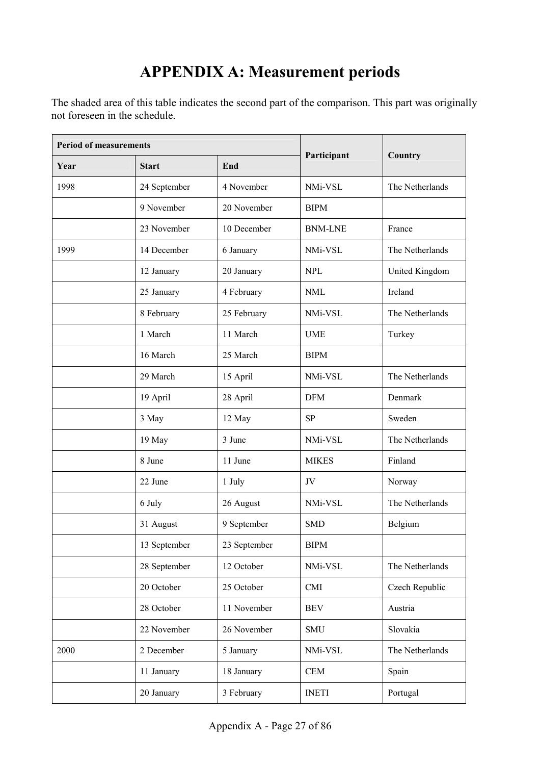# **APPENDIX A: Measurement periods**

The shaded area of this table indicates the second part of the comparison. This part was originally not foreseen in the schedule.

| <b>Period of measurements</b> |              |              |                |                 |
|-------------------------------|--------------|--------------|----------------|-----------------|
| Year                          | <b>Start</b> | End          | Participant    | Country         |
| 1998                          | 24 September | 4 November   | NMi-VSL        | The Netherlands |
|                               | 9 November   | 20 November  | <b>BIPM</b>    |                 |
|                               | 23 November  | 10 December  | <b>BNM-LNE</b> | France          |
| 1999                          | 14 December  | 6 January    | NMi-VSL        | The Netherlands |
|                               | 12 January   | 20 January   | <b>NPL</b>     | United Kingdom  |
|                               | 25 January   | 4 February   | <b>NML</b>     | Ireland         |
|                               | 8 February   | 25 February  | NMi-VSL        | The Netherlands |
|                               | 1 March      | 11 March     | <b>UME</b>     | Turkey          |
|                               | 16 March     | 25 March     | <b>BIPM</b>    |                 |
|                               | 29 March     | 15 April     | NMi-VSL        | The Netherlands |
|                               | 19 April     | 28 April     | <b>DFM</b>     | Denmark         |
|                               | 3 May        | 12 May       | <b>SP</b>      | Sweden          |
|                               | 19 May       | 3 June       | NMi-VSL        | The Netherlands |
|                               | 8 June       | 11 June      | <b>MIKES</b>   | Finland         |
|                               | 22 June      | 1 July       | JV             | Norway          |
|                               | 6 July       | 26 August    | NMi-VSL        | The Netherlands |
|                               | 31 August    | 9 September  | <b>SMD</b>     | Belgium         |
|                               | 13 September | 23 September | <b>BIPM</b>    |                 |
|                               | 28 September | 12 October   | NMi-VSL        | The Netherlands |
|                               | 20 October   | 25 October   | CMI            | Czech Republic  |
|                               | 28 October   | 11 November  | <b>BEV</b>     | Austria         |
|                               | 22 November  | 26 November  | <b>SMU</b>     | Slovakia        |
| 2000                          | 2 December   | 5 January    | NMi-VSL        | The Netherlands |
|                               | 11 January   | 18 January   | <b>CEM</b>     | Spain           |
|                               | 20 January   | 3 February   | <b>INETI</b>   | Portugal        |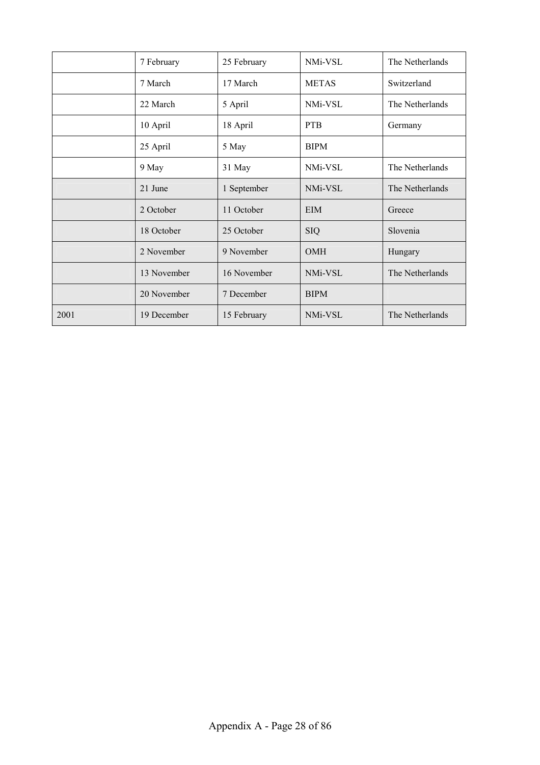|      | 7 February  | 25 February | NMi-VSL      | The Netherlands |
|------|-------------|-------------|--------------|-----------------|
|      | 7 March     | 17 March    | <b>METAS</b> | Switzerland     |
|      | 22 March    | 5 April     | NMi-VSL      | The Netherlands |
|      | 10 April    | 18 April    | <b>PTB</b>   | Germany         |
|      | 25 April    | 5 May       | <b>BIPM</b>  |                 |
|      | 9 May       | 31 May      | NMi-VSL      | The Netherlands |
|      | 21 June     | 1 September | NMi-VSL      | The Netherlands |
|      | 2 October   | 11 October  | <b>EIM</b>   | Greece          |
|      | 18 October  | 25 October  | <b>SIQ</b>   | Slovenia        |
|      | 2 November  | 9 November  | <b>OMH</b>   | Hungary         |
|      | 13 November | 16 November | NMi-VSL      | The Netherlands |
|      | 20 November | 7 December  | <b>BIPM</b>  |                 |
| 2001 | 19 December | 15 February | NMi-VSL      | The Netherlands |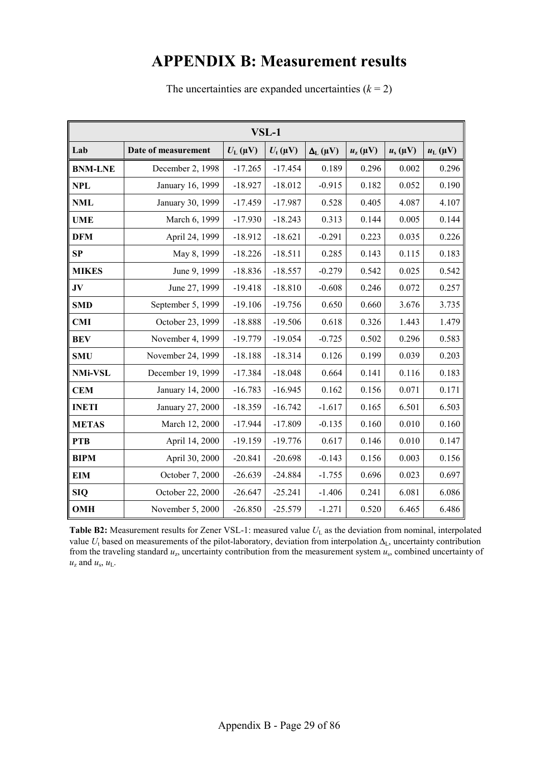# **APPENDIX B: Measurement results**

| $VSL-1$        |                     |                    |                |                   |                        |              |                    |
|----------------|---------------------|--------------------|----------------|-------------------|------------------------|--------------|--------------------|
| Lab            | Date of measurement | $U_{\rm L}(\mu V)$ | $U_{t}(\mu V)$ | $\Delta_L(\mu V)$ | $u_{\rm z}$ ( $\mu$ V) | $u_s(\mu V)$ | $u_{\rm L}(\mu V)$ |
| <b>BNM-LNE</b> | December 2, 1998    | $-17.265$          | $-17.454$      | 0.189             | 0.296                  | 0.002        | 0.296              |
| <b>NPL</b>     | January 16, 1999    | $-18.927$          | $-18.012$      | $-0.915$          | 0.182                  | 0.052        | 0.190              |
| <b>NML</b>     | January 30, 1999    | $-17.459$          | $-17.987$      | 0.528             | 0.405                  | 4.087        | 4.107              |
| <b>UME</b>     | March 6, 1999       | $-17.930$          | $-18.243$      | 0.313             | 0.144                  | 0.005        | 0.144              |
| <b>DFM</b>     | April 24, 1999      | $-18.912$          | $-18.621$      | $-0.291$          | 0.223                  | 0.035        | 0.226              |
| SP             | May 8, 1999         | $-18.226$          | $-18.511$      | 0.285             | 0.143                  | 0.115        | 0.183              |
| <b>MIKES</b>   | June 9, 1999        | $-18.836$          | $-18.557$      | $-0.279$          | 0.542                  | 0.025        | 0.542              |
| $\bf{JV}$      | June 27, 1999       | $-19.418$          | $-18.810$      | $-0.608$          | 0.246                  | 0.072        | 0.257              |
| <b>SMD</b>     | September 5, 1999   | $-19.106$          | $-19.756$      | 0.650             | 0.660                  | 3.676        | 3.735              |
| CMI            | October 23, 1999    | $-18.888$          | $-19.506$      | 0.618             | 0.326                  | 1.443        | 1.479              |
| <b>BEV</b>     | November 4, 1999    | $-19.779$          | $-19.054$      | $-0.725$          | 0.502                  | 0.296        | 0.583              |
| <b>SMU</b>     | November 24, 1999   | $-18.188$          | $-18.314$      | 0.126             | 0.199                  | 0.039        | 0.203              |
| <b>NMi-VSL</b> | December 19, 1999   | $-17.384$          | $-18.048$      | 0.664             | 0.141                  | 0.116        | 0.183              |
| <b>CEM</b>     | January 14, 2000    | $-16.783$          | $-16.945$      | 0.162             | 0.156                  | 0.071        | 0.171              |
| <b>INETI</b>   | January 27, 2000    | $-18.359$          | $-16.742$      | $-1.617$          | 0.165                  | 6.501        | 6.503              |
| <b>METAS</b>   | March 12, 2000      | $-17.944$          | $-17.809$      | $-0.135$          | 0.160                  | 0.010        | 0.160              |
| <b>PTB</b>     | April 14, 2000      | $-19.159$          | $-19.776$      | 0.617             | 0.146                  | 0.010        | 0.147              |
| <b>BIPM</b>    | April 30, 2000      | $-20.841$          | $-20.698$      | $-0.143$          | 0.156                  | 0.003        | 0.156              |
| <b>EIM</b>     | October 7, 2000     | $-26.639$          | $-24.884$      | $-1.755$          | 0.696                  | 0.023        | 0.697              |
| <b>SIQ</b>     | October 22, 2000    | $-26.647$          | $-25.241$      | $-1.406$          | 0.241                  | 6.081        | 6.086              |
| <b>OMH</b>     | November 5, 2000    | $-26.850$          | $-25.579$      | $-1.271$          | 0.520                  | 6.465        | 6.486              |

The uncertainties are expanded uncertainties  $(k = 2)$ 

Table B2: Measurement results for Zener VSL-1: measured value  $U_L$  as the deviation from nominal, interpolated value  $U_t$  based on measurements of the pilot-laboratory, deviation from interpolation  $\Delta_L$ , uncertainty contribution from the traveling standard *u*z, uncertainty contribution from the measurement system *u*s, combined uncertainty of  $u_z$  and  $u_s$ ,  $u_L$ .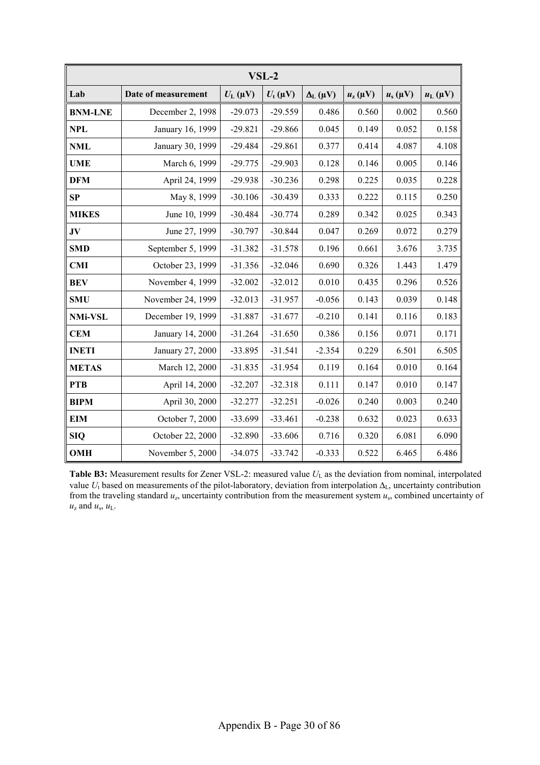| $VSL-2$        |                     |                    |                         |                   |                        |              |                    |
|----------------|---------------------|--------------------|-------------------------|-------------------|------------------------|--------------|--------------------|
| Lab            | Date of measurement | $U_{\rm L}(\mu V)$ | $U_{\rm t}(\mu{\rm V})$ | $\Delta_L(\mu V)$ | $u_{\rm z}$ ( $\mu$ V) | $u_s(\mu V)$ | $u_{\rm L}(\mu V)$ |
| <b>BNM-LNE</b> | December 2, 1998    | $-29.073$          | $-29.559$               | 0.486             | 0.560                  | 0.002        | 0.560              |
| <b>NPL</b>     | January 16, 1999    | $-29.821$          | $-29.866$               | 0.045             | 0.149                  | 0.052        | 0.158              |
| <b>NML</b>     | January 30, 1999    | $-29.484$          | $-29.861$               | 0.377             | 0.414                  | 4.087        | 4.108              |
| <b>UME</b>     | March 6, 1999       | $-29.775$          | $-29.903$               | 0.128             | 0.146                  | 0.005        | 0.146              |
| <b>DFM</b>     | April 24, 1999      | $-29.938$          | $-30.236$               | 0.298             | 0.225                  | 0.035        | 0.228              |
| SP             | May 8, 1999         | $-30.106$          | $-30.439$               | 0.333             | 0.222                  | 0.115        | 0.250              |
| <b>MIKES</b>   | June 10, 1999       | $-30.484$          | $-30.774$               | 0.289             | 0.342                  | 0.025        | 0.343              |
| $\mathbf{JV}$  | June 27, 1999       | $-30.797$          | $-30.844$               | 0.047             | 0.269                  | 0.072        | 0.279              |
| <b>SMD</b>     | September 5, 1999   | $-31.382$          | $-31.578$               | 0.196             | 0.661                  | 3.676        | 3.735              |
| <b>CMI</b>     | October 23, 1999    | $-31.356$          | $-32.046$               | 0.690             | 0.326                  | 1.443        | 1.479              |
| <b>BEV</b>     | November 4, 1999    | $-32.002$          | $-32.012$               | 0.010             | 0.435                  | 0.296        | 0.526              |
| <b>SMU</b>     | November 24, 1999   | $-32.013$          | $-31.957$               | $-0.056$          | 0.143                  | 0.039        | 0.148              |
| <b>NMi-VSL</b> | December 19, 1999   | $-31.887$          | $-31.677$               | $-0.210$          | 0.141                  | 0.116        | 0.183              |
| <b>CEM</b>     | January 14, 2000    | $-31.264$          | $-31.650$               | 0.386             | 0.156                  | 0.071        | 0.171              |
| <b>INETI</b>   | January 27, 2000    | $-33.895$          | $-31.541$               | $-2.354$          | 0.229                  | 6.501        | 6.505              |
| <b>METAS</b>   | March 12, 2000      | $-31.835$          | $-31.954$               | 0.119             | 0.164                  | 0.010        | 0.164              |
| <b>PTB</b>     | April 14, 2000      | $-32.207$          | $-32.318$               | 0.111             | 0.147                  | 0.010        | 0.147              |
| <b>BIPM</b>    | April 30, 2000      | $-32.277$          | $-32.251$               | $-0.026$          | 0.240                  | 0.003        | 0.240              |
| <b>EIM</b>     | October 7, 2000     | $-33.699$          | $-33.461$               | $-0.238$          | 0.632                  | 0.023        | 0.633              |
| <b>SIQ</b>     | October 22, 2000    | $-32.890$          | $-33.606$               | 0.716             | 0.320                  | 6.081        | 6.090              |
| <b>OMH</b>     | November 5, 2000    | $-34.075$          | $-33.742$               | $-0.333$          | 0.522                  | 6.465        | 6.486              |

Table B3: Measurement results for Zener VSL-2: measured value  $U_L$  as the deviation from nominal, interpolated value *U*t based on measurements of the pilot-laboratory, deviation from interpolation ∆L, uncertainty contribution from the traveling standard *u*z, uncertainty contribution from the measurement system *u*s, combined uncertainty of  $u_z$  and  $u_s$ ,  $u_L$ .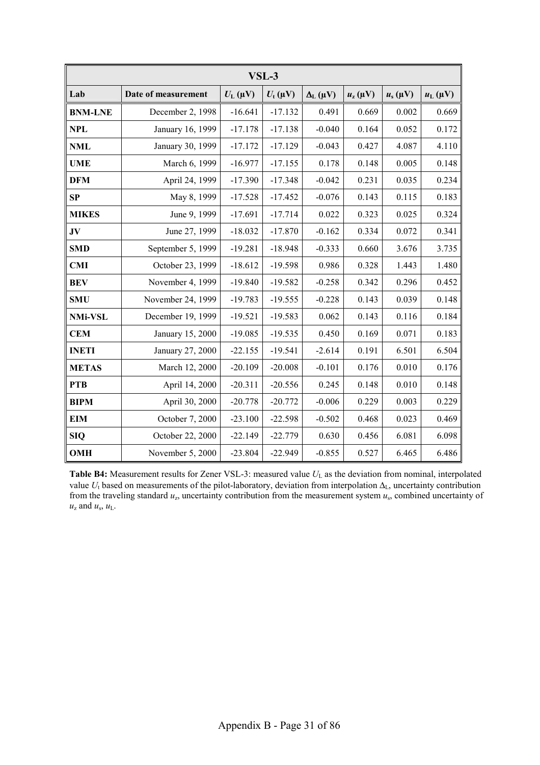| VSL-3          |                     |                    |                |                     |                        |              |                    |
|----------------|---------------------|--------------------|----------------|---------------------|------------------------|--------------|--------------------|
| Lab            | Date of measurement | $U_{\rm L}(\mu V)$ | $U_{t}(\mu V)$ | $\Delta_{L}(\mu V)$ | $u_{\rm z}$ ( $\mu$ V) | $u_s(\mu V)$ | $u_{\rm L}(\mu V)$ |
| <b>BNM-LNE</b> | December 2, 1998    | $-16.641$          | $-17.132$      | 0.491               | 0.669                  | 0.002        | 0.669              |
| <b>NPL</b>     | January 16, 1999    | $-17.178$          | $-17.138$      | $-0.040$            | 0.164                  | 0.052        | 0.172              |
| <b>NML</b>     | January 30, 1999    | $-17.172$          | $-17.129$      | $-0.043$            | 0.427                  | 4.087        | 4.110              |
| <b>UME</b>     | March 6, 1999       | $-16.977$          | $-17.155$      | 0.178               | 0.148                  | 0.005        | 0.148              |
| <b>DFM</b>     | April 24, 1999      | $-17.390$          | $-17.348$      | $-0.042$            | 0.231                  | 0.035        | 0.234              |
| SP             | May 8, 1999         | $-17.528$          | $-17.452$      | $-0.076$            | 0.143                  | 0.115        | 0.183              |
| <b>MIKES</b>   | June 9, 1999        | $-17.691$          | $-17.714$      | 0.022               | 0.323                  | 0.025        | 0.324              |
| $\mathbf{JV}$  | June 27, 1999       | $-18.032$          | $-17.870$      | $-0.162$            | 0.334                  | 0.072        | 0.341              |
| <b>SMD</b>     | September 5, 1999   | $-19.281$          | $-18.948$      | $-0.333$            | 0.660                  | 3.676        | 3.735              |
| <b>CMI</b>     | October 23, 1999    | $-18.612$          | $-19.598$      | 0.986               | 0.328                  | 1.443        | 1.480              |
| <b>BEV</b>     | November 4, 1999    | $-19.840$          | $-19.582$      | $-0.258$            | 0.342                  | 0.296        | 0.452              |
| <b>SMU</b>     | November 24, 1999   | $-19.783$          | $-19.555$      | $-0.228$            | 0.143                  | 0.039        | 0.148              |
| <b>NMi-VSL</b> | December 19, 1999   | $-19.521$          | $-19.583$      | 0.062               | 0.143                  | 0.116        | 0.184              |
| <b>CEM</b>     | January 15, 2000    | $-19.085$          | $-19.535$      | 0.450               | 0.169                  | 0.071        | 0.183              |
| <b>INETI</b>   | January 27, 2000    | $-22.155$          | $-19.541$      | $-2.614$            | 0.191                  | 6.501        | 6.504              |
| <b>METAS</b>   | March 12, 2000      | $-20.109$          | $-20.008$      | $-0.101$            | 0.176                  | 0.010        | 0.176              |
| <b>PTB</b>     | April 14, 2000      | $-20.311$          | $-20.556$      | 0.245               | 0.148                  | 0.010        | 0.148              |
| <b>BIPM</b>    | April 30, 2000      | $-20.778$          | $-20.772$      | $-0.006$            | 0.229                  | 0.003        | 0.229              |
| <b>EIM</b>     | October 7, 2000     | $-23.100$          | $-22.598$      | $-0.502$            | 0.468                  | 0.023        | 0.469              |
| <b>SIQ</b>     | October 22, 2000    | $-22.149$          | $-22.779$      | 0.630               | 0.456                  | 6.081        | 6.098              |
| <b>OMH</b>     | November 5, 2000    | $-23.804$          | $-22.949$      | $-0.855$            | 0.527                  | 6.465        | 6.486              |

Table B4: Measurement results for Zener VSL-3: measured value  $U_L$  as the deviation from nominal, interpolated value *U*t based on measurements of the pilot-laboratory, deviation from interpolation ∆L, uncertainty contribution from the traveling standard *u*z, uncertainty contribution from the measurement system *u*s, combined uncertainty of  $u_z$  and  $u_s$ ,  $u_L$ .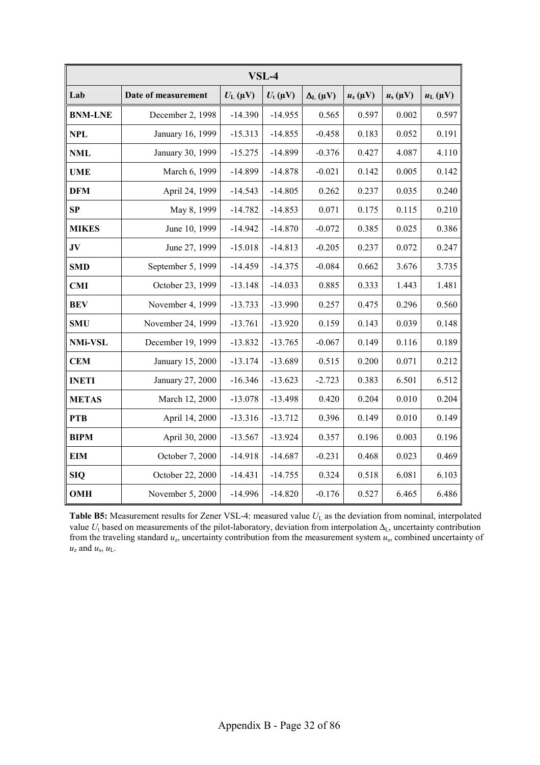|                | VSL-4               |                         |                |                   |                         |              |                    |
|----------------|---------------------|-------------------------|----------------|-------------------|-------------------------|--------------|--------------------|
| Lab            | Date of measurement | $U_{\rm L}(\mu{\rm V})$ | $U_{t}(\mu V)$ | $\Delta_L(\mu V)$ | $u_{\rm z}(\mu{\rm V})$ | $u_s(\mu V)$ | $u_{\rm L}(\mu V)$ |
| <b>BNM-LNE</b> | December 2, 1998    | $-14.390$               | $-14.955$      | 0.565             | 0.597                   | 0.002        | 0.597              |
| <b>NPL</b>     | January 16, 1999    | $-15.313$               | $-14.855$      | $-0.458$          | 0.183                   | 0.052        | 0.191              |
| <b>NML</b>     | January 30, 1999    | $-15.275$               | $-14.899$      | $-0.376$          | 0.427                   | 4.087        | 4.110              |
| <b>UME</b>     | March 6, 1999       | $-14.899$               | $-14.878$      | $-0.021$          | 0.142                   | 0.005        | 0.142              |
| <b>DFM</b>     | April 24, 1999      | $-14.543$               | $-14.805$      | 0.262             | 0.237                   | 0.035        | 0.240              |
| SP             | May 8, 1999         | $-14.782$               | $-14.853$      | 0.071             | 0.175                   | 0.115        | 0.210              |
| <b>MIKES</b>   | June 10, 1999       | $-14.942$               | $-14.870$      | $-0.072$          | 0.385                   | 0.025        | 0.386              |
| $\bf{JV}$      | June 27, 1999       | $-15.018$               | $-14.813$      | $-0.205$          | 0.237                   | 0.072        | 0.247              |
| <b>SMD</b>     | September 5, 1999   | $-14.459$               | $-14.375$      | $-0.084$          | 0.662                   | 3.676        | 3.735              |
| <b>CMI</b>     | October 23, 1999    | $-13.148$               | $-14.033$      | 0.885             | 0.333                   | 1.443        | 1.481              |
| <b>BEV</b>     | November 4, 1999    | $-13.733$               | $-13.990$      | 0.257             | 0.475                   | 0.296        | 0.560              |
| <b>SMU</b>     | November 24, 1999   | $-13.761$               | $-13.920$      | 0.159             | 0.143                   | 0.039        | 0.148              |
| <b>NMi-VSL</b> | December 19, 1999   | $-13.832$               | $-13.765$      | $-0.067$          | 0.149                   | 0.116        | 0.189              |
| <b>CEM</b>     | January 15, 2000    | $-13.174$               | $-13.689$      | 0.515             | 0.200                   | 0.071        | 0.212              |
| <b>INETI</b>   | January 27, 2000    | $-16.346$               | $-13.623$      | $-2.723$          | 0.383                   | 6.501        | 6.512              |
| <b>METAS</b>   | March 12, 2000      | $-13.078$               | $-13.498$      | 0.420             | 0.204                   | 0.010        | 0.204              |
| <b>PTB</b>     | April 14, 2000      | $-13.316$               | $-13.712$      | 0.396             | 0.149                   | 0.010        | 0.149              |
| <b>BIPM</b>    | April 30, 2000      | $-13.567$               | $-13.924$      | 0.357             | 0.196                   | 0.003        | 0.196              |
| <b>EIM</b>     | October 7, 2000     | $-14.918$               | $-14.687$      | $-0.231$          | 0.468                   | 0.023        | 0.469              |
| <b>SIQ</b>     | October 22, 2000    | $-14.431$               | $-14.755$      | 0.324             | 0.518                   | 6.081        | 6.103              |
| <b>OMH</b>     | November 5, 2000    | $-14.996$               | $-14.820$      | $-0.176$          | 0.527                   | 6.465        | 6.486              |

Table B5: Measurement results for Zener VSL-4: measured value  $U_L$  as the deviation from nominal, interpolated value  $U_t$  based on measurements of the pilot-laboratory, deviation from interpolation  $\Delta_L$ , uncertainty contribution from the traveling standard *u*z, uncertainty contribution from the measurement system *u*s, combined uncertainty of  $u_z$  and  $u_s$ ,  $u_L$ .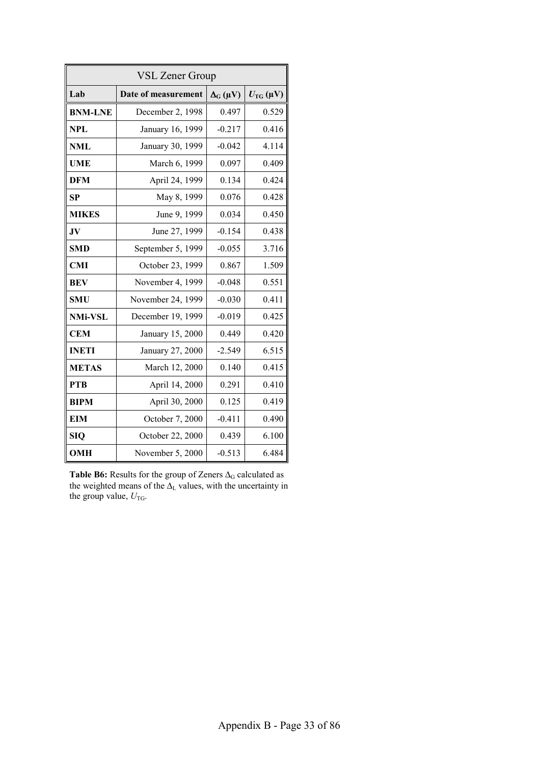| <b>VSL Zener Group</b> |                     |                              |       |  |  |  |
|------------------------|---------------------|------------------------------|-------|--|--|--|
| Lab                    | Date of measurement | $U_{\text{TG}}(\mu\text{V})$ |       |  |  |  |
| <b>BNM-LNE</b>         | December 2, 1998    | 0.497                        | 0.529 |  |  |  |
| <b>NPL</b>             | January 16, 1999    | $-0.217$                     | 0.416 |  |  |  |
| <b>NML</b>             | January 30, 1999    | $-0.042$                     | 4.114 |  |  |  |
| <b>UME</b>             | March 6, 1999       | 0.097                        | 0.409 |  |  |  |
| <b>DFM</b>             | April 24, 1999      | 0.134                        | 0.424 |  |  |  |
| <b>SP</b>              | May 8, 1999         | 0.076                        | 0.428 |  |  |  |
| <b>MIKES</b>           | June 9, 1999        | 0.034                        | 0.450 |  |  |  |
| JV                     | June 27, 1999       | $-0.154$                     | 0.438 |  |  |  |
| <b>SMD</b>             | September 5, 1999   | $-0.055$                     | 3.716 |  |  |  |
| <b>CMI</b>             | October 23, 1999    | 0.867                        | 1.509 |  |  |  |
| <b>BEV</b>             | November 4, 1999    | $-0.048$                     | 0.551 |  |  |  |
| <b>SMU</b>             | November 24, 1999   | $-0.030$                     | 0.411 |  |  |  |
| <b>NMi-VSL</b>         | December 19, 1999   | $-0.019$                     | 0.425 |  |  |  |
| <b>CEM</b>             | January 15, 2000    | 0.449                        | 0.420 |  |  |  |
| <b>INETI</b>           | January 27, 2000    | $-2.549$                     | 6.515 |  |  |  |
| <b>METAS</b>           | March 12, 2000      | 0.140                        | 0.415 |  |  |  |
| <b>PTB</b>             | April 14, 2000      | 0.291                        | 0.410 |  |  |  |
| <b>BIPM</b>            | April 30, 2000      | 0.125                        | 0.419 |  |  |  |
| <b>EIM</b>             | October 7, 2000     | $-0.411$                     | 0.490 |  |  |  |
| <b>SIQ</b>             | October 22, 2000    | 0.439                        | 6.100 |  |  |  |
| <b>OMH</b>             | November 5, 2000    | $-0.513$                     | 6.484 |  |  |  |

Table B6: Results for the group of Zeners ∆<sub>G</sub> calculated as the weighted means of the  $\Delta_L$  values, with the uncertainty in the group value,  $U_{\text{TG}}$ .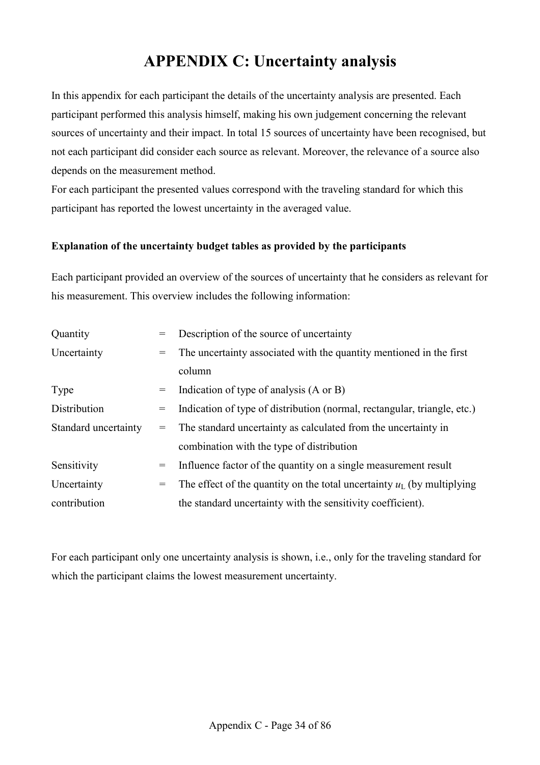# **APPENDIX C: Uncertainty analysis**

In this appendix for each participant the details of the uncertainty analysis are presented. Each participant performed this analysis himself, making his own judgement concerning the relevant sources of uncertainty and their impact. In total 15 sources of uncertainty have been recognised, but not each participant did consider each source as relevant. Moreover, the relevance of a source also depends on the measurement method.

For each participant the presented values correspond with the traveling standard for which this participant has reported the lowest uncertainty in the averaged value.

# **Explanation of the uncertainty budget tables as provided by the participants**

Each participant provided an overview of the sources of uncertainty that he considers as relevant for his measurement. This overview includes the following information:

| Quantity             | $=$ | Description of the source of uncertainty                                 |  |
|----------------------|-----|--------------------------------------------------------------------------|--|
| Uncertainty          | $=$ | The uncertainty associated with the quantity mentioned in the first      |  |
|                      |     | column                                                                   |  |
| Type                 | $=$ | Indication of type of analysis (A or B)                                  |  |
| Distribution         | $=$ | Indication of type of distribution (normal, rectangular, triangle, etc.) |  |
| Standard uncertainty |     | = The standard uncertainty as calculated from the uncertainty in         |  |
|                      |     | combination with the type of distribution                                |  |
| Sensitivity          | $=$ | Influence factor of the quantity on a single measurement result          |  |
| Uncertainty          | $=$ | The effect of the quantity on the total uncertainty $uL$ (by multiplying |  |
| contribution         |     | the standard uncertainty with the sensitivity coefficient).              |  |

For each participant only one uncertainty analysis is shown, i.e., only for the traveling standard for which the participant claims the lowest measurement uncertainty.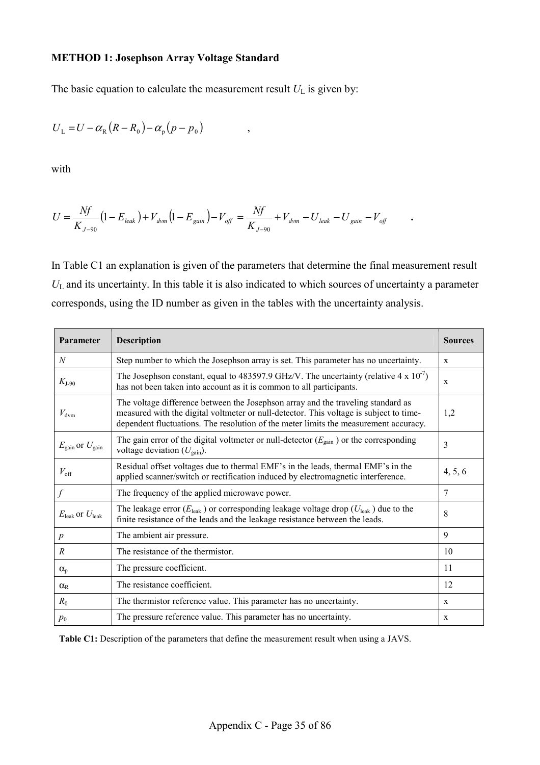#### **METHOD 1: Josephson Array Voltage Standard**

The basic equation to calculate the measurement result  $U_L$  is given by:

$$
U_{\rm L}=U-\alpha_{\rm R}(R-R_{\rm 0})-\alpha_{\rm p}(p-p_{\rm 0})\qquad ,
$$

with

$$
U = \frac{Nf}{K_{J-90}} \left(1 - E_{\text{leak}}\right) + V_{\text{dvm}} \left(1 - E_{\text{gain}}\right) - V_{\text{off}} = \frac{Nf}{K_{J-90}} + V_{\text{dvm}} - U_{\text{leak}} - U_{\text{gain}} - V_{\text{off}} \qquad .
$$

In Table C1 an explanation is given of the parameters that determine the final measurement result *U*L and its uncertainty. In this table it is also indicated to which sources of uncertainty a parameter corresponds, using the ID number as given in the tables with the uncertainty analysis.

| Parameter                              | <b>Description</b>                                                                                                                                                                                                                                                 | <b>Sources</b> |
|----------------------------------------|--------------------------------------------------------------------------------------------------------------------------------------------------------------------------------------------------------------------------------------------------------------------|----------------|
| N                                      | Step number to which the Josephson array is set. This parameter has no uncertainty.                                                                                                                                                                                | X              |
| $K_{1-90}$                             | The Josephson constant, equal to 483597.9 GHz/V. The uncertainty (relative $4 \times 10^{-7}$ )<br>has not been taken into account as it is common to all participants.                                                                                            | X              |
| $V_{\text{dvm}}$                       | The voltage difference between the Josephson array and the traveling standard as<br>measured with the digital voltmeter or null-detector. This voltage is subject to time-<br>dependent fluctuations. The resolution of the meter limits the measurement accuracy. | 1,2            |
| $E_{\text{gain}}$ or $U_{\text{gain}}$ | The gain error of the digital voltmeter or null-detector $(E_{\text{gain}})$ or the corresponding<br>voltage deviation $(U_{\text{gain}})$ .                                                                                                                       | 3              |
| $V_{\rm off}$                          | Residual offset voltages due to thermal EMF's in the leads, thermal EMF's in the<br>applied scanner/switch or rectification induced by electromagnetic interference.                                                                                               | 4, 5, 6        |
| f                                      | The frequency of the applied microwave power.                                                                                                                                                                                                                      | 7              |
| $E_{\text{leak}}$ or $U_{\text{leak}}$ | The leakage error ( $E_{\text{leak}}$ ) or corresponding leakage voltage drop ( $U_{\text{leak}}$ ) due to the<br>finite resistance of the leads and the leakage resistance between the leads.                                                                     | 8              |
| $\boldsymbol{p}$                       | The ambient air pressure.                                                                                                                                                                                                                                          | 9              |
| $\boldsymbol{R}$                       | The resistance of the thermistor.                                                                                                                                                                                                                                  | 10             |
| $\alpha_{p}$                           | The pressure coefficient.                                                                                                                                                                                                                                          | 11             |
| $\alpha_{R}$                           | The resistance coefficient.                                                                                                                                                                                                                                        | 12             |
| $R_0$                                  | The thermistor reference value. This parameter has no uncertainty.                                                                                                                                                                                                 | X              |
| $p_0$                                  | The pressure reference value. This parameter has no uncertainty.                                                                                                                                                                                                   | X              |

Table C1: Description of the parameters that define the measurement result when using a JAVS.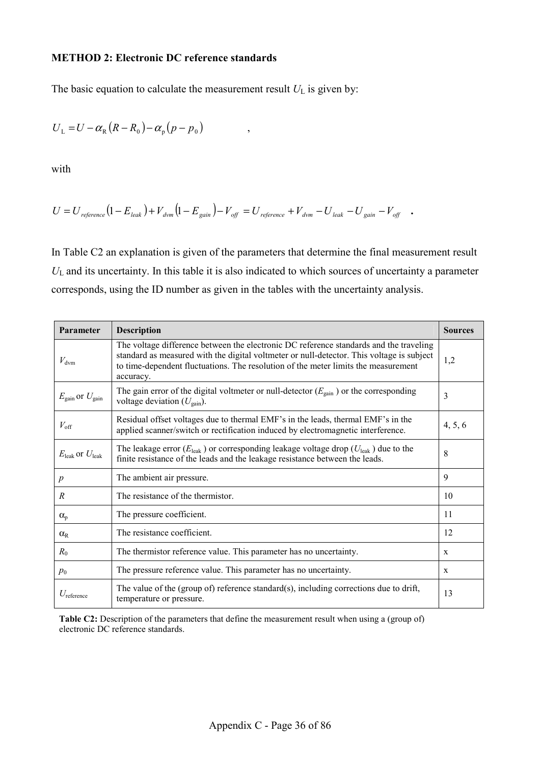# **METHOD 2: Electronic DC reference standards**

The basic equation to calculate the measurement result  $U_L$  is given by:

$$
U_{\rm L}=U-\alpha_{\rm R}(R-R_{\rm 0})-\alpha_{\rm p}(p-p_{\rm 0})\qquad ,
$$

with

$$
U = U_{\mathit{reference}} \big( 1 - E_{\mathit{leak}} \big) + V_{\mathit{dvm}} \big( 1 - E_{\mathit{gain}} \big) - V_{\mathit{off}} \nonumber \\ = U_{\mathit{reference}} + V_{\mathit{dvm}} - U_{\mathit{leak}} - U_{\mathit{gain}} - V_{\mathit{off}} \quad . \label{eq:U}
$$

In Table C2 an explanation is given of the parameters that determine the final measurement result *U*L and its uncertainty. In this table it is also indicated to which sources of uncertainty a parameter corresponds, using the ID number as given in the tables with the uncertainty analysis.

| Parameter                              | Description                                                                                                                                                                                                                                                                            | <b>Sources</b> |
|----------------------------------------|----------------------------------------------------------------------------------------------------------------------------------------------------------------------------------------------------------------------------------------------------------------------------------------|----------------|
| $V_{\text{dvm}}$                       | The voltage difference between the electronic DC reference standards and the traveling<br>standard as measured with the digital voltmeter or null-detector. This voltage is subject<br>to time-dependent fluctuations. The resolution of the meter limits the measurement<br>accuracy. | 1,2            |
| $E_{\text{gain}}$ or $U_{\text{gain}}$ | The gain error of the digital voltmeter or null-detector $(E_{\text{gain}})$ or the corresponding<br>voltage deviation $(U_{\text{gain}})$ .                                                                                                                                           | 3              |
| $V_{\rm off}$                          | Residual offset voltages due to thermal EMF's in the leads, thermal EMF's in the<br>applied scanner/switch or rectification induced by electromagnetic interference.                                                                                                                   | 4, 5, 6        |
| $E_{\text{leak}}$ or $U_{\text{leak}}$ | The leakage error ( $E_{\text{leak}}$ ) or corresponding leakage voltage drop ( $U_{\text{leak}}$ ) due to the<br>finite resistance of the leads and the leakage resistance between the leads.                                                                                         | 8              |
| $\boldsymbol{p}$                       | The ambient air pressure.                                                                                                                                                                                                                                                              | 9              |
| $\mathcal{R}$                          | The resistance of the thermistor.                                                                                                                                                                                                                                                      | 10             |
| $\alpha_{p}$                           | The pressure coefficient.                                                                                                                                                                                                                                                              | 11             |
| $\alpha_{R}$                           | The resistance coefficient.                                                                                                                                                                                                                                                            | 12             |
| $R_0$                                  | The thermistor reference value. This parameter has no uncertainty.                                                                                                                                                                                                                     | $\mathbf{x}$   |
| $p_0$                                  | The pressure reference value. This parameter has no uncertainty.                                                                                                                                                                                                                       | X              |
| $U_{\text{reference}}$                 | The value of the (group of) reference standard(s), including corrections due to drift,<br>temperature or pressure.                                                                                                                                                                     | 13             |

**Table C2:** Description of the parameters that define the measurement result when using a (group of) electronic DC reference standards.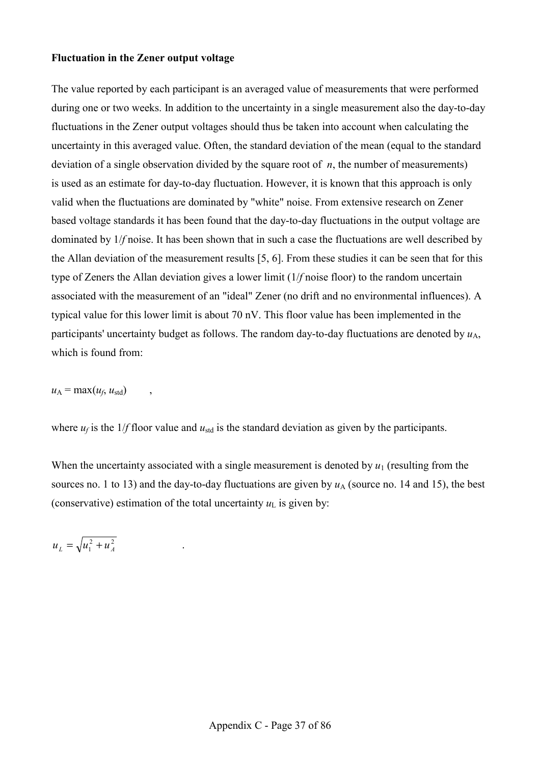## **Fluctuation in the Zener output voltage**

The value reported by each participant is an averaged value of measurements that were performed during one or two weeks. In addition to the uncertainty in a single measurement also the day-to-day fluctuations in the Zener output voltages should thus be taken into account when calculating the uncertainty in this averaged value. Often, the standard deviation of the mean (equal to the standard deviation of a single observation divided by the square root of *n*, the number of measurements) is used as an estimate for day-to-day fluctuation. However, it is known that this approach is only valid when the fluctuations are dominated by "white" noise. From extensive research on Zener based voltage standards it has been found that the day-to-day fluctuations in the output voltage are dominated by 1/*f* noise. It has been shown that in such a case the fluctuations are well described by the Allan deviation of the measurement results [5, 6]. From these studies it can be seen that for this type of Zeners the Allan deviation gives a lower limit (1/*f* noise floor) to the random uncertain associated with the measurement of an "ideal" Zener (no drift and no environmental influences). A typical value for this lower limit is about 70 nV. This floor value has been implemented in the participants' uncertainty budget as follows. The random day-to-day fluctuations are denoted by  $u_A$ , which is found from:

 $u_A$  = max( $u_f$ ,  $u_{std}$ )

where  $u_f$  is the 1/*f* floor value and  $u_{\text{std}}$  is the standard deviation as given by the participants.

When the uncertainty associated with a single measurement is denoted by  $u_1$  (resulting from the sources no. 1 to 13) and the day-to-day fluctuations are given by  $u_A$  (source no. 14 and 15), the best (conservative) estimation of the total uncertainty  $u<sub>L</sub>$  is given by:

 $u_L = \sqrt{u_1^2 + u_A^2}$  .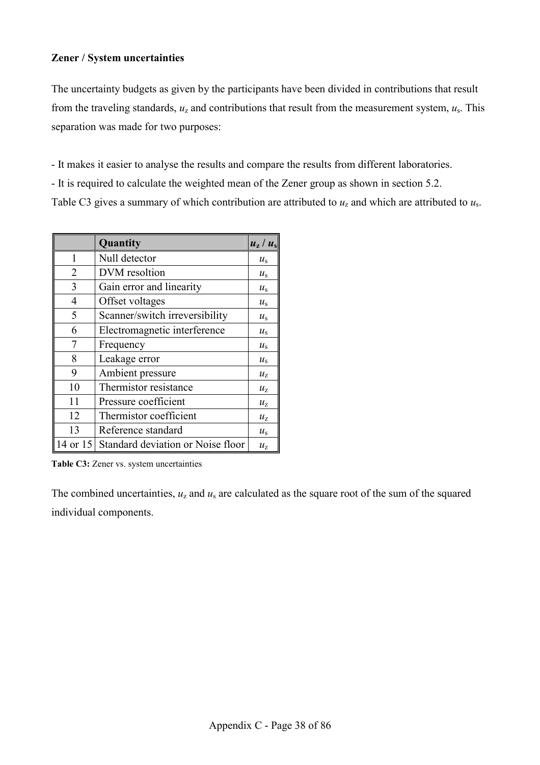## **Zener / System uncertainties**

The uncertainty budgets as given by the participants have been divided in contributions that result from the traveling standards,  $u_z$  and contributions that result from the measurement system,  $u_s$ . This separation was made for two purposes:

- It makes it easier to analyse the results and compare the results from different laboratories.

- It is required to calculate the weighted mean of the Zener group as shown in section 5.2.

Table C3 gives a summary of which contribution are attributed to  $u<sub>z</sub>$  and which are attributed to  $u<sub>s</sub>$ .

|                | Quantity                                   | $u_{\rm z}/u_{\rm s}$ |
|----------------|--------------------------------------------|-----------------------|
| 1              | Null detector                              | $u_{\rm s}$           |
| $\overline{2}$ | DVM resoltion                              | $u_{\rm s}$           |
| 3              | Gain error and linearity                   |                       |
| $\overline{4}$ | Offset voltages                            | $u_{\rm s}$           |
| 5              | Scanner/switch irreversibility             | $u_{\rm s}$           |
| 6              | Electromagnetic interference               | $u_{\rm s}$           |
| 7              | Frequency                                  | $u_{\rm s}$           |
| 8              | Leakage error                              | $u_{\rm s}$           |
| 9              | Ambient pressure                           | $u_{\rm z}$           |
| 10             | Thermistor resistance                      | $u_{\rm z}$           |
| 11             | Pressure coefficient                       | $u_{\rm z}$           |
| 12             | Thermistor coefficient                     | $u_{\rm z}$           |
| 13             | Reference standard                         | $u_{\rm s}$           |
|                | 14 or 15 Standard deviation or Noise floor | $u_{\rm z}$           |

Table C3: Zener vs. system uncertainties

The combined uncertainties,  $u_z$  and  $u_s$  are calculated as the square root of the sum of the squared individual components.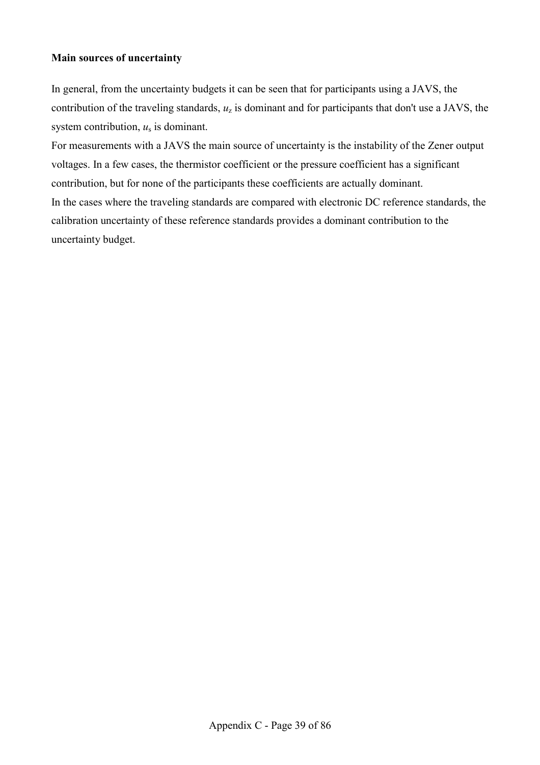## **Main sources of uncertainty**

In general, from the uncertainty budgets it can be seen that for participants using a JAVS, the contribution of the traveling standards, *u*z is dominant and for participants that don't use a JAVS, the system contribution, *u*s is dominant.

For measurements with a JAVS the main source of uncertainty is the instability of the Zener output voltages. In a few cases, the thermistor coefficient or the pressure coefficient has a significant contribution, but for none of the participants these coefficients are actually dominant. In the cases where the traveling standards are compared with electronic DC reference standards, the calibration uncertainty of these reference standards provides a dominant contribution to the uncertainty budget.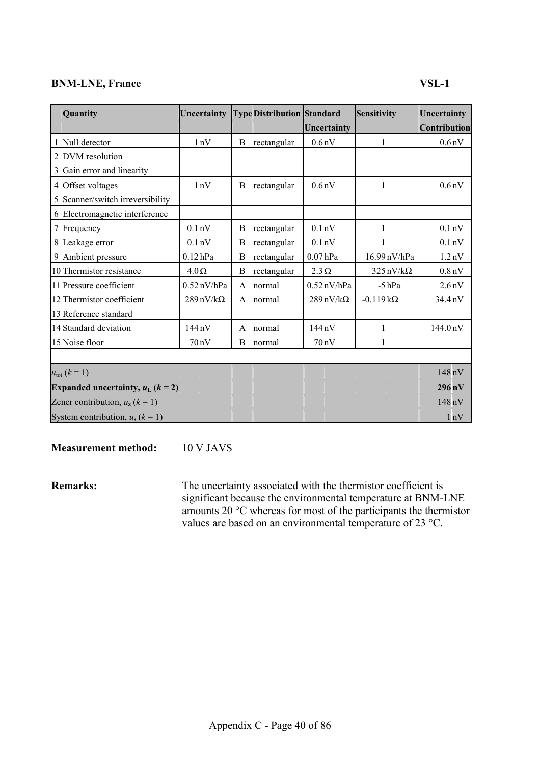## **BNM-LNE, France** VSL-1

| Quantity                                | Uncertainty                     |             | <b>TypeDistribution Standard</b> |                                 | Sensitivity                     | Uncertainty           |
|-----------------------------------------|---------------------------------|-------------|----------------------------------|---------------------------------|---------------------------------|-----------------------|
|                                         |                                 |             |                                  | Uncertainty                     |                                 | Contribution          |
| Null detector                           | 1nV                             | B           | rectangular                      | 0.6 <sub>n</sub> V              | 1                               | 0.6 <sub>n</sub> V    |
| 2 DVM resolution                        |                                 |             |                                  |                                 |                                 |                       |
| 3 Gain error and linearity              |                                 |             |                                  |                                 |                                 |                       |
| 4 Offset voltages                       | 1nV                             | B           | rectangular                      | 0.6 <sub>n</sub> V              | 1                               | 0.6 <sub>n</sub> V    |
| 5 Scanner/switch irreversibility        |                                 |             |                                  |                                 |                                 |                       |
| 6 Electromagnetic interference          |                                 |             |                                  |                                 |                                 |                       |
| Frequency                               | 0.1 <sub>n</sub> V              | B           | rectangular                      | 0.1 <sub>n</sub> V              | 1                               | 0.1 <sub>n</sub> V    |
| 8 Leakage error                         | 0.1 <sub>n</sub> V              | B           | rectangular                      | 0.1 <sub>n</sub> V              |                                 | 0.1 <sub>n</sub> V    |
| 9 Ambient pressure                      | $0.12$ hPa                      | $\mathbf B$ | rectangular                      | $0.07$ hPa                      | 16.99 nV/hPa                    | 1.2 <sub>n</sub> V    |
| 10 Thermistor resistance                | $4.0\,\Omega$                   | B           | rectangular                      | $2.3 \Omega$                    | $325 \text{ nV}/\text{k}\Omega$ | 0.8 <sub>n</sub> V    |
| 11 Pressure coefficient                 | $0.52$ nV/hPa                   | A           | normal                           | $0.52$ nV/hPa                   | $-5$ hPa                        | 2.6 <sub>n</sub> V    |
| 12 Thermistor coefficient               | $289 \text{ nV}/\text{k}\Omega$ | A           | normal                           | $289 \text{ nV}/\text{k}\Omega$ | $-0.119k\Omega$                 | 34.4 nV               |
| 13 Reference standard                   |                                 |             |                                  |                                 |                                 |                       |
| 14 Standard deviation                   | $144 \text{ nV}$                | A           | normal                           | $144 \text{ nV}$                | 1                               | $144.0 \,\mathrm{nV}$ |
| 15 Noise floor                          | 70nV                            | B           | normal                           | $70 \text{ nV}$                 | 1                               |                       |
|                                         |                                 |             |                                  |                                 |                                 |                       |
| $u_{\text{tot}} (k = 1)$                |                                 |             |                                  |                                 |                                 | 148 nV                |
| Expanded uncertainty, $u_L$ ( $k = 2$ ) |                                 |             |                                  |                                 |                                 | $296 \,\mathrm{nV}$   |
| Zener contribution, $u_z$ ( $k = 1$ )   |                                 |             |                                  |                                 |                                 | 148 nV                |
| System contribution, $u_s$ ( $k = 1$ )  |                                 |             |                                  |                                 |                                 | 1 <sub>n</sub> V      |

**Measurement method:** 10 V JAVS

**Remarks:** The uncertainty associated with the thermistor coefficient is significant because the environmental temperature at BNM-LNE amounts 20 °C whereas for most of the participants the thermistor values are based on an environmental temperature of 23 °C.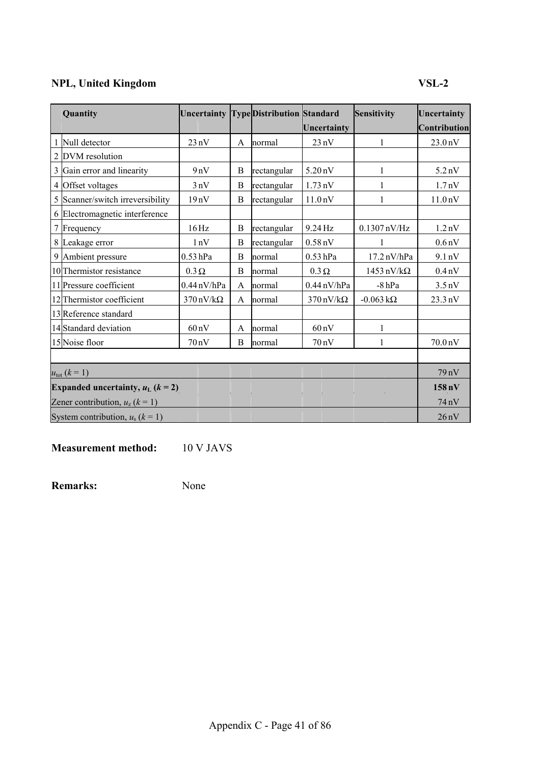## **NPL, United Kingdom VSL-2**

| Quantity                                | Uncertainty TypeDistribution Standard |   |             |                                 | Sensitivity                      | Uncertainty         |
|-----------------------------------------|---------------------------------------|---|-------------|---------------------------------|----------------------------------|---------------------|
|                                         |                                       |   |             | Uncertainty                     |                                  | <b>Contribution</b> |
| 1 Null detector                         | 23nV                                  | A | normal      | $23 \text{ nV}$                 | 1                                | 23.0 <sub>n</sub> V |
| 2 DVM resolution                        |                                       |   |             |                                 |                                  |                     |
| 3 Gain error and linearity              | 9nV                                   | B | rectangular | $5.20 \text{ nV}$               | 1                                | 5.2 <sub>n</sub> V  |
| 4 Offset voltages                       | 3nV                                   | B | rectangular | $1.73 \text{ nV}$               |                                  | 1.7 <sub>n</sub> V  |
| 5 Scanner/switch irreversibility        | 19nV                                  | B | rectangular | 11.0 <sub>n</sub> V             |                                  | 11.0 <sub>n</sub> V |
| 6 Electromagnetic interference          |                                       |   |             |                                 |                                  |                     |
| 7 Frequency                             | $16\,\mathrm{Hz}$                     | B | rectangular | 9.24 Hz                         | $0.1307$ nV/Hz                   | 1.2 <sub>n</sub> V  |
| 8 Leakage error                         | 1nV                                   | B | rectangular | $0.58$ nV                       |                                  | 0.6 <sub>n</sub> V  |
| 9 Ambient pressure                      | $0.53$ hPa                            | B | normal      | $0.53$ hPa                      | $17.2 \text{ nV/hPa}$            | 9.1 nV              |
| 10 Thermistor resistance                | $0.3 \Omega$                          | B | normal      | $0.3 \Omega$                    | $1453 \text{ nV}/\text{k}\Omega$ | 0.4 <sub>n</sub> V  |
| 11 Pressure coefficient                 | $0.44$ nV/hPa                         | A | normal      | $0.44 \text{ nV/hPa}$           | $-8$ hPa                         | $3.5 \text{ nV}$    |
| 12 Thermistor coefficient               | $370 \text{ nV}/\text{k}\Omega$       | A | normal      | $370 \text{ nV}/\text{k}\Omega$ | $-0.063 \text{ k}\Omega$         | 23.3 nV             |
| 13 Reference standard                   |                                       |   |             |                                 |                                  |                     |
| 14 Standard deviation                   | $60\,\mathrm{nV}$                     | A | normal      | $60\,\mathrm{nV}$               | 1                                |                     |
| 15 Noise floor                          | 70nV                                  | B | normal      | 70nV                            |                                  | 70.0 <sub>n</sub> V |
|                                         |                                       |   |             |                                 |                                  |                     |
| $u_{\text{tot}} (k = 1)$                |                                       |   |             |                                 |                                  | 79 nV               |
| Expanded uncertainty, $u_L$ ( $k = 2$ ) |                                       |   |             |                                 |                                  | $158 \text{ nV}$    |
| Zener contribution, $u_z$ ( $k = 1$ )   |                                       |   |             |                                 |                                  | 74 nV               |
| System contribution, $u_s$ ( $k = 1$ )  |                                       |   |             |                                 |                                  | 26nV                |

**Measurement method:** 10 V JAVS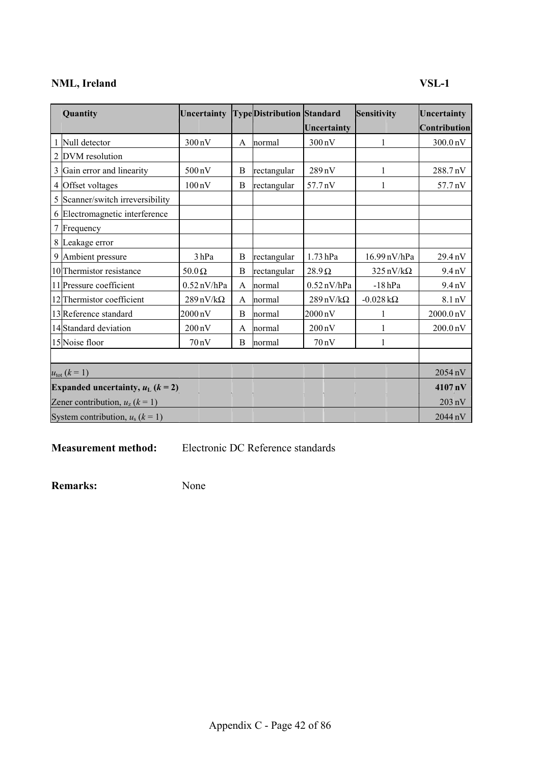## **NML, Ireland VSL-1**

| Quantity                                | Uncertainty                     |   | <b>TypeDistribution Standard</b> |                                 | Sensitivity                     | Uncertainty           |
|-----------------------------------------|---------------------------------|---|----------------------------------|---------------------------------|---------------------------------|-----------------------|
|                                         |                                 |   |                                  | Uncertainty                     |                                 | Contribution          |
| Null detector                           | 300 nV                          | A | normal                           | $300\,\mathrm{nV}$              |                                 | 300.0 nV              |
| 2 DVM resolution                        |                                 |   |                                  |                                 |                                 |                       |
| 3 Gain error and linearity              | $500\,\mathrm{nV}$              | B | rectangular                      | 289 nV                          |                                 | 288.7nV               |
| 4 Offset voltages                       | $100\,\mathrm{nV}$              | B | rectangular                      | 57.7 nV                         |                                 | 57.7 nV               |
| 5 Scanner/switch irreversibility        |                                 |   |                                  |                                 |                                 |                       |
| 6 Electromagnetic interference          |                                 |   |                                  |                                 |                                 |                       |
| Frequency                               |                                 |   |                                  |                                 |                                 |                       |
| 8 Leakage error                         |                                 |   |                                  |                                 |                                 |                       |
| 9 Ambient pressure                      | 3hPa                            | B | rectangular                      | $1.73$ hPa                      | 16.99 nV/hPa                    | 29.4 nV               |
| 10 Thermistor resistance                | $50.0\,\Omega$                  | B | rectangular                      | $28.9 \Omega$                   | $325 \text{ nV}/\text{k}\Omega$ | 9.4 <sub>n</sub> V    |
| 11 Pressure coefficient                 | $0.52$ nV/hPa                   | A | normal                           | $0.52$ nV/hPa                   | $-18$ hPa                       | 9.4 <sub>n</sub> V    |
| 12 Thermistor coefficient               | $289 \text{ nV}/\text{k}\Omega$ | A | normal                           | $289 \text{ nV}/\text{k}\Omega$ | $-0.028 \text{ k}\Omega$        | 8.1 nV                |
| 13 Reference standard                   | $2000\,\mathrm{nV}$             | B | normal                           | $2000\,\mathrm{nV}$             |                                 | $2000.0\,\mathrm{nV}$ |
| 14 Standard deviation                   | $200 \text{ nV}$                | A | normal                           | $200\,\mathrm{nV}$              |                                 | 200.0 <sub>n</sub> V  |
| 15 Noise floor                          | 70nV                            | B | normal                           | $70 \text{ nV}$                 |                                 |                       |
|                                         |                                 |   |                                  |                                 |                                 |                       |
| $u_{\text{tot}} (k = 1)$                |                                 |   |                                  |                                 |                                 | 2054 nV               |
| Expanded uncertainty, $u_L$ ( $k = 2$ ) |                                 |   |                                  |                                 |                                 | 4107 nV               |
| Zener contribution, $u_z$ ( $k = 1$ )   |                                 |   |                                  |                                 |                                 | $203 \text{ nV}$      |
| System contribution, $u_s$ ( $k = 1$ )  |                                 |   |                                  |                                 |                                 | $2044\,\mathrm{nV}$   |

**Measurement method:** Electronic DC Reference standards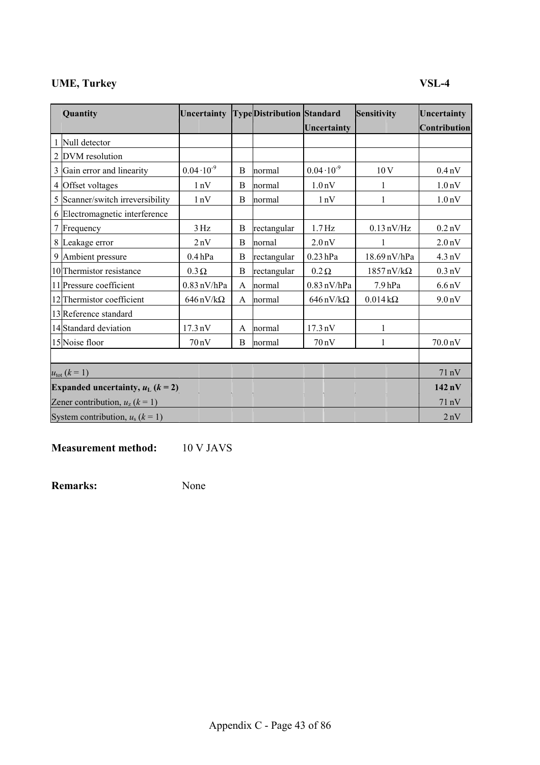## **UME, Turkey VSL-4**

|                | Quantity                                | Uncertainty                     |   | <b>TypeDistribution Standard</b> |                                 | <b>Sensitivity</b>               | Uncertainty        |
|----------------|-----------------------------------------|---------------------------------|---|----------------------------------|---------------------------------|----------------------------------|--------------------|
|                |                                         |                                 |   |                                  | Uncertainty                     |                                  | Contribution       |
|                | Null detector                           |                                 |   |                                  |                                 |                                  |                    |
| $\overline{2}$ | DVM resolution                          |                                 |   |                                  |                                 |                                  |                    |
|                | 3 Gain error and linearity              | $0.04 \cdot 10^{-9}$            | B | normal                           | $0.04 \cdot 10^{-9}$            | 10V                              | $0.4\,\mathrm{nV}$ |
| 4              | Offset voltages                         | 1nV                             | B | normal                           | 1.0 <sub>n</sub> V              | 1                                | 1.0 <sub>n</sub> V |
|                | 5 Scanner/switch irreversibility        | 1nV                             | B | normal                           | 1nV                             | 1                                | 1.0 <sub>n</sub> V |
|                | 6 Electromagnetic interference          |                                 |   |                                  |                                 |                                  |                    |
| $\tau$         | Frequency                               | 3 Hz                            | B | rectangular                      | $1.7\,\mathrm{Hz}$              | $0.13 \text{ nV/Hz}$             | $0.2$ nV           |
|                | 8 Leakage error                         | 2nV                             | B | nornal                           | 2.0 <sub>n</sub> V              |                                  | 2.0 <sub>n</sub> V |
|                | 9 Ambient pressure                      | 0.4hPa                          | B | rectangular                      | $0.23$ hPa                      | 18.69 nV/hPa                     | $4.3 \text{ nV}$   |
|                | 10 Thermistor resistance                | $0.3 \Omega$                    | B | rectangular                      | $0.2 \Omega$                    | $1857 \text{ nV}/\text{k}\Omega$ | $0.3 \text{ nV}$   |
|                | 11 Pressure coefficient                 | $0.83$ nV/hPa                   | A | normal                           | $0.83$ nV/hPa                   | 7.9 <sub>hPa</sub>               | 6.6 <sub>n</sub> V |
|                | 12 Thermistor coefficient               | $646 \text{ nV}/\text{k}\Omega$ | A | normal                           | $646 \text{ nV}/\text{k}\Omega$ | $0.014\,\mathrm{k}\Omega$        | 9.0 <sub>n</sub> V |
|                | 13 Reference standard                   |                                 |   |                                  |                                 |                                  |                    |
|                | 14 Standard deviation                   | $17.3 \text{ nV}$               | A | normal                           | $17.3 \text{ nV}$               | 1                                |                    |
|                | 15 Noise floor                          | 70nV                            | B | normal                           | $70 \text{ nV}$                 | 1                                | 70.0 nV            |
|                |                                         |                                 |   |                                  |                                 |                                  |                    |
|                | $u_{\text{tot}} (k = 1)$                |                                 |   |                                  |                                 |                                  | 71nV               |
|                | Expanded uncertainty, $u_L$ ( $k = 2$ ) |                                 |   |                                  |                                 |                                  | $142\,\mathrm{nV}$ |
|                | Zener contribution, $u_z$ ( $k = 1$ )   |                                 |   |                                  |                                 |                                  | 71nV               |
|                | System contribution, $u_s$ ( $k = 1$ )  |                                 |   |                                  |                                 |                                  | 2nV                |

**Measurement method:** 10 V JAVS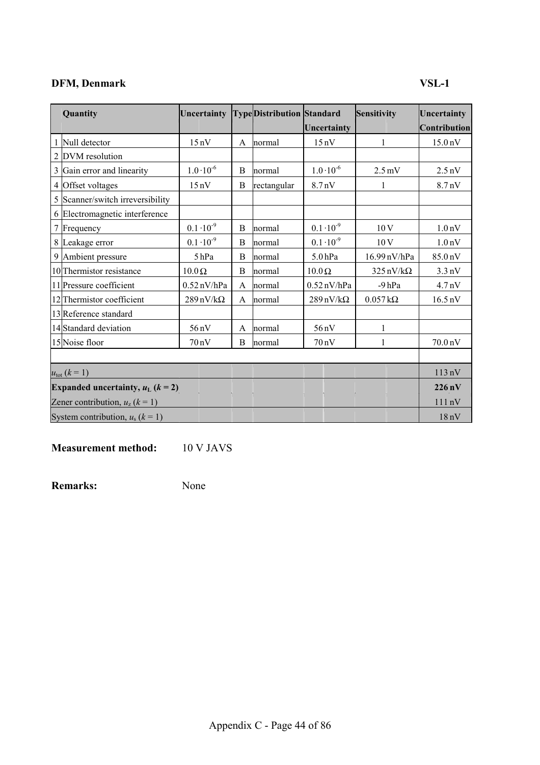## **DFM, Denmark VSL-1**

| Quantity                                | Uncertainty                     |   | <b>TypeDistribution Standard</b> |                                 | Sensitivity                     | Uncertainty         |
|-----------------------------------------|---------------------------------|---|----------------------------------|---------------------------------|---------------------------------|---------------------|
|                                         |                                 |   |                                  | Uncertainty                     |                                 | Contribution        |
| Null detector                           | $15 \text{ nV}$                 | A | normal                           | 15nV                            | 1                               | 15.0 <sub>n</sub> V |
| 2 DVM resolution                        |                                 |   |                                  |                                 |                                 |                     |
| 3 Gain error and linearity              | $1.0 \cdot 10^{-6}$             | B | normal                           | $1.0 \cdot 10^{-6}$             | $2.5 \,\mathrm{mV}$             | $2.5 \text{ nV}$    |
| 4 Offset voltages                       | 15nV                            | B | rectangular                      | 8.7 <sub>n</sub> V              | 1                               | 8.7 <sub>n</sub> V  |
| 5 Scanner/switch irreversibility        |                                 |   |                                  |                                 |                                 |                     |
| 6 Electromagnetic interference          |                                 |   |                                  |                                 |                                 |                     |
| 7 Frequency                             | $0.1 \cdot 10^{-9}$             | B | normal                           | $0.1 \cdot 10^{-9}$             | 10V                             | 1.0 <sub>n</sub> V  |
| 8 Leakage error                         | $0.1 \cdot 10^{-9}$             | B | normal                           | $0.1 \cdot 10^{-9}$             | 10V                             | 1.0 <sub>n</sub> V  |
| 9 Ambient pressure                      | 5hPa                            | B | normal                           | 5.0 <sub>hPa</sub>              | 16.99 nV/hPa                    | 85.0 nV             |
| 10 Thermistor resistance                | $10.0\Omega$                    | B | normal                           | $10.0 \Omega$                   | $325 \text{ nV}/\text{k}\Omega$ | $3.3 \text{ nV}$    |
| 11 Pressure coefficient                 | $0.52$ nV/hPa                   | A | normal                           | $0.52$ nV/hPa                   | $-9hPa$                         | 4.7 <sub>n</sub> V  |
| 12 Thermistor coefficient               | $289 \text{ nV}/\text{k}\Omega$ | A | normal                           | $289 \text{ nV}/\text{k}\Omega$ | $0.057\,\mathrm{k}\Omega$       | $16.5 \text{ nV}$   |
| 13 Reference standard                   |                                 |   |                                  |                                 |                                 |                     |
| 14 Standard deviation                   | 56 nV                           | A | normal                           | 56 nV                           | $\mathbf{1}$                    |                     |
| 15 Noise floor                          | 70nV                            | B | normal                           | $70 \text{ nV}$                 | 1                               | 70.0 nV             |
|                                         |                                 |   |                                  |                                 |                                 |                     |
| $u_{\text{tot}} (k = 1)$                |                                 |   |                                  |                                 |                                 | 113nV               |
| Expanded uncertainty, $u_L$ ( $k = 2$ ) |                                 |   |                                  |                                 |                                 | $226\,\mathrm{nV}$  |
| Zener contribution, $u_z$ ( $k = 1$ )   |                                 |   |                                  |                                 |                                 | 111nV               |
| System contribution, $u_s$ ( $k = 1$ )  |                                 |   |                                  |                                 |                                 | 18nV                |

**Measurement method:** 10 V JAVS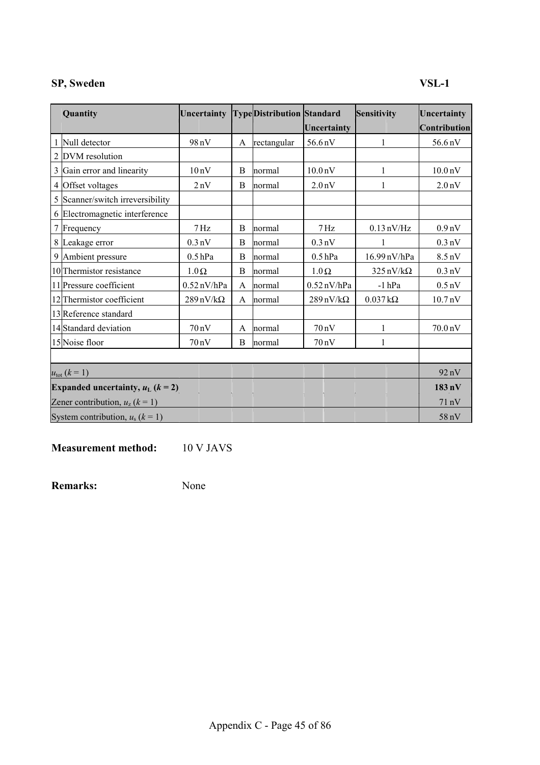## **SP, Sweden VSL-1**

| Quantity                                        | Uncertainty                     |              | <b>TypeDistribution Standard</b> |                                 | Sensitivity                     | Uncertainty         |
|-------------------------------------------------|---------------------------------|--------------|----------------------------------|---------------------------------|---------------------------------|---------------------|
|                                                 |                                 |              |                                  | Uncertainty                     |                                 | <b>Contribution</b> |
| Null detector                                   | 98nV                            | A            | rectangular                      | 56.6 nV                         | 1                               | $56.6 \text{ nV}$   |
| 2 DVM resolution                                |                                 |              |                                  |                                 |                                 |                     |
| 3 Gain error and linearity                      | 10 <sub>n</sub> V               | <sub>B</sub> | normal                           | 10.0 <sub>n</sub> V             |                                 | 10.0 <sub>n</sub> V |
| 4 Offset voltages                               | 2nV                             | B            | normal                           | 2.0 <sub>n</sub> V              |                                 | 2.0 <sub>n</sub> V  |
| 5 Scanner/switch irreversibility                |                                 |              |                                  |                                 |                                 |                     |
| 6 Electromagnetic interference                  |                                 |              |                                  |                                 |                                 |                     |
| 7 Frequency                                     | $7\,\mathrm{Hz}$                | B            | normal                           | $7\,\mathrm{Hz}$                | $0.13 \text{ nV/Hz}$            | 0.9 <sub>n</sub> V  |
| 8 Leakage error                                 | $0.3 \text{ nV}$                | B            | normal                           | $0.3 \text{ nV}$                | 1                               | $0.3 \text{ nV}$    |
| 9 Ambient pressure                              | $0.5$ hPa                       | B            | normal                           | $0.5$ hPa                       | 16.99 nV/hPa                    | $8.5 \text{ nV}$    |
| 10 Thermistor resistance                        | $1.0\,\Omega$                   | B            | normal                           | $1.0 \Omega$                    | $325 \text{ nV}/\text{k}\Omega$ | $0.3 \text{ nV}$    |
| 11 Pressure coefficient                         | $0.52$ nV/hPa                   | A            | normal                           | $0.52$ nV/hPa                   | $-l$ hPa                        | $0.5 \text{ nV}$    |
| 12 Thermistor coefficient                       | $289 \text{ nV}/\text{k}\Omega$ | A            | normal                           | $289 \text{ nV}/\text{k}\Omega$ | $0.037\,\mathrm{k}\Omega$       | 10.7 <sub>n</sub> V |
| 13 Reference standard                           |                                 |              |                                  |                                 |                                 |                     |
| 14 Standard deviation                           | $70 \text{ nV}$                 | A            | normal                           | 70nV                            | 1                               | 70.0 nV             |
| 15 Noise floor                                  | $70 \text{ nV}$                 | B            | normal                           | $70 \text{ nV}$                 | 1                               |                     |
|                                                 |                                 |              |                                  |                                 |                                 |                     |
| $u_{\text{tot}} (k = 1)$                        |                                 |              |                                  |                                 |                                 | 92 nV               |
| Expanded uncertainty, $u_L$ ( $k = 2$ )         |                                 |              |                                  |                                 |                                 | $183 \text{ nV}$    |
| Zener contribution, $u_z$ ( $\overline{k}$ = 1) |                                 |              |                                  |                                 |                                 | $71 \text{ nV}$     |
| System contribution, $u_s$ ( $k = 1$ )          |                                 |              |                                  |                                 |                                 | 58 nV               |

**Measurement method:** 10 V JAVS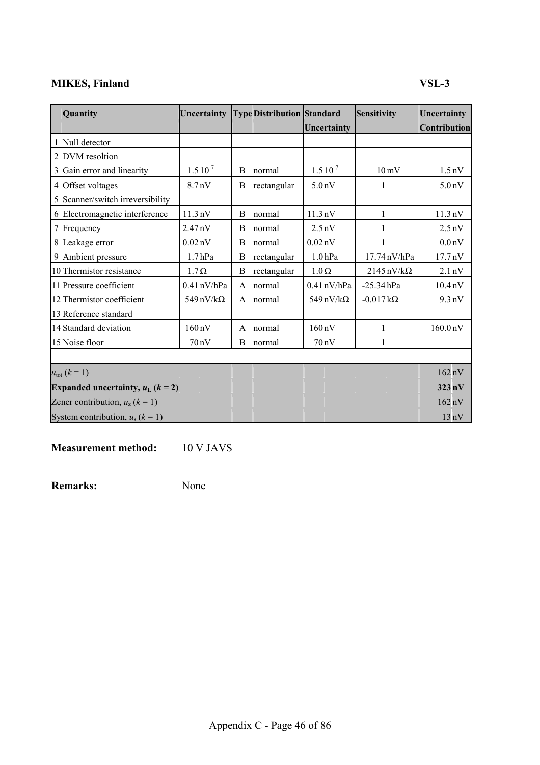## **MIKES, Finland VSL-3**

| Quantity                                | Uncertainty                     |   | <b>TypeDistribution Standard</b> |                     | Sensitivity                      | Uncertainty          |
|-----------------------------------------|---------------------------------|---|----------------------------------|---------------------|----------------------------------|----------------------|
|                                         |                                 |   |                                  | Uncertainty         |                                  | Contribution         |
| Null detector                           |                                 |   |                                  |                     |                                  |                      |
| 2 DVM resoltion                         |                                 |   |                                  |                     |                                  |                      |
| 3 Gain error and linearity              | $1.510^{-7}$                    | B | normal                           | $1.510^{-7}$        | $10 \,\mathrm{mV}$               | $1.5 \text{ nV}$     |
| 4 Offset voltages                       | 8.7 <sub>n</sub> V              | B | rectangular                      | 5.0 <sub>n</sub> V  |                                  | 5.0 <sub>n</sub> V   |
| 5 Scanner/switch irreversibility        |                                 |   |                                  |                     |                                  |                      |
| 6 Electromagnetic interference          | $11.3 \text{ nV}$               | B | normal                           | $11.3 \text{ nV}$   |                                  | $11.3 \text{ nV}$    |
| 7 Frequency                             | $2.47 \text{ nV}$               | B | normal                           | $2.5 \text{ nV}$    |                                  | $2.5 \text{ nV}$     |
| 8 Leakage error                         | $0.02\,\mathrm{nV}$             | B | normal                           | $0.02\,\mathrm{nV}$ |                                  | 0.0 <sub>n</sub> V   |
| 9 Ambient pressure                      | 1.7 <sub>hPa</sub>              | B | rectangular                      | $1.0\,\mathrm{hPa}$ | 17.74 nV/hPa                     | 17.7 nV              |
| 10 Thermistor resistance                | $1.7\Omega$                     | B | rectangular                      | $1.0 \Omega$        | $2145 \text{ nV}/\text{k}\Omega$ | $2.1 \text{ nV}$     |
| 11 Pressure coefficient                 | $0.41$ nV/hPa                   | A | normal                           | $0.41$ nV/hPa       | $-25.34$ hPa                     | 10.4 <sub>n</sub> V  |
| 12 Thermistor coefficient               | $549 \text{ nV}/\text{k}\Omega$ | A | normal                           | 549 nV/k $\Omega$   | $-0.017 \, k\Omega$              | $9.3 \text{ nV}$     |
| 13 Reference standard                   |                                 |   |                                  |                     |                                  |                      |
| 14 Standard deviation                   | $160 \text{ nV}$                | A | normal                           | $160 \text{ nV}$    | 1                                | 160.0 <sub>n</sub> V |
| 15 Noise floor                          | 70nV                            | B | normal                           | $70 \text{ nV}$     | 1                                |                      |
|                                         |                                 |   |                                  |                     |                                  |                      |
| $u_{\text{tot}} (k = 1)$                |                                 |   |                                  |                     |                                  | $162 \text{ nV}$     |
| Expanded uncertainty, $u_L$ ( $k = 2$ ) |                                 |   |                                  |                     |                                  | $323 \text{ nV}$     |
| Zener contribution, $u_z$ ( $k = 1$ )   |                                 |   |                                  |                     |                                  | $162 \text{ nV}$     |
| System contribution, $u_s$ ( $k = 1$ )  |                                 |   |                                  |                     |                                  | $13 \text{ nV}$      |

**Measurement method:** 10 V JAVS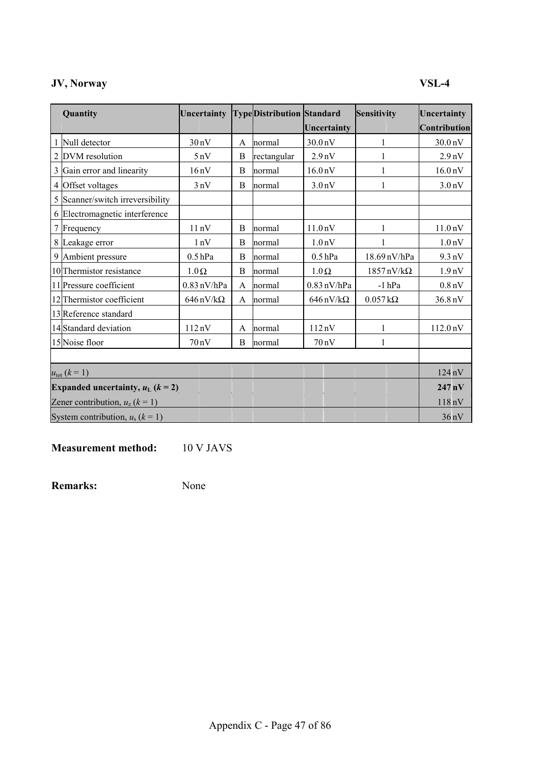## **JV, Norway VSL-4**

| Quantity                                        | Uncertainty                     |   | <b>TypeDistribution Standard</b> |                                 | Sensitivity                      | Uncertainty          |
|-------------------------------------------------|---------------------------------|---|----------------------------------|---------------------------------|----------------------------------|----------------------|
|                                                 |                                 |   |                                  | Uncertainty                     |                                  | <b>Contribution</b>  |
| Null detector                                   | 30nV                            | A | normal                           | 30.0 <sub>n</sub> V             | 1                                | 30.0 <sub>n</sub> V  |
| 2 DVM resolution                                | 5nV                             | B | rectangular                      | 2.9 <sub>n</sub> V              |                                  | 2.9 <sub>nV</sub>    |
| 3 Gain error and linearity                      | 16nV                            | B | normal                           | 16.0 <sub>n</sub> V             |                                  | 16.0 <sub>n</sub> V  |
| 4 Offset voltages                               | 3nV                             | B | normal                           | 3.0 <sub>n</sub> V              |                                  | 3.0 <sub>n</sub> V   |
| 5 Scanner/switch irreversibility                |                                 |   |                                  |                                 |                                  |                      |
| 6 Electromagnetic interference                  |                                 |   |                                  |                                 |                                  |                      |
| 7 Frequency                                     | 11nV                            | B | normal                           | 11.0 <sub>n</sub> V             |                                  | 11.0 <sub>n</sub> V  |
| 8 Leakage error                                 | 1nV                             | B | normal                           | 1.0 <sub>n</sub> V              |                                  | 1.0 <sub>n</sub> V   |
| 9 Ambient pressure                              | $0.5$ hPa                       | B | normal                           | $0.5$ hPa                       | 18.69 nV/hPa                     | $9.3 \text{ nV}$     |
| 10 Thermistor resistance                        | $1.0\,\Omega$                   | B | normal                           | $1.0 \Omega$                    | $1857 \text{ nV}/\text{k}\Omega$ | 1.9 <sub>n</sub> V   |
| 11 Pressure coefficient                         | $0.83$ nV/hPa                   | A | normal                           | $0.83$ nV/hPa                   | $-l$ hPa                         | 0.8 <sub>n</sub> V   |
| 12 Thermistor coefficient                       | $646 \text{ nV}/\text{k}\Omega$ | A | normal                           | $646 \text{ nV}/\text{k}\Omega$ | $0.057\,\mathrm{k}\Omega$        | 36.8 nV              |
| 13 Reference standard                           |                                 |   |                                  |                                 |                                  |                      |
| 14 Standard deviation                           | 112nV                           | A | normal                           | 112nV                           | 1                                | 112.0 <sub>n</sub> V |
| 15 Noise floor                                  | 70nV                            | B | normal                           | 70 nV                           | 1                                |                      |
|                                                 |                                 |   |                                  |                                 |                                  |                      |
| $u_{\text{tot}} (k = 1)$                        |                                 |   |                                  |                                 |                                  | $124 \text{ nV}$     |
| Expanded uncertainty, $u_L$ ( $k = 2$ )         |                                 |   |                                  |                                 |                                  | $247 \text{ nV}$     |
| Zener contribution, $u_z$ ( $\overline{k}$ = 1) |                                 |   |                                  |                                 |                                  | 118nV                |
| System contribution, $u_s$ ( $k = 1$ )          |                                 |   |                                  |                                 |                                  | $36 \text{ nV}$      |

**Measurement method:** 10 V JAVS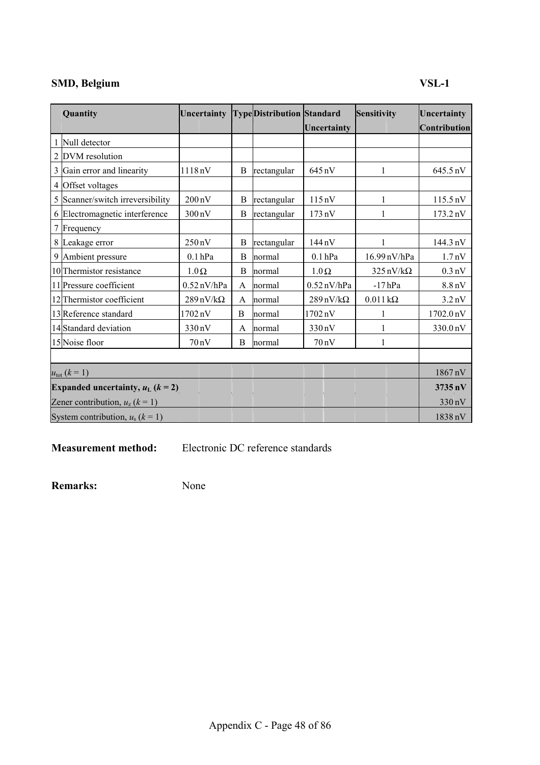## **SMD, Belgium VSL-1**

| Quantity                                | Uncertainty                     |   | <b>TypeDistribution Standard</b> |                                 | Sensitivity                     | Uncertainty        |
|-----------------------------------------|---------------------------------|---|----------------------------------|---------------------------------|---------------------------------|--------------------|
|                                         |                                 |   |                                  | Uncertainty                     |                                 | Contribution       |
| Null detector                           |                                 |   |                                  |                                 |                                 |                    |
| 2 DVM resolution                        |                                 |   |                                  |                                 |                                 |                    |
| 3 Gain error and linearity              | 1118nV                          | B | rectangular                      | 645 nV                          |                                 | 645.5 nV           |
| 4 Offset voltages                       |                                 |   |                                  |                                 |                                 |                    |
| 5 Scanner/switch irreversibility        | $200\,\mathrm{nV}$              | B | rectangular                      | 115nV                           | 1                               | $115.5 \text{ nV}$ |
| 6 Electromagnetic interference          | $300\,\mathrm{nV}$              | B | rectangular                      | $173 \text{ nV}$                |                                 | 173.2 nV           |
| 7 Frequency                             |                                 |   |                                  |                                 |                                 |                    |
| 8 Leakage error                         | $250 \text{ nV}$                | B | rectangular                      | $144 \text{ nV}$                | 1                               | 144.3 nV           |
| 9 Ambient pressure                      | $0.1$ hPa                       | B | normal                           | $0.1$ hPa                       | 16.99 nV/hPa                    | 1.7 <sub>n</sub> V |
| 10 Thermistor resistance                | $1.0\,\Omega$                   | B | normal                           | $1.0 \Omega$                    | $325 \text{ nV}/\text{k}\Omega$ | $0.3 \text{ nV}$   |
| 11 Pressure coefficient                 | $0.52$ nV/hPa                   | A | normal                           | $0.52$ nV/hPa                   | $-17$ hPa                       | $8.8 \text{ nV}$   |
| 12 Thermistor coefficient               | $289 \text{ nV}/\text{k}\Omega$ | A | normal                           | $289 \text{ nV}/\text{k}\Omega$ | $0.011\,\mathrm{k}\Omega$       | $3.2 \text{ nV}$   |
| 13 Reference standard                   | $1702\,\mathrm{nV}$             | B | normal                           | 1702 nV                         |                                 | 1702.0 nV          |
| 14 Standard deviation                   | 330 nV                          | A | normal                           | 330 nV                          |                                 | 330.0 nV           |
| 15 Noise floor                          | $70 \text{ nV}$                 | B | normal                           | $70 \text{ nV}$                 | 1                               |                    |
|                                         |                                 |   |                                  |                                 |                                 |                    |
| $u_{\text{tot}} (k = 1)$                |                                 |   |                                  |                                 |                                 | 1867nV             |
| Expanded uncertainty, $u_L$ ( $k = 2$ ) |                                 |   |                                  |                                 |                                 | 3735 nV            |
| Zener contribution, $u_z$ ( $k = 1$ )   |                                 |   |                                  |                                 |                                 | 330 nV             |
| System contribution, $u_s$ ( $k = 1$ )  |                                 |   |                                  |                                 |                                 | 1838 nV            |

**Measurement method:** Electronic DC reference standards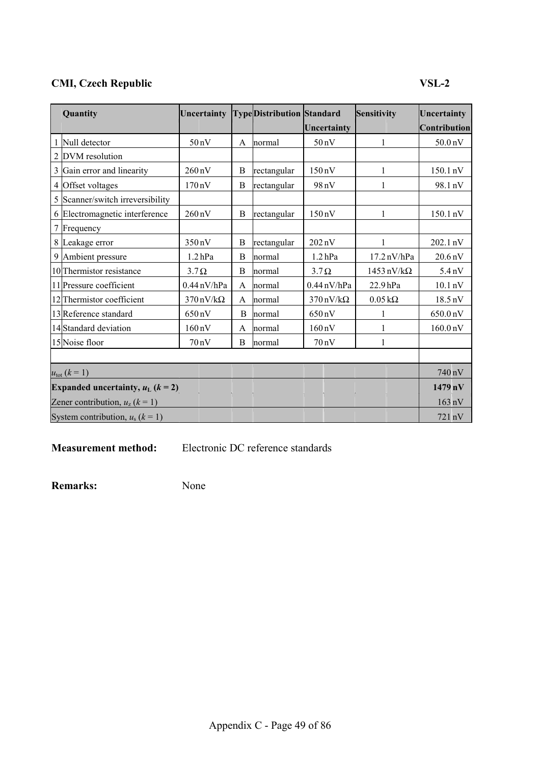## **CMI, Czech Republic VSL-2**

| Quantity                                | Uncertainty TypeDistribution Standard |   |             |                                 | Sensitivity                      | Uncertainty          |
|-----------------------------------------|---------------------------------------|---|-------------|---------------------------------|----------------------------------|----------------------|
|                                         |                                       |   |             | Uncertainty                     |                                  | <b>Contribution</b>  |
| 1 Null detector                         | 50 <sub>n</sub> V                     | A | normal      | 50 <sub>n</sub> V               | 1                                | 50.0 <sub>n</sub> V  |
| 2 DVM resolution                        |                                       |   |             |                                 |                                  |                      |
| 3 Gain error and linearity              | $260\,\mathrm{nV}$                    | B | rectangular | $150 \text{ nV}$                | 1                                | 150.1 nV             |
| 4 Offset voltages                       | $170 \text{ nV}$                      | B | rectangular | 98 nV                           |                                  | 98.1 nV              |
| 5 Scanner/switch irreversibility        |                                       |   |             |                                 |                                  |                      |
| 6 Electromagnetic interference          | $260 \,\mathrm{nV}$                   | B | rectangular | $150 \text{ nV}$                |                                  | 150.1 nV             |
| 7 Frequency                             |                                       |   |             |                                 |                                  |                      |
| 8 Leakage error                         | $350 \text{ nV}$                      | B | rectangular | $202\,\mathrm{nV}$              | 1                                | 202.1 nV             |
| 9 Ambient pressure                      | $1.2$ hPa                             | B | normal      | $1.2$ hPa                       | $17.2 \text{ nV/hPa}$            | $20.6\,\mathrm{nV}$  |
| 10 Thermistor resistance                | $3.7\Omega$                           | B | normal      | $3.7\Omega$                     | $1453 \text{ nV}/\text{k}\Omega$ | $5.4 \text{ nV}$     |
| 11 Pressure coefficient                 | $0.44$ nV/hPa                         | A | normal      | $0.44 \text{ nV/hPa}$           | 22.9 <sub>hPa</sub>              | $10.1 \text{ nV}$    |
| 12 Thermistor coefficient               | $370 \text{ nV}/\text{k}\Omega$       | A | normal      | $370 \text{ nV}/\text{k}\Omega$ | $0.05\,\mathrm{k}\Omega$         | 18.5 nV              |
| 13 Reference standard                   | $650 \text{ nV}$                      | B | normal      | 650 nV                          |                                  | 650.0 nV             |
| 14 Standard deviation                   | $160 \text{ nV}$                      | A | normal      | $160 \text{ nV}$                | 1                                | 160.0 <sub>n</sub> V |
| 15 Noise floor                          | 70 nV                                 | B | normal      | $70 \text{ nV}$                 | 1                                |                      |
|                                         |                                       |   |             |                                 |                                  |                      |
| $u_{\text{tot}} (k = 1)$                |                                       |   |             |                                 |                                  | 740 nV               |
| Expanded uncertainty, $u_L$ ( $k = 2$ ) |                                       |   |             |                                 |                                  | $1479$ nV            |
| Zener contribution, $u_z$ ( $k = 1$ )   |                                       |   |             |                                 |                                  | $163 \text{ nV}$     |
| System contribution, $u_s$ ( $k = 1$ )  |                                       |   |             |                                 |                                  | 721 nV               |

**Measurement method:** Electronic DC reference standards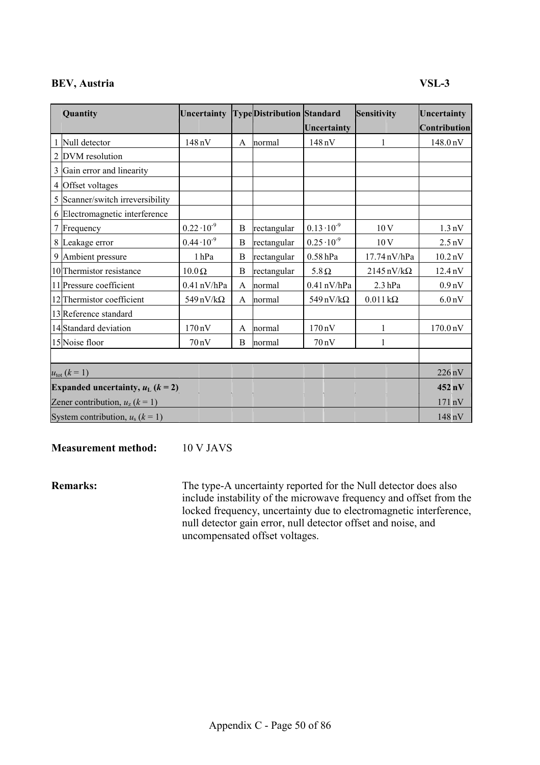## **BEV, Austria VSL-3**

| Quantity                                | Uncertainty                     |              | <b>TypeDistribution Standard</b> |                      | Sensitivity                      | Uncertainty          |
|-----------------------------------------|---------------------------------|--------------|----------------------------------|----------------------|----------------------------------|----------------------|
|                                         |                                 |              |                                  | Uncertainty          |                                  | Contribution         |
| Null detector                           | 148 nV                          | A            | normal                           | 148 nV               | 1                                | 148.0 nV             |
| 2 DVM resolution                        |                                 |              |                                  |                      |                                  |                      |
| 3 Gain error and linearity              |                                 |              |                                  |                      |                                  |                      |
| 4 Offset voltages                       |                                 |              |                                  |                      |                                  |                      |
| 5 Scanner/switch irreversibility        |                                 |              |                                  |                      |                                  |                      |
| 6 Electromagnetic interference          |                                 |              |                                  |                      |                                  |                      |
| 7 Frequency                             | $0.22 \cdot 10^{-9}$            | B            | rectangular                      | $0.13 \cdot 10^{-9}$ | 10V                              | $1.3 \text{ nV}$     |
| 8 Leakage error                         | $0.44 \cdot 10^{-9}$            | B            | rectangular                      | $0.25 \cdot 10^{-9}$ | 10V                              | $2.5 \text{ nV}$     |
| 9 Ambient pressure                      | 1hPa                            | B            | rectangular                      | $0.58$ hPa           | 17.74 nV/hPa                     | $10.2\,\mathrm{nV}$  |
| 10 Thermistor resistance                | $10.0 \Omega$                   | B            | rectangular                      | $5.8\,\Omega$        | $2145 \text{ nV}/\text{k}\Omega$ | 12.4 <sub>n</sub> V  |
| 11 Pressure coefficient                 | $0.41$ nV/hPa                   | A            | normal                           | $0.41$ nV/hPa        | $2.3$ hPa                        | 0.9 <sub>n</sub> V   |
| 12 Thermistor coefficient               | $549 \text{ nV}/\text{k}\Omega$ | A            | normal                           | 549 nV/k $\Omega$    | $0.011 \text{ k}\Omega$          | 6.0 <sub>n</sub> V   |
| 13 Reference standard                   |                                 |              |                                  |                      |                                  |                      |
| 14 Standard deviation                   | $170 \,\mathrm{nV}$             | $\mathsf{A}$ | normal                           | $170 \text{ nV}$     | 1                                | 170.0 <sub>n</sub> V |
| 15 Noise floor                          | 70nV                            | B            | normal                           | $70 \text{ nV}$      | 1                                |                      |
|                                         |                                 |              |                                  |                      |                                  |                      |
| $u_{\text{tot}} (k = 1)$                |                                 |              |                                  |                      |                                  | $226 \text{ nV}$     |
| Expanded uncertainty, $u_L$ ( $k = 2$ ) |                                 |              |                                  |                      |                                  | $452 \text{ nV}$     |
| Zener contribution, $u_z$ ( $k = 1$ )   |                                 |              |                                  |                      |                                  | 171 nV               |
| System contribution, $u_s$ ( $k = 1$ )  |                                 |              |                                  |                      |                                  | 148 nV               |

**Measurement method:** 10 V JAVS

**Remarks:** The type-A uncertainty reported for the Null detector does also include instability of the microwave frequency and offset from the locked frequency, uncertainty due to electromagnetic interference, null detector gain error, null detector offset and noise, and uncompensated offset voltages.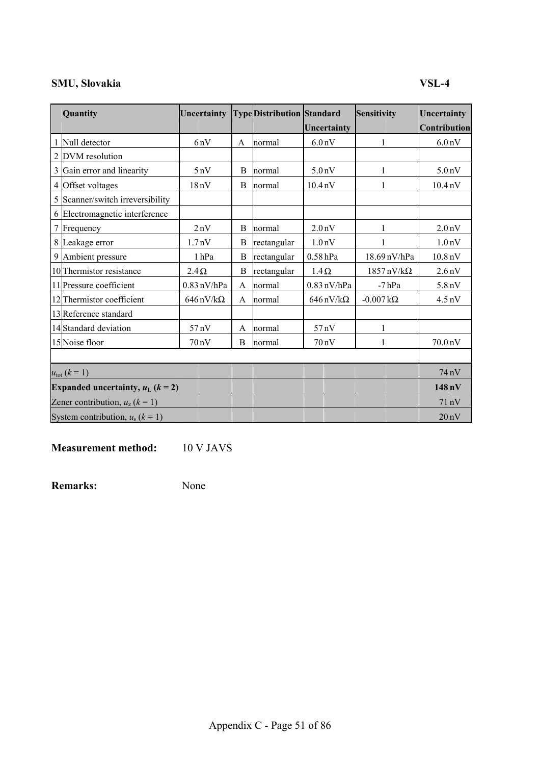## **SMU, Slovakia VSL-4**

|   | Quantity                                | Uncertainty                     |              | <b>TypeDistribution Standard</b> |                                 | <b>Sensitivity</b>               | Uncertainty         |
|---|-----------------------------------------|---------------------------------|--------------|----------------------------------|---------------------------------|----------------------------------|---------------------|
|   |                                         |                                 |              |                                  | Uncertainty                     |                                  | Contribution        |
| 1 | Null detector                           | 6nV                             | A            | normal                           | 6.0 <sub>n</sub> V              | 1                                | 6.0 <sub>n</sub> V  |
|   | 2 DVM resolution                        |                                 |              |                                  |                                 |                                  |                     |
|   | 3 Gain error and linearity              | 5nV                             | B            | normal                           | 5.0 <sub>n</sub> V              |                                  | 5.0 <sub>n</sub> V  |
|   | 4 Offset voltages                       | 18nV                            | B            | normal                           | 10.4 <sub>n</sub> V             |                                  | 10.4 <sub>n</sub> V |
|   | 5 Scanner/switch irreversibility        |                                 |              |                                  |                                 |                                  |                     |
|   | 6 Electromagnetic interference          |                                 |              |                                  |                                 |                                  |                     |
|   | 7 Frequency                             | 2nV                             | B            | normal                           | 2.0 <sub>n</sub> V              |                                  | 2.0 <sub>n</sub> V  |
|   | 8 Leakage error                         | 1.7 <sub>n</sub> V              | B            | rectangular                      | 1.0 <sub>n</sub> V              |                                  | 1.0 <sub>n</sub> V  |
|   | 9 Ambient pressure                      | 1hPa                            | B            | rectangular                      | 0.58hPa                         | 18.69 nV/hPa                     | 10.8 <sub>n</sub> V |
|   | 10 Thermistor resistance                | $2.4\Omega$                     | B            | rectangular                      | $1.4\Omega$                     | $1857 \text{ nV}/\text{k}\Omega$ | 2.6 <sub>n</sub> V  |
|   | 11 Pressure coefficient                 | $0.83$ nV/hPa                   | A            | normal                           | $0.83$ nV/hPa<br>$-7$ hPa       |                                  | 5.8 <sub>n</sub> V  |
|   | 12 Thermistor coefficient               | $646 \text{ nV}/\text{k}\Omega$ | A            | normal                           | $646 \text{ nV}/\text{k}\Omega$ | $-0.007 \, k\Omega$              | $4.5 \text{ nV}$    |
|   | 13 Reference standard                   |                                 |              |                                  |                                 |                                  |                     |
|   | 14 Standard deviation                   | 57nV                            | $\mathsf{A}$ | normal                           | 57nV                            | 1                                |                     |
|   | 15 Noise floor                          | 70nV                            | B            | normal                           | $70 \text{ nV}$                 | 1                                | 70.0 nV             |
|   |                                         |                                 |              |                                  |                                 |                                  |                     |
|   | $u_{\text{tot}} (k = 1)$                |                                 |              |                                  |                                 |                                  | 74 nV               |
|   | Expanded uncertainty, $u_L$ ( $k = 2$ ) |                                 |              |                                  |                                 |                                  | 148 <sub>nV</sub>   |
|   | Zener contribution, $u_z$ ( $k = 1$ )   |                                 |              |                                  |                                 |                                  | 71 nV               |
|   | System contribution, $u_s$ ( $k = 1$ )  |                                 |              |                                  |                                 |                                  | 20 <sub>n</sub> V   |

**Measurement method:** 10 V JAVS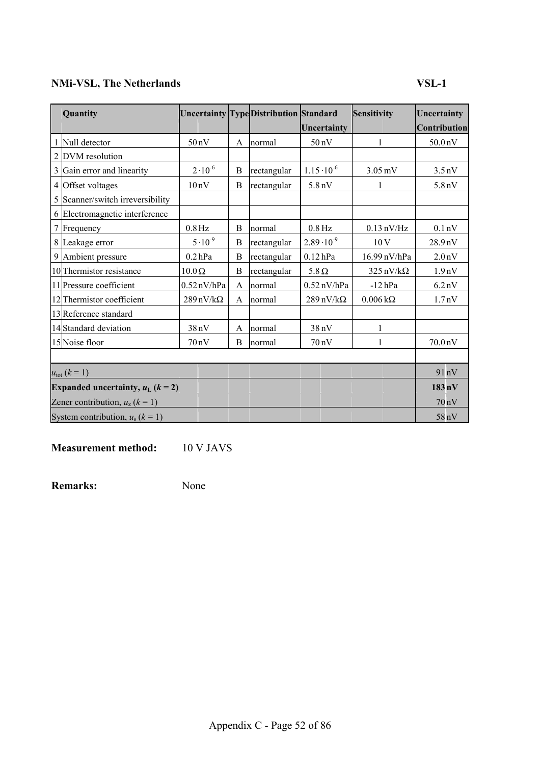## **NMi-VSL, The Netherlands VSL-1**

| Quantity     |                                         |                                 |              | <b>Uncertainty Type Distribution Standard</b> |                                 | Sensitivity                | Uncertainty         |
|--------------|-----------------------------------------|---------------------------------|--------------|-----------------------------------------------|---------------------------------|----------------------------|---------------------|
|              |                                         |                                 |              |                                               | Uncertainty                     |                            | Contribution        |
| $\mathbf{1}$ | Null detector                           | 50nV                            | $\mathbf{A}$ | normal                                        | 50 <sub>n</sub> V               | $\mathbf{1}$               | 50.0 <sub>n</sub> V |
|              | 2 DVM resolution                        |                                 |              |                                               |                                 |                            |                     |
|              | 3 Gain error and linearity              | $2.10^{-6}$                     | B            | rectangular                                   | $1.15 \cdot 10^{-6}$            | $3.05 \text{ mV}$          | $3.5 \text{ nV}$    |
| 4            | Offset voltages                         | 10nV                            | B            | rectangular                                   | 5.8 <sub>n</sub> V              | 1                          | 5.8 <sub>n</sub> V  |
|              | 5 Scanner/switch irreversibility        |                                 |              |                                               |                                 |                            |                     |
|              | 6 Electromagnetic interference          |                                 |              |                                               |                                 |                            |                     |
| $\tau$       | Frequency                               | $0.8\,\mathrm{Hz}$              | B            | normal                                        | $0.8$ Hz                        | $0.13$ nV/Hz               | 0.1 <sub>n</sub> V  |
|              | 8 Leakage error                         | $5.10^{-9}$                     | B            | rectangular                                   | $2.89 \cdot 10^{-9}$            | 10V                        | 28.9nV              |
|              | 9 Ambient pressure                      | $0.2$ hPa                       | B            | rectangular                                   | $0.12$ hPa                      | 16.99 nV/hPa               | 2.0 <sub>n</sub> V  |
|              | 10 Thermistor resistance                | $10.0 \Omega$                   | B            | rectangular                                   | $5.8 \Omega$                    | $325 \text{ nV/k}\Omega$   | 1.9 <sub>n</sub> V  |
|              | 11 Pressure coefficient                 | $0.52$ nV/hPa                   | $\mathbf{A}$ | normal                                        | $0.52$ nV/hPa                   | $-12$ hPa                  | 6.2 <sub>n</sub> V  |
|              | 12 Thermistor coefficient               | $289 \text{ nV}/\text{k}\Omega$ | A            | normal                                        | $289 \text{ nV}/\text{k}\Omega$ | $0.006 \,\mathrm{k}\Omega$ | 1.7 <sub>n</sub> V  |
|              | 13 Reference standard                   |                                 |              |                                               |                                 |                            |                     |
|              | 14 Standard deviation                   | 38nV                            | A            | normal                                        | 38nV                            | 1                          |                     |
|              | 15 Noise floor                          | 70nV                            | B            | normal                                        | $70 \text{ nV}$                 | 1                          | 70.0 <sub>n</sub> V |
|              |                                         |                                 |              |                                               |                                 |                            |                     |
|              | $u_{\text{tot}} (k = 1)$                |                                 |              |                                               |                                 |                            | 91nV                |
|              | Expanded uncertainty, $u_L$ ( $k = 2$ ) |                                 |              |                                               |                                 |                            | $183 \text{ nV}$    |
|              | Zener contribution, $u_z$ ( $k = 1$ )   |                                 |              |                                               |                                 |                            | 70nV                |
|              | System contribution, $u_s$ ( $k = 1$ )  |                                 |              |                                               |                                 |                            | 58 nV               |

**Measurement method:** 10 V JAVS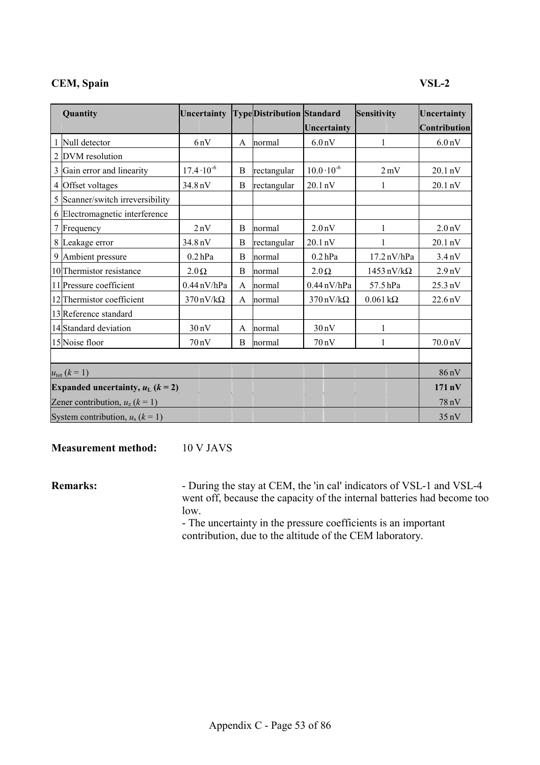## **CEM, Spain VSL-2**

| Quantity                                | Uncertainty                     |   | <b>TypeDistribution Standard</b> |                                 | Sensitivity                      | Uncertainty        |
|-----------------------------------------|---------------------------------|---|----------------------------------|---------------------------------|----------------------------------|--------------------|
|                                         |                                 |   |                                  | Uncertainty                     |                                  | Contribution       |
| Null detector                           | 6nV                             | A | normal                           | 6.0 <sub>n</sub> V              | 1                                | 6.0 <sub>n</sub> V |
| 2 DVM resolution                        |                                 |   |                                  |                                 |                                  |                    |
| 3 Gain error and linearity              | $17.4 \cdot 10^{-6}$            | B | rectangular                      | $10.0 \cdot 10^{-6}$            | $2 \,\mathrm{mV}$                | 20.1 nV            |
| 4 Offset voltages                       | 34.8 nV                         | B | rectangular                      | $20.1 \text{ nV}$               | 1                                | 20.1 nV            |
| 5 Scanner/switch irreversibility        |                                 |   |                                  |                                 |                                  |                    |
| 6 Electromagnetic interference          |                                 |   |                                  |                                 |                                  |                    |
| 7 Frequency                             | 2nV                             | B | normal                           | 2.0 <sub>n</sub> V              | 1                                | 2.0 <sub>n</sub> V |
| 8 Leakage error                         | 34.8 nV                         | B | rectangular                      | $20.1 \text{ nV}$               |                                  | 20.1 nV            |
| 9 Ambient pressure                      | $0.2$ hPa                       | B | normal                           | $0.2$ hPa                       | $17.2 \text{ nV/hPa}$            | 3.4 <sub>n</sub> V |
| 10 Thermistor resistance                | $2.0\,\Omega$                   | B | normal                           | $2.0 \Omega$                    | $1453 \text{ nV}/\text{k}\Omega$ | 2.9 <sub>nV</sub>  |
| 11 Pressure coefficient                 | $0.44$ nV/hPa                   | A | normal                           | $0.44$ nV/hPa                   | 57.5 hPa                         | $25.3 \text{ nV}$  |
| 12 Thermistor coefficient               | $370 \text{ nV}/\text{k}\Omega$ | A | normal                           | $370 \text{ nV}/\text{k}\Omega$ | $0.061 \text{ k}\Omega$          | 22.6 nV            |
| 13 Reference standard                   |                                 |   |                                  |                                 |                                  |                    |
| 14 Standard deviation                   | 30nV                            | A | normal                           | 30nV                            | 1                                |                    |
| 15 Noise floor                          | 70nV                            | B | normal                           | $70 \text{ nV}$                 | 1                                | 70.0 nV            |
|                                         |                                 |   |                                  |                                 |                                  |                    |
| $u_{\text{tot}} (k = 1)$                |                                 |   |                                  |                                 |                                  | $86 \text{ nV}$    |
| Expanded uncertainty, $u_L$ ( $k = 2$ ) |                                 |   |                                  |                                 |                                  | $171$ nV           |
| Zener contribution, $u_z$ ( $k = 1$ )   |                                 |   |                                  |                                 |                                  | 78 nV              |
| System contribution, $u_s$ ( $k = 1$ )  |                                 |   |                                  |                                 |                                  | 35nV               |

**Measurement method:** 10 V JAVS

**Remarks:** - During the stay at CEM, the 'in cal' indicators of VSL-1 and VSL-4 went off, because the capacity of the internal batteries had become too low.

- The uncertainty in the pressure coefficients is an important contribution, due to the altitude of the CEM laboratory.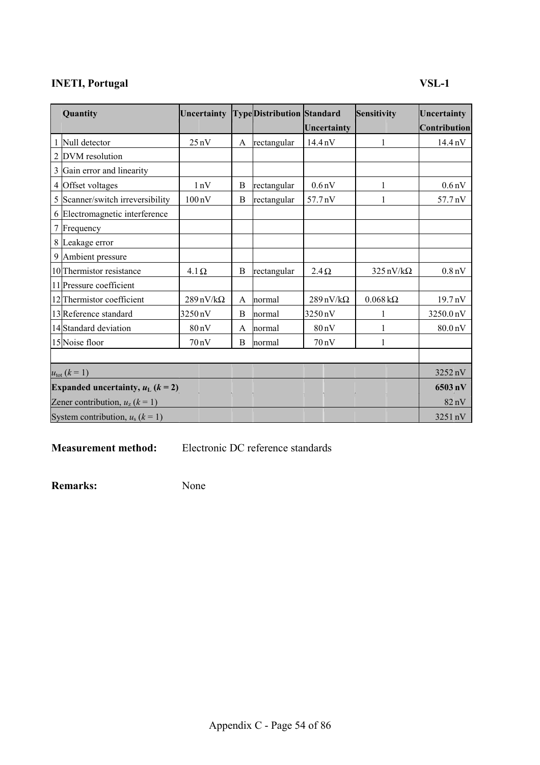## **INETI, Portugal VSL-1**

| Quantity                                | Uncertainty TypeDistribution Standard |   |             |                                 | Sensitivity                     | Uncertainty        |
|-----------------------------------------|---------------------------------------|---|-------------|---------------------------------|---------------------------------|--------------------|
|                                         |                                       |   |             | Uncertainty                     |                                 | Contribution       |
| 1 Null detector                         | 25nV                                  | A | rectangular | 14.4 <sub>n</sub> V             | 1                               | 14.4 nV            |
| 2 DVM resolution                        |                                       |   |             |                                 |                                 |                    |
| 3 Gain error and linearity              |                                       |   |             |                                 |                                 |                    |
| 4 Offset voltages                       | 1nV                                   | B | rectangular | 0.6 <sub>n</sub> V              |                                 | 0.6 <sub>n</sub> V |
| 5 Scanner/switch irreversibility        | $100\,\mathrm{nV}$                    | B | rectangular | 57.7 nV                         |                                 | 57.7 nV            |
| 6 Electromagnetic interference          |                                       |   |             |                                 |                                 |                    |
| 7 Frequency                             |                                       |   |             |                                 |                                 |                    |
| 8 Leakage error                         |                                       |   |             |                                 |                                 |                    |
| 9 Ambient pressure                      |                                       |   |             |                                 |                                 |                    |
| 10 Thermistor resistance                | $4.1\Omega$                           | B | rectangular | $2.4\,\Omega$                   | $325 \text{ nV}/\text{k}\Omega$ | 0.8 <sub>n</sub> V |
| 11 Pressure coefficient                 |                                       |   |             |                                 |                                 |                    |
| 12 Thermistor coefficient               | $289 \text{ nV}/\text{k}\Omega$       | A | normal      | $289 \text{ nV}/\text{k}\Omega$ | $0.068\,\mathrm{k}\Omega$       | 19.7 nV            |
| 13 Reference standard                   | 3250 nV                               | В | normal      | 3250 nV                         |                                 | 3250.0 nV          |
| 14 Standard deviation                   | 80 <sub>n</sub> V                     | A | normal      | 80 <sub>n</sub> V               | 1                               | 80.0 nV            |
| 15 Noise floor                          | 70nV                                  | B | normal      | 70nV                            |                                 |                    |
|                                         |                                       |   |             |                                 |                                 |                    |
| $u_{\text{tot}} (k = 1)$                |                                       |   |             |                                 |                                 | 3252 nV            |
| Expanded uncertainty, $u_L$ ( $k = 2$ ) |                                       |   |             |                                 |                                 | $6503$ nV          |
| Zener contribution, $u_z$ ( $k = 1$ )   |                                       |   |             |                                 |                                 | 82 nV              |
| System contribution, $u_s$ ( $k = 1$ )  |                                       |   |             |                                 |                                 | 3251 nV            |

**Measurement method:** Electronic DC reference standards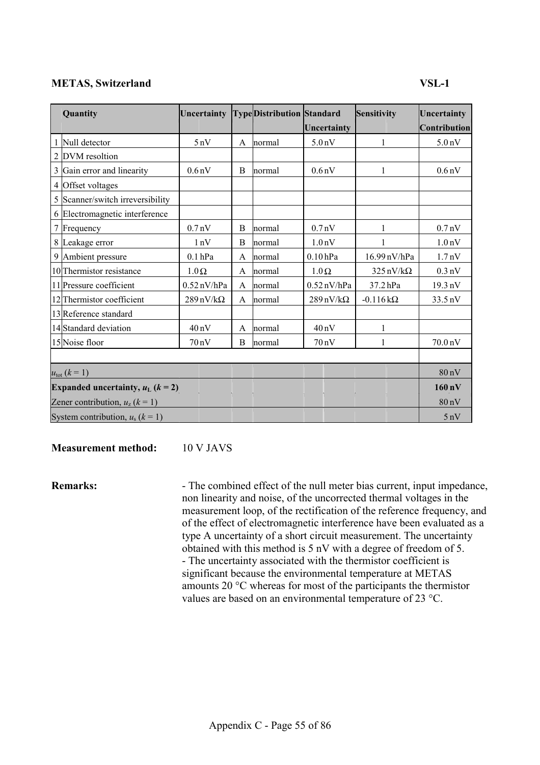## **METAS, Switzerland VSL-1**

| Quantity                                        | Uncertainty                     |   | <b>TypeDistribution Standard</b> |                                 | Sensitivity                     | Uncertainty        |
|-------------------------------------------------|---------------------------------|---|----------------------------------|---------------------------------|---------------------------------|--------------------|
|                                                 |                                 |   |                                  | Uncertainty                     |                                 | Contribution       |
| Null detector                                   | 5nV                             | A | normal                           | 5.0 <sub>n</sub> V              | 1                               | 5.0 <sub>n</sub> V |
| 2 DVM resoltion                                 |                                 |   |                                  |                                 |                                 |                    |
| 3 Gain error and linearity                      | 0.6 <sub>n</sub> V              | B | normal                           | 0.6 <sub>n</sub> V              |                                 | 0.6 <sub>n</sub> V |
| 4 Offset voltages                               |                                 |   |                                  |                                 |                                 |                    |
| 5 Scanner/switch irreversibility                |                                 |   |                                  |                                 |                                 |                    |
| 6 Electromagnetic interference                  |                                 |   |                                  |                                 |                                 |                    |
| 7 Frequency                                     | 0.7 <sub>n</sub> V              | B | normal                           | 0.7 <sub>n</sub> V              |                                 | 0.7 <sub>n</sub> V |
| 8 Leakage error                                 | 1nV                             | B | normal                           | 1.0 <sub>n</sub> V              |                                 | 1.0 <sub>n</sub> V |
| 9 Ambient pressure                              | $0.1$ hPa                       | A | normal                           | $0.10$ hPa                      | 16.99 nV/hPa                    | 1.7 <sub>n</sub> V |
| 10 Thermistor resistance                        | $1.0\,\Omega$                   | A | normal                           | $1.0 \Omega$                    | $325 \text{ nV}/\text{k}\Omega$ | $0.3 \text{ nV}$   |
| 11 Pressure coefficient                         | $0.52$ nV/hPa                   | A | normal                           | $0.52$ nV/hPa                   | $37.2$ hPa                      | 19.3 nV            |
| 12 Thermistor coefficient                       | $289 \text{ nV}/\text{k}\Omega$ | A | normal                           | $289 \text{ nV}/\text{k}\Omega$ | $-0.116 \text{ k}\Omega$        | 33.5 nV            |
| 13 Reference standard                           |                                 |   |                                  |                                 |                                 |                    |
| 14 Standard deviation                           | 40nV                            | A | normal                           | 40 <sub>n</sub> V               | 1                               |                    |
| 15 Noise floor                                  | 70nV                            | B | normal                           | $70 \text{ nV}$                 | 1                               | 70.0 nV            |
|                                                 |                                 |   |                                  |                                 |                                 |                    |
| $u_{\text{tot}} (k = 1)$                        |                                 |   |                                  |                                 |                                 | 80 <sub>n</sub> V  |
| Expanded uncertainty, $u_L$ ( $k = 2$ )         |                                 |   |                                  |                                 |                                 | $160 \text{ nV}$   |
| Zener contribution, $u_z$ ( $\overline{k}$ = 1) |                                 |   |                                  |                                 |                                 | $80\,\mathrm{nV}$  |
| System contribution, $u_s$ ( $k = 1$ )          |                                 |   |                                  |                                 |                                 | 5nV                |

**Measurement method:** 10 V JAVS

**Remarks:** - The combined effect of the null meter bias current, input impedance, non linearity and noise, of the uncorrected thermal voltages in the measurement loop, of the rectification of the reference frequency, and of the effect of electromagnetic interference have been evaluated as a type A uncertainty of a short circuit measurement. The uncertainty obtained with this method is 5 nV with a degree of freedom of 5. - The uncertainty associated with the thermistor coefficient is significant because the environmental temperature at METAS amounts 20 °C whereas for most of the participants the thermistor values are based on an environmental temperature of 23 °C.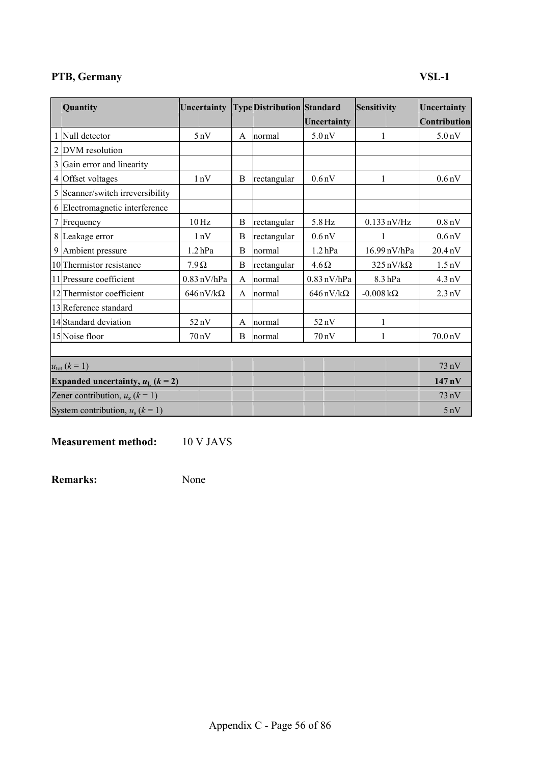## **PTB, Germany VSL-1**

| Quantity                                        | Uncertainty                     |   | <b>TypeDistribution Standard</b> | Uncertainty                     | Sensitivity                     | Uncertainty<br>Contribution |
|-------------------------------------------------|---------------------------------|---|----------------------------------|---------------------------------|---------------------------------|-----------------------------|
| 1 Null detector                                 | 5nV                             | A | normal                           | 5.0 <sub>n</sub> V              | 1                               | 5.0 <sub>n</sub> V          |
| 2 DVM resolution                                |                                 |   |                                  |                                 |                                 |                             |
| 3 Gain error and linearity                      |                                 |   |                                  |                                 |                                 |                             |
| 4 Offset voltages                               | 1nV                             | B | rectangular                      | 0.6 <sub>n</sub> V              | 1                               | 0.6 <sub>n</sub> V          |
| 5 Scanner/switch irreversibility                |                                 |   |                                  |                                 |                                 |                             |
| 6 Electromagnetic interference                  |                                 |   |                                  |                                 |                                 |                             |
| 7 Frequency                                     | $10\,\mathrm{Hz}$               | B | rectangular                      | 5.8 Hz                          | $0.133$ nV/Hz                   | 0.8 <sub>n</sub> V          |
| 8 Leakage error                                 | 1nV                             | B | rectangular                      | 0.6 <sub>n</sub> V              | 1                               | 0.6 <sub>n</sub> V          |
| 9 Ambient pressure                              | 1.2 <sub>hPa</sub>              | B | normal                           | $1.2$ hPa                       | 16.99 nV/hPa                    | 20.4 nV                     |
| 10 Thermistor resistance                        | $7.9\Omega$                     | B | rectangular                      | $4.6 \Omega$                    | $325 \text{ nV}/\text{k}\Omega$ | $1.5 \text{ nV}$            |
| 11 Pressure coefficient                         | $0.83$ nV/hPa                   | A | normal                           | $0.83$ nV/hPa                   | 8.3 <sub>hPa</sub>              |                             |
| 12 Thermistor coefficient                       | $646 \text{ nV}/\text{k}\Omega$ | A | normal                           | $646 \text{ nV}/\text{k}\Omega$ | $-0.008$ kΩ                     | $2.3 \text{ nV}$            |
| 13 Reference standard                           |                                 |   |                                  |                                 |                                 |                             |
| 14 Standard deviation                           | 52nV                            | A | normal                           | 52nV                            | 1                               |                             |
| 15 Noise floor                                  | 70nV                            | B | normal                           | 70nV                            | 1                               | 70.0 nV                     |
|                                                 |                                 |   |                                  |                                 |                                 |                             |
| $u_{\text{tot}} (k = 1)$                        |                                 |   |                                  |                                 |                                 | 73 nV                       |
| Expanded uncertainty, $u_L$ ( $k = 2$ )         |                                 |   |                                  |                                 |                                 | $147 \text{ nV}$            |
| Zener contribution, $u_z$ ( $\overline{k}$ = 1) |                                 |   |                                  |                                 |                                 | 73 nV                       |
| System contribution, $u_s$ ( $k = 1$ )          |                                 |   |                                  |                                 |                                 | 5nV                         |

**Measurement method:** 10 V JAVS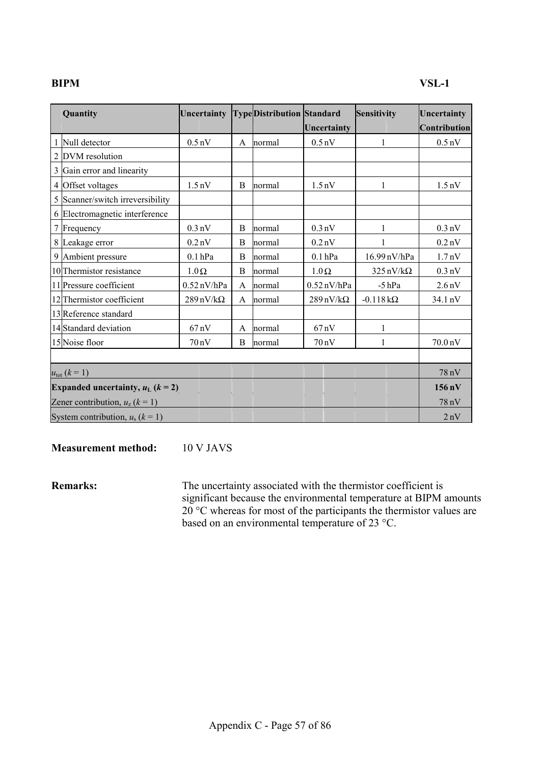| Quantity                                        | Uncertainty                     |   | <b>TypeDistribution Standard</b> |                                 | Sensitivity                     | Uncertainty        |
|-------------------------------------------------|---------------------------------|---|----------------------------------|---------------------------------|---------------------------------|--------------------|
|                                                 |                                 |   |                                  | Uncertainty                     |                                 | Contribution       |
| Null detector                                   | 0.5 <sub>n</sub> V              | A | normal                           | 0.5 <sub>n</sub> V              |                                 | $0.5 \text{ nV}$   |
| 2 DVM resolution                                |                                 |   |                                  |                                 |                                 |                    |
| 3 Gain error and linearity                      |                                 |   |                                  |                                 |                                 |                    |
| 4 Offset voltages                               | 1.5 <sub>n</sub> V              | B | normal                           | 1.5 <sub>n</sub> V              | 1                               | $1.5 \text{ nV}$   |
| 5 Scanner/switch irreversibility                |                                 |   |                                  |                                 |                                 |                    |
| 6 Electromagnetic interference                  |                                 |   |                                  |                                 |                                 |                    |
| 7 Frequency                                     | $0.3 \text{ nV}$                | B | normal                           | $0.3 \text{ nV}$                | 1                               | $0.3 \text{ nV}$   |
| 8 Leakage error                                 | 0.2 <sub>n</sub> V              | B | normal                           | 0.2 <sub>n</sub> V              |                                 | $0.2$ nV           |
| 9 Ambient pressure                              | $0.1$ hPa                       | B | normal                           | $0.1$ hPa                       | 16.99 nV/hPa                    | 1.7 <sub>n</sub> V |
| 10 Thermistor resistance                        | $1.0\,\Omega$                   | B | normal                           | $1.0 \Omega$                    | $325 \text{ nV}/\text{k}\Omega$ | $0.3 \text{ nV}$   |
| 11 Pressure coefficient                         | $0.52$ nV/hPa                   | A | normal                           | $0.52$ nV/hPa                   | $-5$ hPa                        | 2.6 <sub>n</sub> V |
| 12 Thermistor coefficient                       | $289 \text{ nV}/\text{k}\Omega$ | A | normal                           | $289 \text{ nV}/\text{k}\Omega$ | $-0.118 k\Omega$                | 34.1 nV            |
| 13 Reference standard                           |                                 |   |                                  |                                 |                                 |                    |
| 14 Standard deviation                           | 67nV                            | A | normal                           | $67 \text{ nV}$                 | $\mathbf{1}$                    |                    |
| 15 Noise floor                                  | 70nV                            | B | normal                           | $70 \text{ nV}$                 | 1                               | 70.0 nV            |
|                                                 |                                 |   |                                  |                                 |                                 |                    |
| $u_{\text{tot}} (k = 1)$                        |                                 |   |                                  |                                 |                                 | 78nV               |
| Expanded uncertainty, $u_L$ ( $k = 2$ )         |                                 |   |                                  |                                 |                                 | $156 \text{ nV}$   |
| Zener contribution, $u_z$ ( $\overline{k}$ = 1) |                                 |   |                                  |                                 |                                 | 78 nV              |
| System contribution, $u_s$ ( $k = 1$ )          |                                 |   |                                  |                                 |                                 | 2nV                |

**Measurement method:** 10 V JAVS

**Remarks:** The uncertainty associated with the thermistor coefficient is significant because the environmental temperature at BIPM amounts  $20^{\circ}$ C whereas for most of the participants the thermistor values are based on an environmental temperature of 23 °C.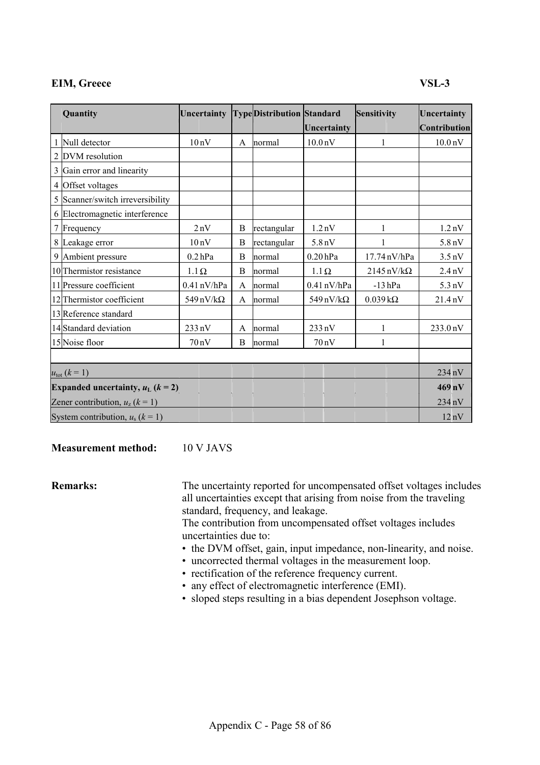## **EIM, Greece** VSL-3

| Quantity                                | Uncertainty                     |   | <b>TypeDistribution Standard</b> |                     | Sensitivity                      | Uncertainty         |
|-----------------------------------------|---------------------------------|---|----------------------------------|---------------------|----------------------------------|---------------------|
|                                         |                                 |   |                                  | Uncertainty         |                                  | Contribution        |
| Null detector                           | 10nV                            | A | normal                           | 10.0 <sub>n</sub> V | 1                                | 10.0 <sub>n</sub> V |
| 2 DVM resolution                        |                                 |   |                                  |                     |                                  |                     |
| 3 Gain error and linearity              |                                 |   |                                  |                     |                                  |                     |
| 4 Offset voltages                       |                                 |   |                                  |                     |                                  |                     |
| 5 Scanner/switch irreversibility        |                                 |   |                                  |                     |                                  |                     |
| 6 Electromagnetic interference          |                                 |   |                                  |                     |                                  |                     |
| 7 Frequency                             | 2nV                             | B | rectangular                      | 1.2 <sub>n</sub> V  |                                  | 1.2 <sub>n</sub> V  |
| 8 Leakage error                         | 10nV                            | B | rectangular                      | 5.8 <sub>n</sub> V  |                                  | 5.8 <sub>n</sub> V  |
| 9 Ambient pressure                      | $0.2$ hPa                       | B | normal                           | $0.20$ hPa          | 17.74 nV/hPa                     | $3.5 \text{ nV}$    |
| 10 Thermistor resistance                | $1.1\Omega$                     | B | normal                           | $1.1 \Omega$        | $2145 \text{ nV}/\text{k}\Omega$ | $2.4 \text{ nV}$    |
| 11 Pressure coefficient                 | $0.41$ nV/hPa                   | A | normal                           | $0.41$ nV/hPa       | $-13$ hPa                        | $5.3 \text{ nV}$    |
| 12 Thermistor coefficient               | $549 \text{ nV}/\text{k}\Omega$ | A | normal                           | 549 nV/k $\Omega$   | $0.039 k\Omega$                  | 21.4 nV             |
| 13 Reference standard                   |                                 |   |                                  |                     |                                  |                     |
| 14 Standard deviation                   | $233 \text{ nV}$                | A | normal                           | $233 \text{ nV}$    | 1                                | 233.0 nV            |
| 15 Noise floor                          | 70nV                            | B | normal                           | 70 nV               | 1                                |                     |
|                                         |                                 |   |                                  |                     |                                  |                     |
| $u_{\rm tot}$ ( $k = 1$ )               |                                 |   |                                  |                     |                                  | 234 nV              |
| Expanded uncertainty, $u_L$ ( $k = 2$ ) |                                 |   |                                  |                     |                                  | $469$ nV            |
| Zener contribution, $u_z$ ( $k = 1$ )   |                                 |   |                                  |                     |                                  | 234 nV              |
| System contribution, $u_s$ ( $k = 1$ )  |                                 |   |                                  |                     |                                  | $12 \text{ nV}$     |

**Measurement method:** 10 V JAVS

**Remarks:** The uncertainty reported for uncompensated offset voltages includes all uncertainties except that arising from noise from the traveling standard, frequency, and leakage.

> The contribution from uncompensated offset voltages includes uncertainties due to:

- the DVM offset, gain, input impedance, non-linearity, and noise.
- uncorrected thermal voltages in the measurement loop.
- rectification of the reference frequency current.
- any effect of electromagnetic interference (EMI).
- sloped steps resulting in a bias dependent Josephson voltage.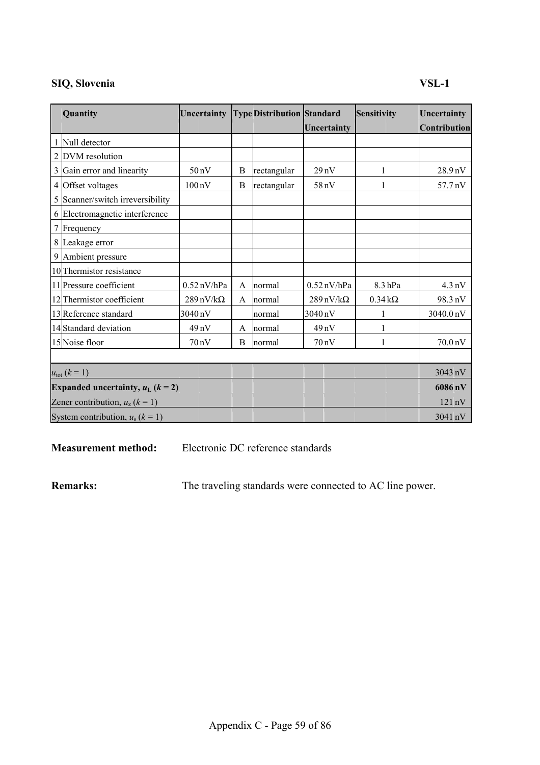## **SIQ, Slovenia VSL-1**

| Quantity                                | Uncertainty                     |   | <b>TypeDistribution Standard</b> |                                 | <b>Sensitivity</b> | Uncertainty         |
|-----------------------------------------|---------------------------------|---|----------------------------------|---------------------------------|--------------------|---------------------|
|                                         |                                 |   |                                  | Uncertainty                     |                    | <b>Contribution</b> |
| Null detector                           |                                 |   |                                  |                                 |                    |                     |
| 2 DVM resolution                        |                                 |   |                                  |                                 |                    |                     |
| 3 Gain error and linearity              | 50 <sub>n</sub> V               | B | rectangular                      | 29nV                            |                    | 28.9 nV             |
| 4 Offset voltages                       | $100\,\mathrm{nV}$              | B | rectangular                      | 58 nV                           |                    | 57.7 nV             |
| 5 Scanner/switch irreversibility        |                                 |   |                                  |                                 |                    |                     |
| 6 Electromagnetic interference          |                                 |   |                                  |                                 |                    |                     |
| 7 Frequency                             |                                 |   |                                  |                                 |                    |                     |
| 8 Leakage error                         |                                 |   |                                  |                                 |                    |                     |
| 9 Ambient pressure                      |                                 |   |                                  |                                 |                    |                     |
| 10 Thermistor resistance                |                                 |   |                                  |                                 |                    |                     |
| 11 Pressure coefficient                 | $0.52$ nV/hPa                   | A | normal                           | $0.52$ nV/hPa                   | 8.3 <sub>hPa</sub> | $4.3 \text{ nV}$    |
| 12 Thermistor coefficient               | $289 \text{ nV}/\text{k}\Omega$ | A | normal                           | $289 \text{ nV}/\text{k}\Omega$ | $0.34 k\Omega$     | 98.3 nV             |
| 13 Reference standard                   | 3040 nV                         |   | normal                           | 3040 nV                         |                    | 3040.0 nV           |
| 14 Standard deviation                   | 49nV                            | A | normal                           | 49 <sub>n</sub> V               |                    |                     |
| 15 Noise floor                          | 70nV                            | B | normal                           | $70 \text{ nV}$                 |                    | 70.0 nV             |
|                                         |                                 |   |                                  |                                 |                    |                     |
| $u_{\text{tot}} (k = 1)$                |                                 |   |                                  |                                 |                    | 3043 nV             |
| Expanded uncertainty, $u_L$ ( $k = 2$ ) |                                 |   |                                  |                                 |                    | 6086 nV             |
| Zener contribution, $u_z$ ( $k = 1$ )   |                                 |   |                                  |                                 |                    | $121 \text{ nV}$    |
| System contribution, $u_s$ ( $k = 1$ )  |                                 |   |                                  |                                 |                    | $3041 \text{ nV}$   |

**Measurement method:** Electronic DC reference standards

**Remarks:** The traveling standards were connected to AC line power.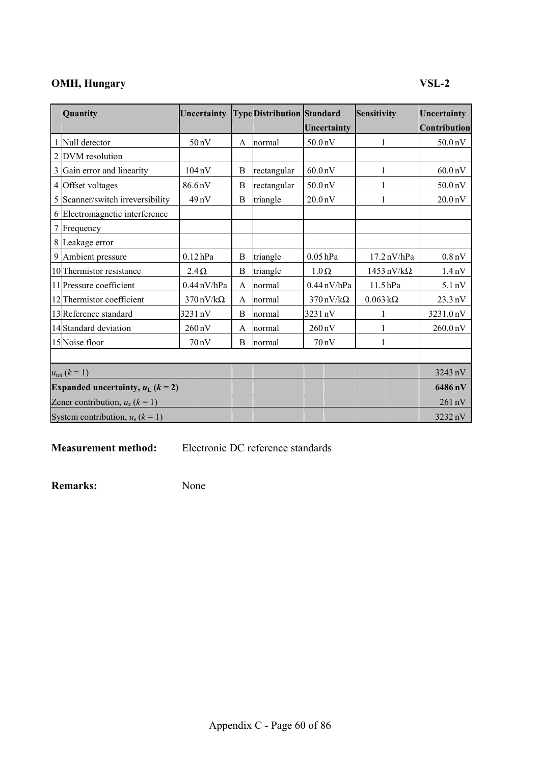## **OMH, Hungary** VSL-2

| Quantity                                | Uncertainty                     |   | <b>TypeDistribution Standard</b> |                                 | Sensitivity                      | Uncertainty          |
|-----------------------------------------|---------------------------------|---|----------------------------------|---------------------------------|----------------------------------|----------------------|
|                                         |                                 |   |                                  | Uncertainty                     |                                  | Contribution         |
| 1 Null detector                         | 50 <sub>n</sub> V               | A | normal                           | 50.0 nV                         | 1                                | 50.0 <sub>n</sub> V  |
| 2 DVM resolution                        |                                 |   |                                  |                                 |                                  |                      |
| Gain error and linearity<br>3           | $104\,\mathrm{nV}$              | B | rectangular                      | 60.0 <sub>n</sub> V             | 1                                |                      |
| Offset voltages<br>4                    | 86.6nV                          | B | rectangular                      | 50.0 nV                         |                                  | 50.0 <sub>n</sub> V  |
| 5 Scanner/switch irreversibility        | 49nV                            | B | triangle                         | 20.0 <sub>n</sub> V             | 1                                | 20.0 <sub>n</sub> V  |
| 6 Electromagnetic interference          |                                 |   |                                  |                                 |                                  |                      |
| Frequency                               |                                 |   |                                  |                                 |                                  |                      |
| 8 Leakage error                         |                                 |   |                                  |                                 |                                  |                      |
| 9 Ambient pressure                      | $0.12$ hPa                      | B | triangle                         | $0.05$ hPa                      | $17.2 \text{ nV/hPa}$            | 0.8 <sub>n</sub> V   |
| 10 Thermistor resistance                | $2.4\Omega$                     | B | triangle                         | $1.0 \Omega$                    | $1453 \text{ nV}/\text{k}\Omega$ | $1.4 \text{ nV}$     |
| 11 Pressure coefficient                 | $0.44$ nV/hPa                   | A | normal                           | $0.44$ nV/hPa                   | 11.5hPa                          | $5.1 \text{ nV}$     |
| 12 Thermistor coefficient               | $370 \text{ nV}/\text{k}\Omega$ | A | normal                           | $370 \text{ nV}/\text{k}\Omega$ | $0.063 \text{ k}\Omega$          | 23.3 nV              |
| 13 Reference standard                   | 3231 nV                         | B | normal                           | 3231 nV                         |                                  | 3231.0 nV            |
| 14 Standard deviation                   | $260 \text{ nV}$                | A | normal                           | $260 \text{ nV}$                | 1                                | 260.0 <sub>n</sub> V |
| 15 Noise floor                          | 70nV                            | B | normal                           | $70 \text{ nV}$                 | 1                                |                      |
|                                         |                                 |   |                                  |                                 |                                  |                      |
| $u_{\text{tot}} (k = 1)$                |                                 |   |                                  |                                 |                                  | 3243 nV              |
| Expanded uncertainty, $u_L$ ( $k = 2$ ) |                                 |   |                                  |                                 |                                  | 6486 nV              |
| Zener contribution, $u_z$ ( $k = 1$ )   |                                 |   |                                  |                                 |                                  | 261 nV               |
| System contribution, $u_s$ ( $k = 1$ )  |                                 |   |                                  |                                 |                                  | 3232 nV              |

**Measurement method:** Electronic DC reference standards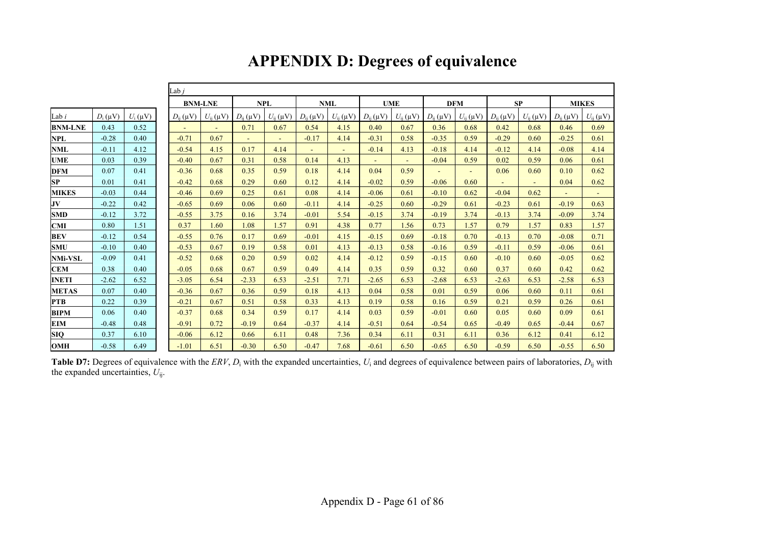|                         |              |              | Lab $i$         |                 |                 |                 |                 |                 |                 |                 |                 |                 |                 |                 |                 |                 |
|-------------------------|--------------|--------------|-----------------|-----------------|-----------------|-----------------|-----------------|-----------------|-----------------|-----------------|-----------------|-----------------|-----------------|-----------------|-----------------|-----------------|
|                         |              |              |                 | <b>BNM-LNE</b>  |                 | <b>NPL</b>      | <b>NML</b>      |                 |                 | <b>UME</b>      | <b>DFM</b>      |                 | SP              |                 | <b>MIKES</b>    |                 |
| Lab $i$                 | $D_i(\mu V)$ | $U_i(\mu V)$ | $D_{ii}(\mu V)$ | $U_{ii}(\mu V)$ | $D_{ii}(\mu V)$ | $U_{ii}(\mu V)$ | $D_{ii}(\mu V)$ | $U_{ii}(\mu V)$ | $D_{ii}(\mu V)$ | $U_{ii}(\mu V)$ | $D_{ii}(\mu V)$ | $U_{ii}(\mu V)$ | $D_{ii}(\mu V)$ | $U_{ii}(\mu V)$ | $D_{ii}(\mu V)$ | $U_{ii}(\mu V)$ |
| <b>BNM-LNE</b>          | 0.43         | 0.52         | $\sim$          | $\omega$ .      | 0.71            | 0.67            | 0.54            | 4.15            | 0.40            | 0.67            | 0.36            | 0.68            | 0.42            | 0.68            | 0.46            | 0.69            |
| NPL                     | $-0.28$      | 0.40         | $-0.71$         | 0.67            | $\blacksquare$  | $\blacksquare$  | $-0.17$         | 4.14            | $-0.31$         | 0.58            | $-0.35$         | 0.59            | $-0.29$         | 0.60            | $-0.25$         | 0.61            |
| <b>NML</b>              | $-0.11$      | 4.12         | $-0.54$         | 4.15            | 0.17            | 4.14            | $\sim$          | $\sim$          | $-0.14$         | 4.13            | $-0.18$         | 4.14            | $-0.12$         | 4.14            | $-0.08$         | 4.14            |
| <b>UME</b>              | 0.03         | 0.39         | $-0.40$         | 0.67            | 0.31            | 0.58            | 0.14            | 4.13            |                 | ÷.              | $-0.04$         | 0.59            | 0.02            | 0.59            | 0.06            | 0.61            |
| <b>DFM</b>              | 0.07         | 0.41         | $-0.36$         | 0.68            | 0.35            | 0.59            | 0.18            | 4.14            | 0.04            | 0.59            | $\blacksquare$  | $\sim$          | 0.06            | 0.60            | 0.10            | 0.62            |
| SP                      | 0.01         | 0.41         | $-0.42$         | 0.68            | 0.29            | 0.60            | 0.12            | 4.14            | $-0.02$         | 0.59            | $-0.06$         | 0.60            |                 | $\sim$          | 0.04            | 0.62            |
| <b>MIKES</b>            | $-0.03$      | 0.44         | $-0.46$         | 0.69            | 0.25            | 0.61            | 0.08            | 4.14            | $-0.06$         | 0.61            | $-0.10$         | 0.62            | $-0.04$         | 0.62            | $\blacksquare$  | $\blacksquare$  |
| $\mathbf{J} \mathbf{V}$ | $-0.22$      | 0.42         | $-0.65$         | 0.69            | 0.06            | 0.60            | $-0.11$         | 4.14            | $-0.25$         | 0.60            | $-0.29$         | 0.61            | $-0.23$         | 0.61            | $-0.19$         | 0.63            |
| <b>SMD</b>              | $-0.12$      | 3.72         | $-0.55$         | 3.75            | 0.16            | 3.74            | $-0.01$         | 5.54            | $-0.15$         | 3.74            | $-0.19$         | 3.74            | $-0.13$         | 3.74            | $-0.09$         | 3.74            |
| CMI                     | 0.80         | 1.51         | 0.37            | 1.60            | 1.08            | 1.57            | 0.91            | 4.38            | 0.77            | 1.56            | 0.73            | 1.57            | 0.79            | 1.57            | 0.83            | 1.57            |
| <b>BEV</b>              | $-0.12$      | 0.54         | $-0.55$         | 0.76            | 0.17            | 0.69            | $-0.01$         | 4.15            | $-0.15$         | 0.69            | $-0.18$         | 0.70            | $-0.13$         | 0.70            | $-0.08$         | 0.71            |
| <b>SMU</b>              | $-0.10$      | 0.40         | $-0.53$         | 0.67            | 0.19            | 0.58            | 0.01            | 4.13            | $-0.13$         | 0.58            | $-0.16$         | 0.59            | $-0.11$         | 0.59            | $-0.06$         | 0.61            |
| <b>NMi-VSL</b>          | $-0.09$      | 0.41         | $-0.52$         | 0.68            | 0.20            | 0.59            | 0.02            | 4.14            | $-0.12$         | 0.59            | $-0.15$         | 0.60            | $-0.10$         | 0.60            | $-0.05$         | 0.62            |
| <b>CEM</b>              | 0.38         | 0.40         | $-0.05$         | 0.68            | 0.67            | 0.59            | 0.49            | 4.14            | 0.35            | 0.59            | 0.32            | 0.60            | 0.37            | 0.60            | 0.42            | 0.62            |
| <b>INETI</b>            | $-2.62$      | 6.52         | $-3.05$         | 6.54            | $-2.33$         | 6.53            | $-2.51$         | 7.71            | $-2.65$         | 6.53            | $-2.68$         | 6.53            | $-2.63$         | 6.53            | $-2.58$         | 6.53            |
| <b>METAS</b>            | 0.07         | 0.40         | $-0.36$         | 0.67            | 0.36            | 0.59            | 0.18            | 4.13            | 0.04            | 0.58            | 0.01            | 0.59            | 0.06            | 0.60            | 0.11            | 0.61            |
| <b>PTB</b>              | 0.22         | 0.39         | $-0.21$         | 0.67            | 0.51            | 0.58            | 0.33            | 4.13            | 0.19            | 0.58            | 0.16            | 0.59            | 0.21            | 0.59            | 0.26            | 0.61            |
| <b>BIPM</b>             | 0.06         | 0.40         | $-0.37$         | 0.68            | 0.34            | 0.59            | 0.17            | 4.14            | 0.03            | 0.59            | $-0.01$         | 0.60            | 0.05            | 0.60            | 0.09            | 0.61            |
| <b>EIM</b>              | $-0.48$      | 0.48         | $-0.91$         | 0.72            | $-0.19$         | 0.64            | $-0.37$         | 4.14            | $-0.51$         | 0.64            | $-0.54$         | 0.65            | $-0.49$         | 0.65            | $-0.44$         | 0.67            |
| <b>SIQ</b>              | 0.37         | 6.10         | $-0.06$         | 6.12            | 0.66            | 6.11            | 0.48            | 7.36            | 0.34            | 6.11            | 0.31            | 6.11            | 0.36            | 6.12            | 0.41            | 6.12            |
| <b>OMH</b>              | $-0.58$      | 6.49         | $-1.01$         | 6.51            | $-0.30$         | 6.50            | $-0.47$         | 7.68            | $-0.61$         | 6.50            | $-0.65$         | 6.50            | $-0.59$         | 6.50            | $-0.55$         | 6.50            |

# **APPENDIX D: Degrees of equivalence**

**Table D7:** Degrees of equivalence with the *ERV*, *D*i with the expanded uncertainties, *U*i and degrees of equivalence between pairs of laboratories, *D*ij with the expanded uncertainties, *U*ij.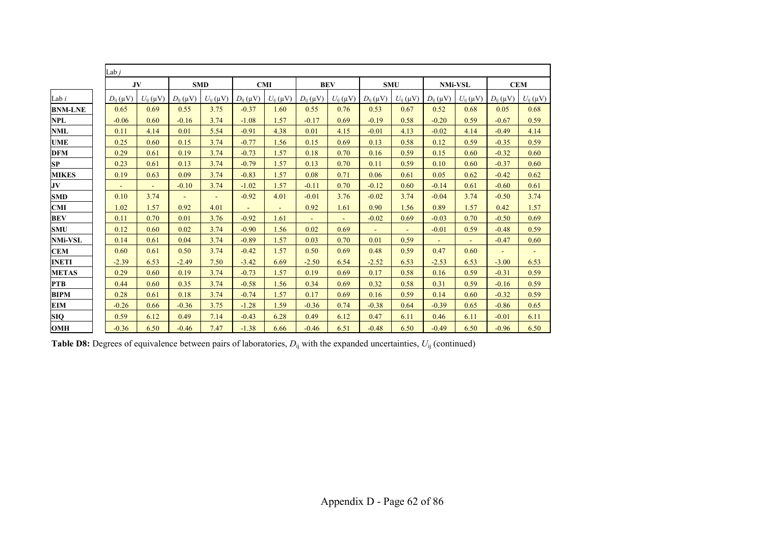|                | Lab $j$         |                 |                 |                 |                 |                 |                 |                 |                 |                 |                 |                 |                 |                 |
|----------------|-----------------|-----------------|-----------------|-----------------|-----------------|-----------------|-----------------|-----------------|-----------------|-----------------|-----------------|-----------------|-----------------|-----------------|
|                | JV              |                 | <b>SMD</b>      |                 |                 | <b>CMI</b>      | <b>BEV</b>      |                 | <b>SMU</b>      |                 | <b>NMi-VSL</b>  |                 | <b>CEM</b>      |                 |
| Lab i          | $D_{ii}(\mu V)$ | $U_{ii}(\mu V)$ | $D_{ii}(\mu V)$ | $U_{ii}(\mu V)$ | $D_{ii}(\mu V)$ | $U_{ii}(\mu V)$ | $D_{ii}(\mu V)$ | $U_{ii}(\mu V)$ | $D_{ii}(\mu V)$ | $U_{ij}(\mu V)$ | $D_{ii}(\mu V)$ | $U_{ii}(\mu V)$ | $D_{ii}(\mu V)$ | $U_{ii}(\mu V)$ |
| <b>BNM-LNE</b> | 0.65            | 0.69            | 0.55            | 3.75            | $-0.37$         | 1.60            | 0.55            | 0.76            | 0.53            | 0.67            | 0.52            | 0.68            | 0.05            | 0.68            |
| NPL            | $-0.06$         | 0.60            | $-0.16$         | 3.74            | $-1.08$         | 1.57            | $-0.17$         | 0.69            | $-0.19$         | 0.58            | $-0.20$         | 0.59            | $-0.67$         | 0.59            |
| NML            | 0.11            | 4.14            | 0.01            | 5.54            | $-0.91$         | 4.38            | 0.01            | 4.15            | $-0.01$         | 4.13            | $-0.02$         | 4.14            | $-0.49$         | 4.14            |
| UME            | 0.25            | 0.60            | 0.15            | 3.74            | $-0.77$         | 1.56            | 0.15            | 0.69            | 0.13            | 0.58            | 0.12            | 0.59            | $-0.35$         | 0.59            |
| DFM            | 0.29            | 0.61            | 0.19            | 3.74            | $-0.73$         | 1.57            | 0.18            | 0.70            | 0.16            | 0.59            | 0.15            | 0.60            | $-0.32$         | 0.60            |
| SP             | 0.23            | 0.61            | 0.13            | 3.74            | $-0.79$         | 1.57            | 0.13            | 0.70            | 0.11            | 0.59            | 0.10            | 0.60            | $-0.37$         | 0.60            |
| MIKES          | 0.19            | 0.63            | 0.09            | 3.74            | $-0.83$         | 1.57            | 0.08            | 0.71            | 0.06            | 0.61            | 0.05            | 0.62            | $-0.42$         | 0.62            |
| JV             | $\blacksquare$  | $\blacksquare$  | $-0.10$         | 3.74            | $-1.02$         | 1.57            | $-0.11$         | 0.70            | $-0.12$         | 0.60            | $-0.14$         | 0.61            | $-0.60$         | 0.61            |
| <b>SMD</b>     | 0.10            | 3.74            |                 | $\blacksquare$  | $-0.92$         | 4.01            | $-0.01$         | 3.76            | $-0.02$         | 3.74            | $-0.04$         | 3.74            | $-0.50$         | 3.74            |
| CMI            | 1.02            | 1.57            | 0.92            | 4.01            | $\blacksquare$  | $\sim$          | 0.92            | 1.61            | 0.90            | 1.56            | 0.89            | 1.57            | 0.42            | 1.57            |
| BEV            | 0.11            | 0.70            | 0.01            | 3.76            | $-0.92$         | 1.61            |                 |                 | $-0.02$         | 0.69            | $-0.03$         | 0.70            | $-0.50$         | 0.69            |
| SMU            | 0.12            | 0.60            | 0.02            | 3.74            | $-0.90$         | 1.56            | 0.02            | 0.69            | $\blacksquare$  | $\blacksquare$  | $-0.01$         | 0.59            | $-0.48$         | 0.59            |
| NMi-VSL        | 0.14            | 0.61            | 0.04            | 3.74            | $-0.89$         | 1.57            | 0.03            | 0.70            | 0.01            | 0.59            | $\sim$          | $\sim$          | $-0.47$         | 0.60            |
| CEM            | 0.60            | 0.61            | 0.50            | 3.74            | $-0.42$         | 1.57            | 0.50            | 0.69            | 0.48            | 0.59            | 0.47            | 0.60            | $\blacksquare$  | $\sim$          |
| INETI          | $-2.39$         | 6.53            | $-2.49$         | 7.50            | $-3.42$         | 6.69            | $-2.50$         | 6.54            | $-2.52$         | 6.53            | $-2.53$         | 6.53            | $-3.00$         | 6.53            |
| <b>METAS</b>   | 0.29            | 0.60            | 0.19            | 3.74            | $-0.73$         | 1.57            | 0.19            | 0.69            | 0.17            | 0.58            | 0.16            | 0.59            | $-0.31$         | 0.59            |
| PTB            | 0.44            | 0.60            | 0.35            | 3.74            | $-0.58$         | 1.56            | 0.34            | 0.69            | 0.32            | 0.58            | 0.31            | 0.59            | $-0.16$         | 0.59            |
| BIPM           | 0.28            | 0.61            | 0.18            | 3.74            | $-0.74$         | 1.57            | 0.17            | 0.69            | 0.16            | 0.59            | 0.14            | 0.60            | $-0.32$         | 0.59            |
| EIM            | $-0.26$         | 0.66            | $-0.36$         | 3.75            | $-1.28$         | 1.59            | $-0.36$         | 0.74            | $-0.38$         | 0.64            | $-0.39$         | 0.65            | $-0.86$         | 0.65            |
| SIQ            | 0.59            | 6.12            | 0.49            | 7.14            | $-0.43$         | 6.28            | 0.49            | 6.12            | 0.47            | 6.11            | 0.46            | 6.11            | $-0.01$         | 6.11            |
| OMH            | $-0.36$         | 6.50            | $-0.46$         | 7.47            | $-1.38$         | 6.66            | $-0.46$         | 6.51            | $-0.48$         | 6.50            | $-0.49$         | 6.50            | $-0.96$         | 6.50            |

**Table D8:** Degrees of equivalence between pairs of laboratories,  $D_{ij}$  with the expanded uncertainties,  $U_{ij}$  (continued)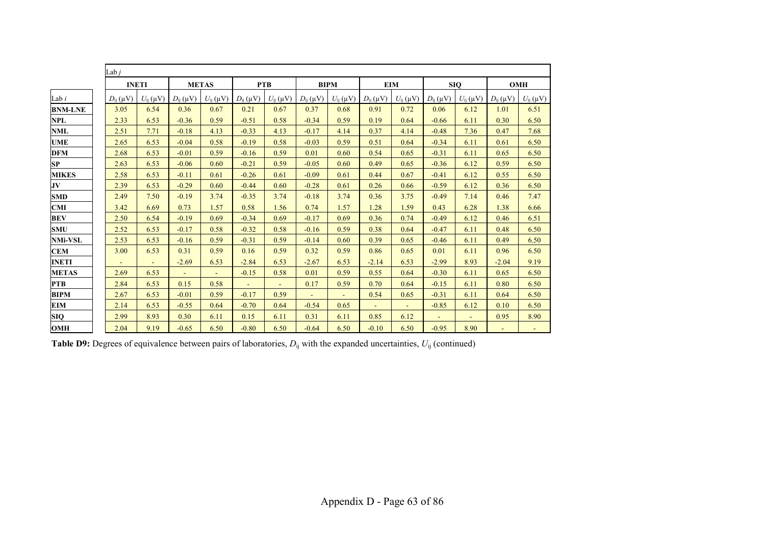|                | Lab <i>i</i>    |                 |                 |                 |                 |                 |                 |                 |                 |                          |                 |                 |                 |                 |
|----------------|-----------------|-----------------|-----------------|-----------------|-----------------|-----------------|-----------------|-----------------|-----------------|--------------------------|-----------------|-----------------|-----------------|-----------------|
|                | <b>INETI</b>    |                 | <b>METAS</b>    |                 | <b>PTB</b>      |                 | <b>BIPM</b>     |                 | <b>EIM</b>      |                          | <b>SIO</b>      |                 | <b>OMH</b>      |                 |
| Lab i          | $D_{ii}(\mu V)$ | $U_{ii}(\mu V)$ | $D_{ii}(\mu V)$ | $U_{ii}(\mu V)$ | $D_{ii}(\mu V)$ | $U_{ii}(\mu V)$ | $D_{ii}(\mu V)$ | $U_{ii}(\mu V)$ | $D_{ii}(\mu V)$ | $U_{ii}(\mu V)$          | $D_{ii}(\mu V)$ | $U_{ii}(\mu V)$ | $D_{ii}(\mu V)$ | $U_{ii}(\mu V)$ |
| <b>BNM-LNE</b> | 3.05            | 6.54            | 0.36            | 0.67            | 0.21            | 0.67            | 0.37            | 0.68            | 0.91            | 0.72                     | 0.06            | 6.12            | 1.01            | 6.51            |
| NPL            | 2.33            | 6.53            | $-0.36$         | 0.59            | $-0.51$         | 0.58            | $-0.34$         | 0.59            | 0.19            | 0.64                     | $-0.66$         | 6.11            | 0.30            | 6.50            |
| NML            | 2.51            | 7.71            | $-0.18$         | 4.13            | $-0.33$         | 4.13            | $-0.17$         | 4.14            | 0.37            | 4.14                     | $-0.48$         | 7.36            | 0.47            | 7.68            |
| UME            | 2.65            | 6.53            | $-0.04$         | 0.58            | $-0.19$         | 0.58            | $-0.03$         | 0.59            | 0.51            | 0.64                     | $-0.34$         | 6.11            | 0.61            | 6.50            |
| DFM            | 2.68            | 6.53            | $-0.01$         | 0.59            | $-0.16$         | 0.59            | 0.01            | 0.60            | 0.54            | 0.65                     | $-0.31$         | 6.11            | 0.65            | 6.50            |
| SP             | 2.63            | 6.53            | $-0.06$         | 0.60            | $-0.21$         | 0.59            | $-0.05$         | 0.60            | 0.49            | 0.65                     | $-0.36$         | 6.12            | 0.59            | 6.50            |
| MIKES          | 2.58            | 6.53            | $-0.11$         | 0.61            | $-0.26$         | 0.61            | $-0.09$         | 0.61            | 0.44            | 0.67                     | $-0.41$         | 6.12            | 0.55            | 6.50            |
| JV             | 2.39            | 6.53            | $-0.29$         | 0.60            | $-0.44$         | 0.60            | $-0.28$         | 0.61            | 0.26            | 0.66                     | $-0.59$         | 6.12            | 0.36            | 6.50            |
| SMD            | 2.49            | 7.50            | $-0.19$         | 3.74            | $-0.35$         | 3.74            | $-0.18$         | 3.74            | 0.36            | 3.75                     | $-0.49$         | 7.14            | 0.46            | 7.47            |
| CMI            | 3.42            | 6.69            | 0.73            | 1.57            | 0.58            | 1.56            | 0.74            | 1.57            | 1.28            | 1.59                     | 0.43            | 6.28            | 1.38            | 6.66            |
| BEV            | 2.50            | 6.54            | $-0.19$         | 0.69            | $-0.34$         | 0.69            | $-0.17$         | 0.69            | 0.36            | 0.74                     | $-0.49$         | 6.12            | 0.46            | 6.51            |
| SMU            | 2.52            | 6.53            | $-0.17$         | 0.58            | $-0.32$         | 0.58            | $-0.16$         | 0.59            | 0.38            | 0.64                     | $-0.47$         | 6.11            | 0.48            | 6.50            |
| NMi-VSL        | 2.53            | 6.53            | $-0.16$         | 0.59            | $-0.31$         | 0.59            | $-0.14$         | 0.60            | 0.39            | 0.65                     | $-0.46$         | 6.11            | 0.49            | 6.50            |
| CEM            | 3.00            | 6.53            | 0.31            | 0.59            | 0.16            | 0.59            | 0.32            | 0.59            | 0.86            | 0.65                     | 0.01            | 6.11            | 0.96            | 6.50            |
| <b>INETI</b>   |                 |                 | $-2.69$         | 6.53            | $-2.84$         | 6.53            | $-2.67$         | 6.53            | $-2.14$         | 6.53                     | $-2.99$         | 8.93            | $-2.04$         | 9.19            |
| <b>METAS</b>   | 2.69            | 6.53            |                 | $\blacksquare$  | $-0.15$         | 0.58            | 0.01            | 0.59            | 0.55            | 0.64                     | $-0.30$         | 6.11            | 0.65            | 6.50            |
| PTB            | 2.84            | 6.53            | 0.15            | 0.58            |                 | $\blacksquare$  | 0.17            | 0.59            | 0.70            | 0.64                     | $-0.15$         | 6.11            | 0.80            | 6.50            |
| BIPM           | 2.67            | 6.53            | $-0.01$         | 0.59            | $-0.17$         | 0.59            | $\sim$          | $\sim$          | 0.54            | 0.65                     | $-0.31$         | 6.11            | 0.64            | 6.50            |
| EIM            | 2.14            | 6.53            | $-0.55$         | 0.64            | $-0.70$         | 0.64            | $-0.54$         | 0.65            |                 | $\overline{\phantom{a}}$ | $-0.85$         | 6.12            | 0.10            | 6.50            |
| SIQ            | 2.99            | 8.93            | 0.30            | 6.11            | 0.15            | 6.11            | 0.31            | 6.11            | 0.85            | 6.12                     | $\sim$          | $\blacksquare$  | 0.95            | 8.90            |
| OMH            | 2.04            | 9.19            | $-0.65$         | 6.50            | $-0.80$         | 6.50            | $-0.64$         | 6.50            | $-0.10$         | 6.50                     | $-0.95$         | 8.90            | $\omega$        |                 |

**Table D9:** Degrees of equivalence between pairs of laboratories,  $D_{ij}$  with the expanded uncertainties,  $U_{ij}$  (continued)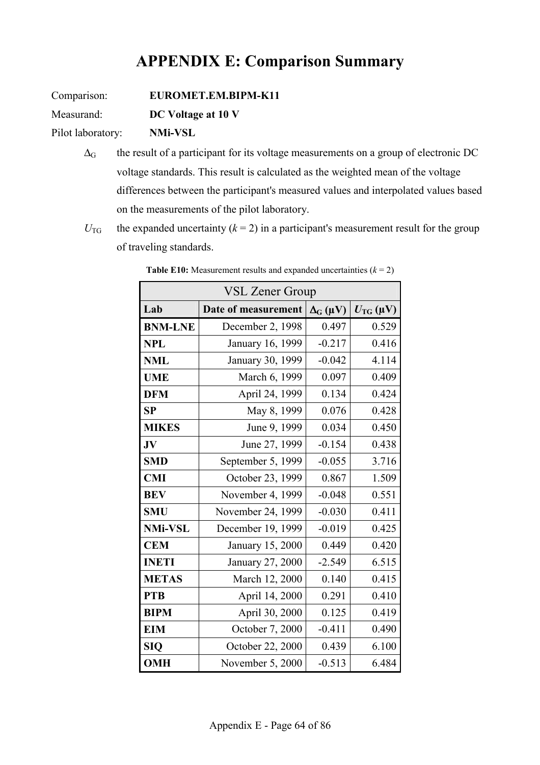# **APPENDIX E: Comparison Summary**

Comparison: **EUROMET.EM.BIPM-K11**

Measurand: **DC Voltage at 10 V**

Pilot laboratory: **NMi-VSL**

- $\Delta_G$  the result of a participant for its voltage measurements on a group of electronic DC voltage standards. This result is calculated as the weighted mean of the voltage differences between the participant's measured values and interpolated values based on the measurements of the pilot laboratory.
- $U_{\text{TG}}$  the expanded uncertainty ( $k = 2$ ) in a participant's measurement result for the group of traveling standards.

| <b>VSL Zener Group</b> |                     |                   |                          |  |  |  |  |  |  |  |
|------------------------|---------------------|-------------------|--------------------------|--|--|--|--|--|--|--|
| Lab                    | Date of measurement | $\Delta_G(\mu V)$ | $U_{\rm TG}(\mu{\rm V})$ |  |  |  |  |  |  |  |
| <b>BNM-LNE</b>         | December 2, 1998    | 0.497             | 0.529                    |  |  |  |  |  |  |  |
| <b>NPL</b>             | January 16, 1999    | $-0.217$          | 0.416                    |  |  |  |  |  |  |  |
| <b>NML</b>             | January 30, 1999    | $-0.042$          | 4.114                    |  |  |  |  |  |  |  |
| <b>UME</b>             | March 6, 1999       | 0.097             | 0.409                    |  |  |  |  |  |  |  |
| <b>DFM</b>             | April 24, 1999      | 0.134             | 0.424                    |  |  |  |  |  |  |  |
| SP                     | May 8, 1999         | 0.076             | 0.428                    |  |  |  |  |  |  |  |
| <b>MIKES</b>           | June 9, 1999        | 0.034             | 0.450                    |  |  |  |  |  |  |  |
| JV                     | June 27, 1999       | $-0.154$          | 0.438                    |  |  |  |  |  |  |  |
| <b>SMD</b>             | September 5, 1999   | $-0.055$          | 3.716                    |  |  |  |  |  |  |  |
| <b>CMI</b>             | October 23, 1999    | 0.867             | 1.509                    |  |  |  |  |  |  |  |
| <b>BEV</b>             | November 4, 1999    | $-0.048$          | 0.551                    |  |  |  |  |  |  |  |
| <b>SMU</b>             | November 24, 1999   | $-0.030$          | 0.411                    |  |  |  |  |  |  |  |
| <b>NMi-VSL</b>         | December 19, 1999   | $-0.019$          | 0.425                    |  |  |  |  |  |  |  |
| <b>CEM</b>             | January 15, 2000    | 0.449             | 0.420                    |  |  |  |  |  |  |  |
| <b>INETI</b>           | January 27, 2000    | $-2.549$          | 6.515                    |  |  |  |  |  |  |  |
| <b>METAS</b>           | March 12, 2000      | 0.140             | 0.415                    |  |  |  |  |  |  |  |
| <b>PTB</b>             | April 14, 2000      | 0.291             | 0.410                    |  |  |  |  |  |  |  |
| <b>BIPM</b>            | April 30, 2000      | 0.125             | 0.419                    |  |  |  |  |  |  |  |
| <b>EIM</b>             | October 7, 2000     | $-0.411$          | 0.490                    |  |  |  |  |  |  |  |
| <b>SIQ</b>             | October 22, 2000    | 0.439             | 6.100                    |  |  |  |  |  |  |  |
| <b>OMH</b>             | November 5, 2000    | $-0.513$          | 6.484                    |  |  |  |  |  |  |  |

**Table E10:** Measurement results and expanded uncertainties  $(k = 2)$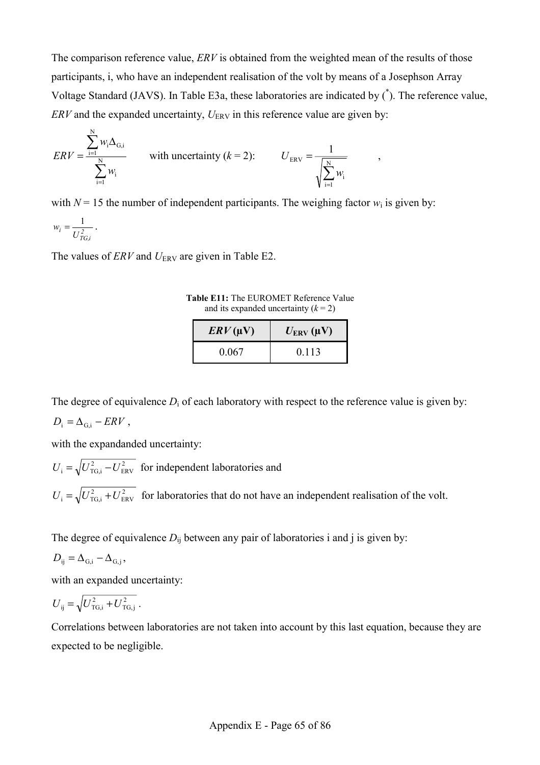The comparison reference value, *ERV* is obtained from the weighted mean of the results of those participants, i, who have an independent realisation of the volt by means of a Josephson Array Voltage Standard (JAVS). In Table E3a, these laboratories are indicated by (\* ). The reference value,  $ERV$  and the expanded uncertainty,  $U_{ERV}$  in this reference value are given by:

$$
ERV = \frac{\sum_{i=1}^{N} w_i \Delta_{G,i}}{\sum_{i=1}^{N} w_i},
$$
 with uncertainty  $(k = 2)$ :  $U_{ERV} = \frac{1}{\sqrt{\sum_{i=1}^{N} w_i}},$ 

with  $N = 15$  the number of independent participants. The weighing factor  $w_i$  is given by:

 $w_i = \frac{1}{U_{TG,i}^2}$ .

The values of  $ERV$  and  $U_{ERV}$  are given in Table E2.

**Table E11:** The EUROMET Reference Value and its expanded uncertainty  $(k = 2)$ 

| $\mathbf{E}$ RV(µV) | $U_{\text{ERV}}(\mu V)$ |
|---------------------|-------------------------|
| 0.067               | 0.113                   |

The degree of equivalence  $D_i$  of each laboratory with respect to the reference value is given by:

$$
D_{\rm i} = \Delta_{\rm G,i} - ERV \,,
$$

with the expandanded uncertainty:

2  $U_i = \sqrt{U_{\text{TG},i}^2 - U_{\text{ERV}}^2}$  for independent laboratories and 2  $U_i = \sqrt{U_{\text{TG},i}^2 + U_{\text{ERV}}^2}$  for laboratories that do not have an independent realisation of the volt.

The degree of equivalence  $D_{ij}$  between any pair of laboratories i and j is given by:

$$
D_{ij} = \Delta_{G,i} - \Delta_{G,j},
$$

with an expanded uncertainty:

$$
U_{ij} = \sqrt{U_{\text{TG},i}^2 + U_{\text{TG},j}^2} \,.
$$

Correlations between laboratories are not taken into account by this last equation, because they are expected to be negligible.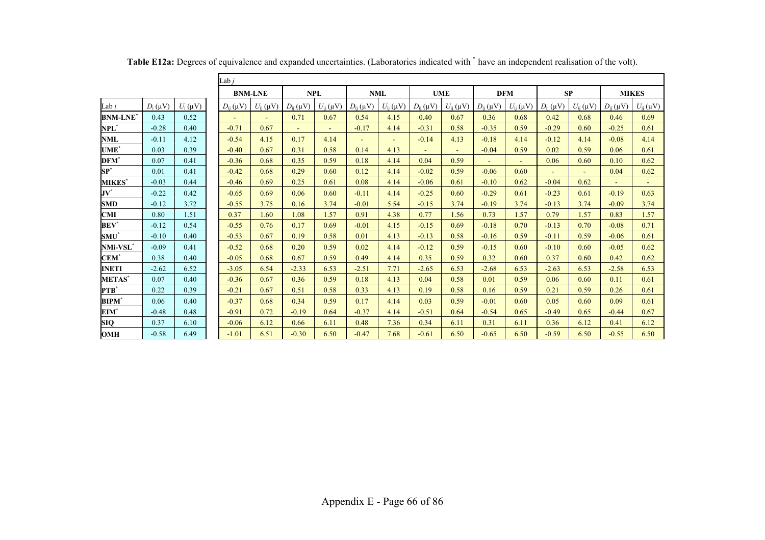|                   |            |            | Lab <i>i</i>    |                 |                 |                 |                 |                 |                 |                 |                 |                 |                 |                 |                 |                 |
|-------------------|------------|------------|-----------------|-----------------|-----------------|-----------------|-----------------|-----------------|-----------------|-----------------|-----------------|-----------------|-----------------|-----------------|-----------------|-----------------|
|                   |            |            |                 | <b>BNM-LNE</b>  |                 | <b>NPL</b>      |                 | <b>NML</b>      | <b>UME</b>      |                 | <b>DFM</b>      |                 | <b>SP</b>       |                 | <b>MIKES</b>    |                 |
| Lab <i>i</i>      | $D_i$ (uV) | $U_i$ (uV) | $D_{ii}(\mu V)$ | $U_{ii}(\mu V)$ | $D_{ii}(\mu V)$ | $U_{ii}(\mu V)$ | $D_{ii}(\mu V)$ | $U_{ii}(\mu V)$ | $D_{ii}(\mu V)$ | $U_{ii}(\mu V)$ | $D_{ii}(\mu V)$ | $U_{ii}(\mu V)$ | $D_{ij}(\mu V)$ | $U_{ii}(\mu V)$ | $D_{ii}(\mu V)$ | $U_{ii}(\mu V)$ |
| BNM-LNE*          | 0.43       | 0.52       | $\sim$          | $\sim$          | 0.71            | 0.67            | 0.54            | 4.15            | 0.40            | 0.67            | 0.36            | 0.68            | 0.42            | 0.68            | 0.46            | 0.69            |
| $\mathbf{NPL}^*$  | $-0.28$    | 0.40       | $-0.71$         | 0.67            | $\sim$          | $\sim$          | $-0.17$         | 4.14            | $-0.31$         | 0.58            | $-0.35$         | 0.59            | $-0.29$         | 0.60            | $-0.25$         | 0.61            |
| NML               | $-0.11$    | 4.12       | $-0.54$         | 4.15            | 0.17            | 4.14            | $\sim$          | $\sim$          | $-0.14$         | 4.13            | $-0.18$         | 4.14            | $-0.12$         | 4.14            | $-0.08$         | 4.14            |
| UME*              | 0.03       | 0.39       | $-0.40$         | 0.67            | 0.31            | 0.58            | 0.14            | 4.13            | $\sim$          | $\sim$          | $-0.04$         | 0.59            | 0.02            | 0.59            | 0.06            | 0.61            |
| DFM*              | 0.07       | 0.41       | $-0.36$         | 0.68            | 0.35            | 0.59            | 0.18            | 4.14            | 0.04            | 0.59            | $\sim$          | $\sim$          | 0.06            | 0.60            | 0.10            | 0.62            |
| $\mathbf{SP}^{*}$ | 0.01       | 0.41       | $-0.42$         | 0.68            | 0.29            | 0.60            | 0.12            | 4.14            | $-0.02$         | 0.59            | $-0.06$         | 0.60            | $\sim$          | $\sim$          | 0.04            | 0.62            |
| <b>MIKES*</b>     | $-0.03$    | 0.44       | $-0.46$         | 0.69            | 0.25            | 0.61            | 0.08            | 4.14            | $-0.06$         | 0.61            | $-0.10$         | 0.62            | $-0.04$         | 0.62            | $\omega$        |                 |
| $\mathbf{JV}^*$   | $-0.22$    | 0.42       | $-0.65$         | 0.69            | 0.06            | 0.60            | $-0.11$         | 4.14            | $-0.25$         | 0.60            | $-0.29$         | 0.61            | $-0.23$         | 0.61            | $-0.19$         | 0.63            |
| SMD               | $-0.12$    | 3.72       | $-0.55$         | 3.75            | 0.16            | 3.74            | $-0.01$         | 5.54            | $-0.15$         | 3.74            | $-0.19$         | 3.74            | $-0.13$         | 3.74            | $-0.09$         | 3.74            |
| <b>CMI</b>        | 0.80       | 1.51       | 0.37            | 1.60            | 1.08            | 1.57            | 0.91            | 4.38            | 0.77            | 1.56            | 0.73            | 1.57            | 0.79            | 1.57            | 0.83            | 1.57            |
| $\mathbf{BEV}^*$  | $-0.12$    | 0.54       | $-0.55$         | 0.76            | 0.17            | 0.69            | $-0.01$         | 4.15            | $-0.15$         | 0.69            | $-0.18$         | 0.70            | $-0.13$         | 0.70            | $-0.08$         | 0.71            |
| $\textbf{SMU}^*$  | $-0.10$    | 0.40       | $-0.53$         | 0.67            | 0.19            | 0.58            | 0.01            | 4.13            | $-0.13$         | 0.58            | $-0.16$         | 0.59            | $-0.11$         | 0.59            | $-0.06$         | 0.61            |
| NMi-VSL*          | $-0.09$    | 0.41       | $-0.52$         | 0.68            | 0.20            | 0.59            | 0.02            | 4.14            | $-0.12$         | 0.59            | $-0.15$         | 0.60            | $-0.10$         | 0.60            | $-0.05$         | 0.62            |
| $\mathbf{CEM}^*$  | 0.38       | 0.40       | $-0.05$         | 0.68            | 0.67            | 0.59            | 0.49            | 4.14            | 0.35            | 0.59            | 0.32            | 0.60            | 0.37            | 0.60            | 0.42            | 0.62            |
| <b>INETI</b>      | $-2.62$    | 6.52       | $-3.05$         | 6.54            | $-2.33$         | 6.53            | $-2.51$         | 7.71            | $-2.65$         | 6.53            | $-2.68$         | 6.53            | $-2.63$         | 6.53            | $-2.58$         | 6.53            |
| <b>METAS</b> *    | 0.07       | 0.40       | $-0.36$         | 0.67            | 0.36            | 0.59            | 0.18            | 4.13            | 0.04            | 0.58            | 0.01            | 0.59            | 0.06            | 0.60            | 0.11            | 0.61            |
| PTB*              | 0.22       | 0.39       | $-0.21$         | 0.67            | 0.51            | 0.58            | 0.33            | 4.13            | 0.19            | 0.58            | 0.16            | 0.59            | 0.21            | 0.59            | 0.26            | 0.61            |
| BIPM*             | 0.06       | 0.40       | $-0.37$         | 0.68            | 0.34            | 0.59            | 0.17            | 4.14            | 0.03            | 0.59            | $-0.01$         | 0.60            | 0.05            | 0.60            | 0.09            | 0.61            |
| EIM*              | $-0.48$    | 0.48       | $-0.91$         | 0.72            | $-0.19$         | 0.64            | $-0.37$         | 4.14            | $-0.51$         | 0.64            | $-0.54$         | 0.65            | $-0.49$         | 0.65            | $-0.44$         | 0.67            |
| SIQ               | 0.37       | 6.10       | $-0.06$         | 6.12            | 0.66            | 6.11            | 0.48            | 7.36            | 0.34            | 6.11            | 0.31            | 6.11            | 0.36            | 6.12            | 0.41            | 6.12            |
| OMH               | $-0.58$    | 6.49       | $-1.01$         | 6.51            | $-0.30$         | 6.50            | $-0.47$         | 7.68            | $-0.61$         | 6.50            | $-0.65$         | 6.50            | $-0.59$         | 6.50            | $-0.55$         | 6.50            |

Table E12a: Degrees of equivalence and expanded uncertainties. (Laboratories indicated with  $*$  have an independent realisation of the volt).

Lab *i*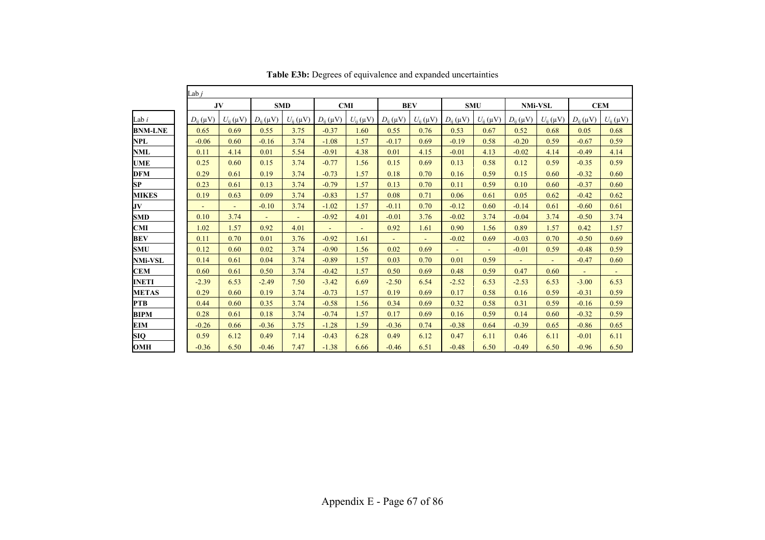|                | Lab <i>i</i>    |                 |                 |                 |                 |                 |                 |                 |                 |                 |                 |                 |                 |                 |
|----------------|-----------------|-----------------|-----------------|-----------------|-----------------|-----------------|-----------------|-----------------|-----------------|-----------------|-----------------|-----------------|-----------------|-----------------|
|                | JV              |                 | <b>SMD</b>      |                 | <b>CMI</b>      |                 | <b>BEV</b>      |                 | <b>SMU</b>      |                 | <b>NMi-VSL</b>  |                 | CEM             |                 |
| Lab $i$        | $D_{ij}(\mu V)$ | $U_{ij}(\mu V)$ | $D_{ii}(\mu V)$ | $U_{ii}(\mu V)$ | $D_{ij}(\mu V)$ | $U_{ii}(\mu V)$ | $D_{ii}(\mu V)$ | $U_{ii}(\mu V)$ | $D_{ii}(\mu V)$ | $U_{ii}(\mu V)$ | $D_{ii}(\mu V)$ | $U_{ij}(\mu V)$ | $D_{ii}(\mu V)$ | $U_{ij}(\mu V)$ |
| <b>BNM-LNE</b> | 0.65            | 0.69            | 0.55            | 3.75            | $-0.37$         | 1.60            | 0.55            | 0.76            | 0.53            | 0.67            | 0.52            | 0.68            | 0.05            | 0.68            |
| NPL            | $-0.06$         | 0.60            | $-0.16$         | 3.74            | $-1.08$         | 1.57            | $-0.17$         | 0.69            | $-0.19$         | 0.58            | $-0.20$         | 0.59            | $-0.67$         | 0.59            |
| <b>NML</b>     | 0.11            | 4.14            | 0.01            | 5.54            | $-0.91$         | 4.38            | 0.01            | 4.15            | $-0.01$         | 4.13            | $-0.02$         | 4.14            | $-0.49$         | 4.14            |
| <b>UME</b>     | 0.25            | 0.60            | 0.15            | 3.74            | $-0.77$         | 1.56            | 0.15            | 0.69            | 0.13            | 0.58            | 0.12            | 0.59            | $-0.35$         | 0.59            |
| <b>DFM</b>     | 0.29            | 0.61            | 0.19            | 3.74            | $-0.73$         | 1.57            | 0.18            | 0.70            | 0.16            | 0.59            | 0.15            | 0.60            | $-0.32$         | 0.60            |
| <b>SP</b>      | 0.23            | 0.61            | 0.13            | 3.74            | $-0.79$         | 1.57            | 0.13            | 0.70            | 0.11            | 0.59            | 0.10            | 0.60            | $-0.37$         | 0.60            |
| <b>MIKES</b>   | 0.19            | 0.63            | 0.09            | 3.74            | $-0.83$         | 1.57            | 0.08            | 0.71            | 0.06            | 0.61            | 0.05            | 0.62            | $-0.42$         | 0.62            |
| JV             |                 | $\blacksquare$  | $-0.10$         | 3.74            | $-1.02$         | 1.57            | $-0.11$         | 0.70            | $-0.12$         | 0.60            | $-0.14$         | 0.61            | $-0.60$         | 0.61            |
| <b>SMD</b>     | 0.10            | 3.74            | $\blacksquare$  | $\blacksquare$  | $-0.92$         | 4.01            | $-0.01$         | 3.76            | $-0.02$         | 3.74            | $-0.04$         | 3.74            | $-0.50$         | 3.74            |
| <b>CMI</b>     | 1.02            | 1.57            | 0.92            | 4.01            |                 |                 | 0.92            | 1.61            | 0.90            | 1.56            | 0.89            | 1.57            | 0.42            | 1.57            |
| <b>BEV</b>     | 0.11            | 0.70            | 0.01            | 3.76            | $-0.92$         | 1.61            |                 |                 | $-0.02$         | 0.69            | $-0.03$         | 0.70            | $-0.50$         | 0.69            |
| <b>SMU</b>     | 0.12            | 0.60            | 0.02            | 3.74            | $-0.90$         | 1.56            | 0.02            | 0.69            |                 | ä,              | $-0.01$         | 0.59            | $-0.48$         | 0.59            |
| <b>NMi-VSL</b> | 0.14            | 0.61            | 0.04            | 3.74            | $-0.89$         | 1.57            | 0.03            | 0.70            | 0.01            | 0.59            | $\omega$        | $\blacksquare$  | $-0.47$         | 0.60            |
| <b>CEM</b>     | 0.60            | 0.61            | 0.50            | 3.74            | $-0.42$         | 1.57            | 0.50            | 0.69            | 0.48            | 0.59            | 0.47            | 0.60            |                 | $\blacksquare$  |
| <b>INETI</b>   | $-2.39$         | 6.53            | $-2.49$         | 7.50            | $-3.42$         | 6.69            | $-2.50$         | 6.54            | $-2.52$         | 6.53            | $-2.53$         | 6.53            | $-3.00$         | 6.53            |
| <b>METAS</b>   | 0.29            | 0.60            | 0.19            | 3.74            | $-0.73$         | 1.57            | 0.19            | 0.69            | 0.17            | 0.58            | 0.16            | 0.59            | $-0.31$         | 0.59            |
| <b>PTB</b>     | 0.44            | 0.60            | 0.35            | 3.74            | $-0.58$         | 1.56            | 0.34            | 0.69            | 0.32            | 0.58            | 0.31            | 0.59            | $-0.16$         | 0.59            |
| <b>BIPM</b>    | 0.28            | 0.61            | 0.18            | 3.74            | $-0.74$         | 1.57            | 0.17            | 0.69            | 0.16            | 0.59            | 0.14            | 0.60            | $-0.32$         | 0.59            |
| EIM            | $-0.26$         | 0.66            | $-0.36$         | 3.75            | $-1.28$         | 1.59            | $-0.36$         | 0.74            | $-0.38$         | 0.64            | $-0.39$         | 0.65            | $-0.86$         | 0.65            |
| <b>SIQ</b>     | 0.59            | 6.12            | 0.49            | 7.14            | $-0.43$         | 6.28            | 0.49            | 6.12            | 0.47            | 6.11            | 0.46            | 6.11            | $-0.01$         | 6.11            |
| <b>OMH</b>     | $-0.36$         | 6.50            | $-0.46$         | 7.47            | $-1.38$         | 6.66            | $-0.46$         | 6.51            | $-0.48$         | 6.50            | $-0.49$         | 6.50            | $-0.96$         | 6.50            |

**Table E3b:** Degrees of equivalence and expanded uncertainties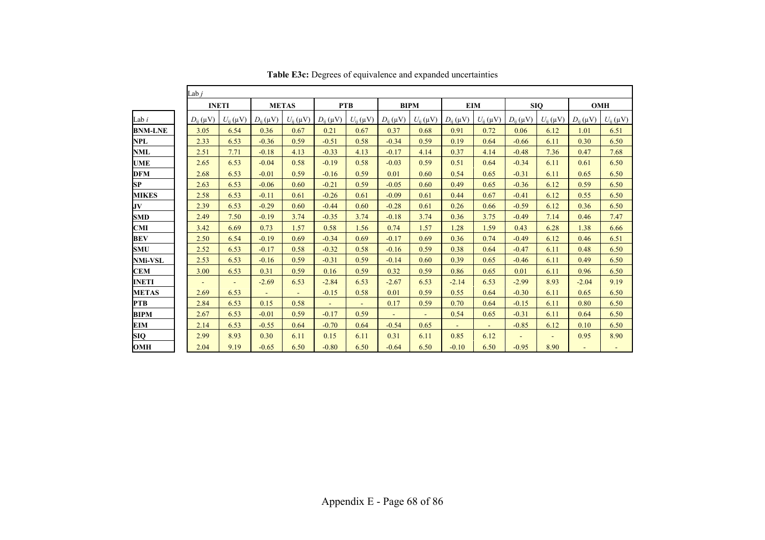|                | Lab $j$         |                 |                 |                 |                 |                 |                 |                 |                 |                 |                 |                 |                 |                 |
|----------------|-----------------|-----------------|-----------------|-----------------|-----------------|-----------------|-----------------|-----------------|-----------------|-----------------|-----------------|-----------------|-----------------|-----------------|
|                | <b>INETI</b>    |                 | <b>METAS</b>    |                 | <b>PTB</b>      |                 | <b>BIPM</b>     |                 | <b>EIM</b>      |                 | <b>SIQ</b>      |                 | <b>OMH</b>      |                 |
| Lab i          | $D_{ii}(\mu V)$ | $U_{ii}(\mu V)$ | $D_{ii}(\mu V)$ | $U_{ij}(\mu V)$ | $D_{ii}(\mu V)$ | $U_{ij}(\mu V)$ | $D_{ii}(\mu V)$ | $U_{ij}(\mu V)$ | $D_{ii}(\mu V)$ | $U_{ij}(\mu V)$ | $D_{ii}(\mu V)$ | $U_{ij}(\mu V)$ | $D_{ij}(\mu V)$ | $U_{ij}(\mu V)$ |
| <b>BNM-LNE</b> | 3.05            | 6.54            | 0.36            | 0.67            | 0.21            | 0.67            | 0.37            | 0.68            | 0.91            | 0.72            | 0.06            | 6.12            | 1.01            | 6.51            |
| NPL            | 2.33            | 6.53            | $-0.36$         | 0.59            | $-0.51$         | 0.58            | $-0.34$         | 0.59            | 0.19            | 0.64            | $-0.66$         | 6.11            | 0.30            | 6.50            |
| <b>NML</b>     | 2.51            | 7.71            | $-0.18$         | 4.13            | $-0.33$         | 4.13            | $-0.17$         | 4.14            | 0.37            | 4.14            | $-0.48$         | 7.36            | 0.47            | 7.68            |
| <b>UME</b>     | 2.65            | 6.53            | $-0.04$         | 0.58            | $-0.19$         | 0.58            | $-0.03$         | 0.59            | 0.51            | 0.64            | $-0.34$         | 6.11            | 0.61            | 6.50            |
| <b>DFM</b>     | 2.68            | 6.53            | $-0.01$         | 0.59            | $-0.16$         | 0.59            | 0.01            | 0.60            | 0.54            | 0.65            | $-0.31$         | 6.11            | 0.65            | 6.50            |
| SP             | 2.63            | 6.53            | $-0.06$         | 0.60            | $-0.21$         | 0.59            | $-0.05$         | 0.60            | 0.49            | 0.65            | $-0.36$         | 6.12            | 0.59            | 6.50            |
| <b>MIKES</b>   | 2.58            | 6.53            | $-0.11$         | 0.61            | $-0.26$         | 0.61            | $-0.09$         | 0.61            | 0.44            | 0.67            | $-0.41$         | 6.12            | 0.55            | 6.50            |
| JV             | 2.39            | 6.53            | $-0.29$         | 0.60            | $-0.44$         | 0.60            | $-0.28$         | 0.61            | 0.26            | 0.66            | $-0.59$         | 6.12            | 0.36            | 6.50            |
| SMD            | 2.49            | 7.50            | $-0.19$         | 3.74            | $-0.35$         | 3.74            | $-0.18$         | 3.74            | 0.36            | 3.75            | $-0.49$         | 7.14            | 0.46            | 7.47            |
| CMI            | 3.42            | 6.69            | 0.73            | 1.57            | 0.58            | 1.56            | 0.74            | 1.57            | 1.28            | 1.59            | 0.43            | 6.28            | 1.38            | 6.66            |
| <b>BEV</b>     | 2.50            | 6.54            | $-0.19$         | 0.69            | $-0.34$         | 0.69            | $-0.17$         | 0.69            | 0.36            | 0.74            | $-0.49$         | 6.12            | 0.46            | 6.51            |
| <b>SMU</b>     | 2.52            | 6.53            | $-0.17$         | 0.58            | $-0.32$         | 0.58            | $-0.16$         | 0.59            | 0.38            | 0.64            | $-0.47$         | 6.11            | 0.48            | 6.50            |
| <b>NMi-VSL</b> | 2.53            | 6.53            | $-0.16$         | 0.59            | $-0.31$         | 0.59            | $-0.14$         | 0.60            | 0.39            | 0.65            | $-0.46$         | 6.11            | 0.49            | 6.50            |
| <b>CEM</b>     | 3.00            | 6.53            | 0.31            | 0.59            | 0.16            | 0.59            | 0.32            | 0.59            | 0.86            | 0.65            | 0.01            | 6.11            | 0.96            | 6.50            |
| <b>INETI</b>   |                 |                 | $-2.69$         | 6.53            | $-2.84$         | 6.53            | $-2.67$         | 6.53            | $-2.14$         | 6.53            | $-2.99$         | 8.93            | $-2.04$         | 9.19            |
| <b>METAS</b>   | 2.69            | 6.53            | ÷.              | ÷.              | $-0.15$         | 0.58            | 0.01            | 0.59            | 0.55            | 0.64            | $-0.30$         | 6.11            | 0.65            | 6.50            |
| <b>PTB</b>     | 2.84            | 6.53            | 0.15            | 0.58            | $\sim$          |                 | 0.17            | 0.59            | 0.70            | 0.64            | $-0.15$         | 6.11            | 0.80            | 6.50            |
| <b>BIPM</b>    | 2.67            | 6.53            | $-0.01$         | 0.59            | $-0.17$         | 0.59            | ÷.              | $\sim$          | 0.54            | 0.65            | $-0.31$         | 6.11            | 0.64            | 6.50            |
| EIM            | 2.14            | 6.53            | $-0.55$         | 0.64            | $-0.70$         | 0.64            | $-0.54$         | 0.65            |                 | $\omega$        | $-0.85$         | 6.12            | 0.10            | 6.50            |
| <b>SIQ</b>     | 2.99            | 8.93            | 0.30            | 6.11            | 0.15            | 6.11            | 0.31            | 6.11            | 0.85            | 6.12            | $\omega$        | ÷.              | 0.95            | 8.90            |
| <b>OMH</b>     | 2.04            | 9.19            | $-0.65$         | 6.50            | $-0.80$         | 6.50            | $-0.64$         | 6.50            | $-0.10$         | 6.50            | $-0.95$         | 8.90            | $\blacksquare$  |                 |

**Table E3c:** Degrees of equivalence and expanded uncertainties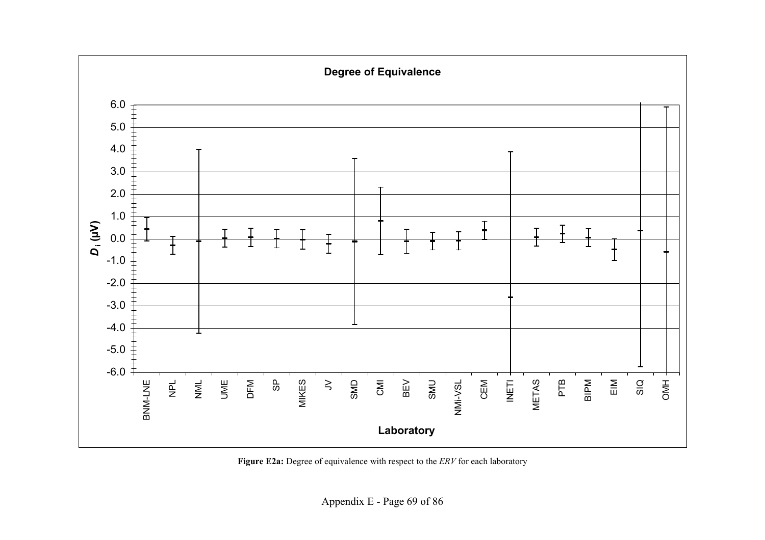

Figure E2a: Degree of equivalence with respect to the *ERV* for each laboratory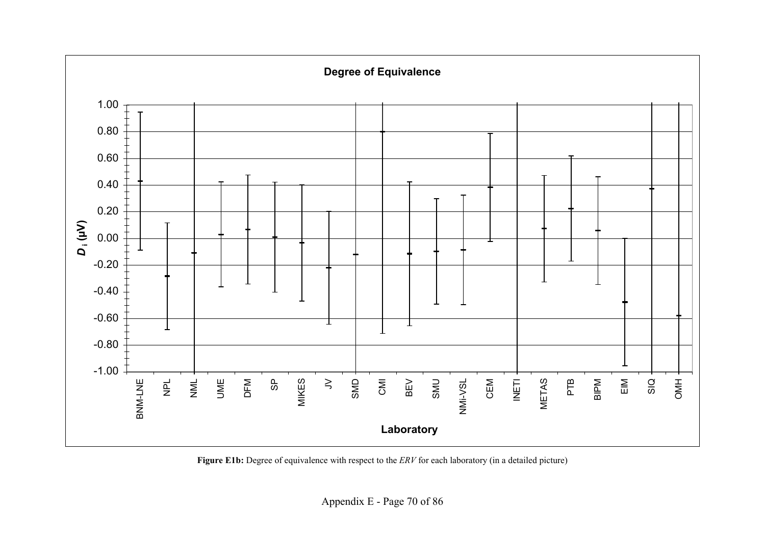

Figure E1b: Degree of equivalence with respect to the *ERV* for each laboratory (in a detailed picture)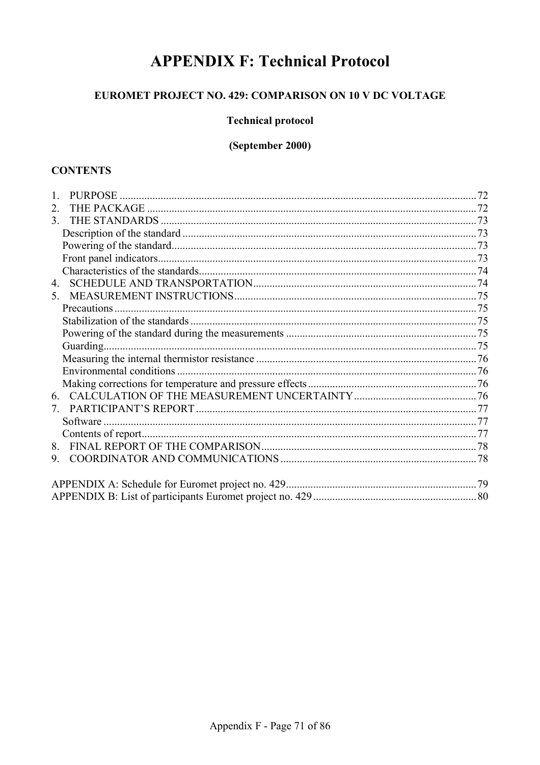# **APPENDIX F: Technical Protocol**

## EUROMET PROJECT NO. 429: COMPARISON ON 10 V DC VOLTAGE

## **Technical protocol**

## (September 2000)

## **CONTENTS**

| 2.            |  |
|---------------|--|
| $\mathcal{E}$ |  |
|               |  |
|               |  |
|               |  |
|               |  |
| 4.            |  |
| $5 -$         |  |
|               |  |
|               |  |
|               |  |
| Guarding.     |  |
|               |  |
|               |  |
|               |  |
| 6             |  |
| $7\degree$    |  |
|               |  |
|               |  |
| 8.            |  |
| 9.            |  |
|               |  |
|               |  |
|               |  |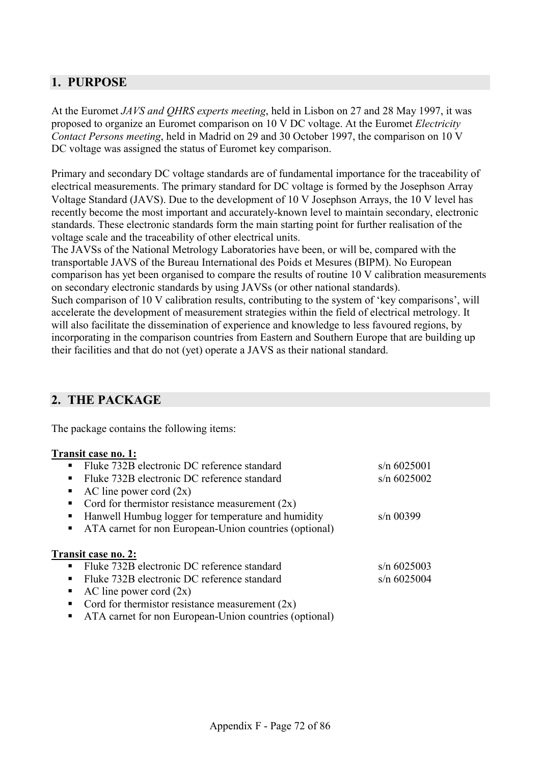## <span id="page-71-0"></span>**1. PURPOSE**

At the Euromet *JAVS and QHRS experts meeting*, held in Lisbon on 27 and 28 May 1997, it was proposed to organize an Euromet comparison on 10 V DC voltage. At the Euromet *Electricity Contact Persons meeting*, held in Madrid on 29 and 30 October 1997, the comparison on 10 V DC voltage was assigned the status of Euromet key comparison.

Primary and secondary DC voltage standards are of fundamental importance for the traceability of electrical measurements. The primary standard for DC voltage is formed by the Josephson Array Voltage Standard (JAVS). Due to the development of 10 V Josephson Arrays, the 10 V level has recently become the most important and accurately-known level to maintain secondary, electronic standards. These electronic standards form the main starting point for further realisation of the voltage scale and the traceability of other electrical units.

The JAVSs of the National Metrology Laboratories have been, or will be, compared with the transportable JAVS of the Bureau International des Poids et Mesures (BIPM). No European comparison has yet been organised to compare the results of routine 10 V calibration measurements on secondary electronic standards by using JAVSs (or other national standards).

Such comparison of 10 V calibration results, contributing to the system of 'key comparisons', will accelerate the development of measurement strategies within the field of electrical metrology. It will also facilitate the dissemination of experience and knowledge to less favoured regions, by incorporating in the comparison countries from Eastern and Southern Europe that are building up their facilities and that do not (yet) operate a JAVS as their national standard.

## **2. THE PACKAGE**

The package contains the following items:

## **Transit case no. 1:**

|                | Fluke 732B electronic DC reference standard            | $s/n$ 6025001 |
|----------------|--------------------------------------------------------|---------------|
| $\blacksquare$ | Fluke 732B electronic DC reference standard            | $s/n$ 6025002 |
| п              | AC line power cord $(2x)$                              |               |
| ٠              | Cord for thermistor resistance measurement $(2x)$      |               |
| п              | Hanwell Humbug logger for temperature and humidity     | $s/n$ 00399   |
| $\blacksquare$ | ATA carnet for non European-Union countries (optional) |               |
|                | Transit case no. 2:                                    |               |
| $\blacksquare$ | Fluke 732B electronic DC reference standard            | $s/n$ 6025003 |
| $\blacksquare$ | Fluke 732B electronic DC reference standard            | $s/n$ 6025004 |
| ٠              | AC line power cord $(2x)$                              |               |
| ٠              | Cord for thermistor resistance measurement $(2x)$      |               |
| п              | ATA carnet for non European-Union countries (optional) |               |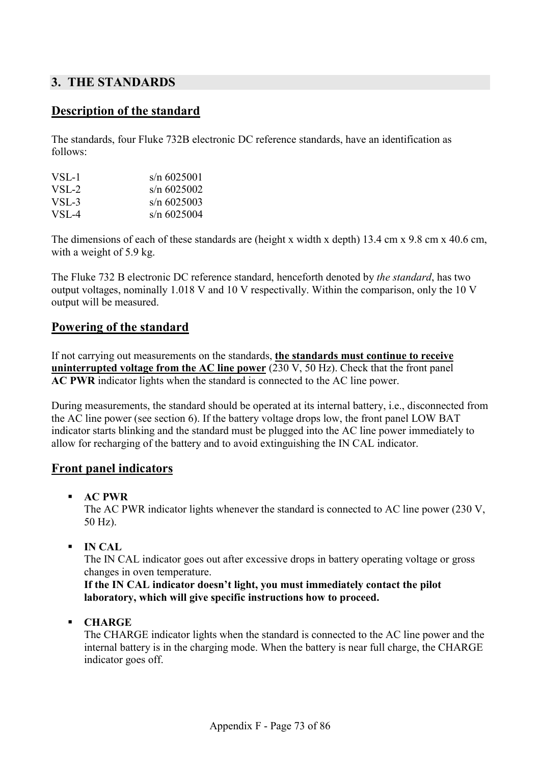### **3. THE STANDARDS**

### **Description of the standard**

The standards, four Fluke 732B electronic DC reference standards, have an identification as follows:

| VSL-1     | $s/n$ 6025001  |
|-----------|----------------|
| $VSI - 2$ | $s/n$ 6025002  |
| $VSI - 3$ | $\sin 6025003$ |
| $VSI - 4$ | $s/n$ 6025004  |

The dimensions of each of these standards are (height x width x depth) 13.4 cm x 9.8 cm x 40.6 cm, with a weight of 5.9 kg.

The Fluke 732 B electronic DC reference standard, henceforth denoted by *the standard*, has two output voltages, nominally 1.018 V and 10 V respectivally. Within the comparison, only the 10 V output will be measured.

### **Powering of the standard**

If not carrying out measurements on the standards, **the standards must continue to receive uninterrupted voltage from the AC line power** (230 V, 50 Hz). Check that the front panel **AC PWR** indicator lights when the standard is connected to the AC line power.

During measurements, the standard should be operated at its internal battery, i.e., disconnected from the AC line power (see section 6). If the battery voltage drops low, the front panel LOW BAT indicator starts blinking and the standard must be plugged into the AC line power immediately to allow for recharging of the battery and to avoid extinguishing the IN CAL indicator.

#### **Front panel indicators**

**AC PWR** 

The AC PWR indicator lights whenever the standard is connected to AC line power (230 V, 50 Hz).

**IN CAL** 

The IN CAL indicator goes out after excessive drops in battery operating voltage or gross changes in oven temperature.

**If the IN CAL indicator doesn't light, you must immediately contact the pilot laboratory, which will give specific instructions how to proceed.**

**CHARGE** 

The CHARGE indicator lights when the standard is connected to the AC line power and the internal battery is in the charging mode. When the battery is near full charge, the CHARGE indicator goes off.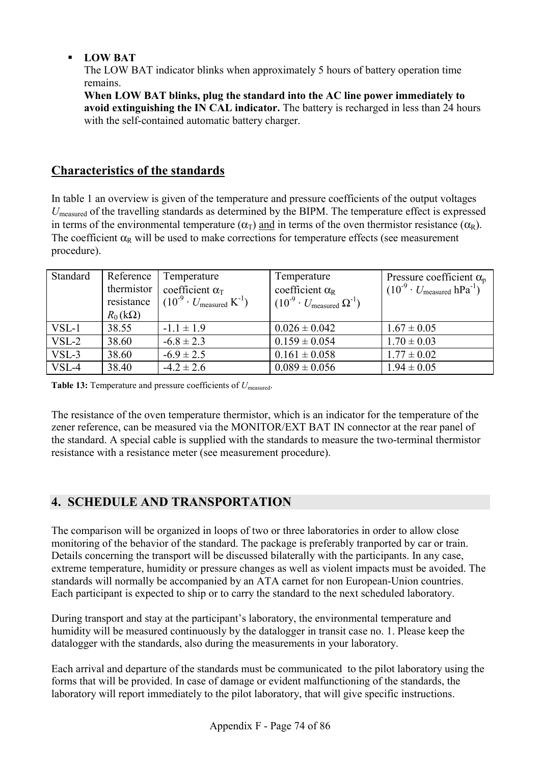### **LOW BAT**

The LOW BAT indicator blinks when approximately 5 hours of battery operation time remains.

**When LOW BAT blinks, plug the standard into the AC line power immediately to avoid extinguishing the IN CAL indicator.** The battery is recharged in less than 24 hours with the self-contained automatic battery charger.

# **Characteristics of the standards**

In table 1 an overview is given of the temperature and pressure coefficients of the output voltages *U*measured of the travelling standards as determined by the BIPM. The temperature effect is expressed in terms of the environmental temperature ( $\alpha_T$ ) and in terms of the oven thermistor resistance ( $\alpha_R$ ). The coefficient  $\alpha_R$  will be used to make corrections for temperature effects (see measurement procedure).

| Standard | Reference<br>thermistor<br>resistance<br>$R_0(k\Omega)$ | Temperature<br>coefficient $\alpha$ <sup>T</sup><br>$(10^{-9} \cdot U_{\text{measured}} K^{-1})$ | Temperature<br>coefficient $\alpha_R$<br>$(10^{-9} \cdot U_{\text{measured}} \Omega^{-1})$ | Pressure coefficient $\alpha_p$<br>$(10^{-9} \cdot U_{\text{measured}} \text{hPa}^{-1})$ |
|----------|---------------------------------------------------------|--------------------------------------------------------------------------------------------------|--------------------------------------------------------------------------------------------|------------------------------------------------------------------------------------------|
| $VSL-1$  | 38.55                                                   | $-1.1 \pm 1.9$                                                                                   | $0.026 \pm 0.042$                                                                          | $1.67 \pm 0.05$                                                                          |
| $VSL-2$  | 38.60                                                   | $-6.8 \pm 2.3$                                                                                   | $0.159 \pm 0.054$                                                                          | $1.70 \pm 0.03$                                                                          |
| $VSL-3$  | 38.60                                                   | $-6.9 \pm 2.5$                                                                                   | $0.161 \pm 0.058$                                                                          | $1.77 \pm 0.02$                                                                          |
| VSL-4    | 38.40                                                   | $-4.2 \pm 2.6$                                                                                   | $0.089 \pm 0.056$                                                                          | $1.94 \pm 0.05$                                                                          |

**Table 13:** Temperature and pressure coefficients of *U*<sub>measured</sub>.

The resistance of the oven temperature thermistor, which is an indicator for the temperature of the zener reference, can be measured via the MONITOR/EXT BAT IN connector at the rear panel of the standard. A special cable is supplied with the standards to measure the two-terminal thermistor resistance with a resistance meter (see measurement procedure).

# **4. SCHEDULE AND TRANSPORTATION**

The comparison will be organized in loops of two or three laboratories in order to allow close monitoring of the behavior of the standard. The package is preferably tranported by car or train. Details concerning the transport will be discussed bilaterally with the participants. In any case, extreme temperature, humidity or pressure changes as well as violent impacts must be avoided. The standards will normally be accompanied by an ATA carnet for non European-Union countries. Each participant is expected to ship or to carry the standard to the next scheduled laboratory.

During transport and stay at the participant's laboratory, the environmental temperature and humidity will be measured continuously by the datalogger in transit case no. 1. Please keep the datalogger with the standards, also during the measurements in your laboratory.

Each arrival and departure of the standards must be communicated to the pilot laboratory using the forms that will be provided. In case of damage or evident malfunctioning of the standards, the laboratory will report immediately to the pilot laboratory, that will give specific instructions.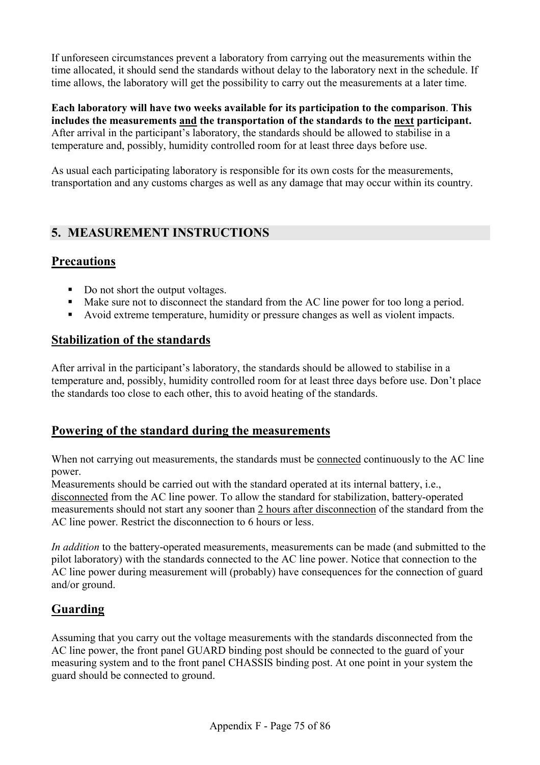If unforeseen circumstances prevent a laboratory from carrying out the measurements within the time allocated, it should send the standards without delay to the laboratory next in the schedule. If time allows, the laboratory will get the possibility to carry out the measurements at a later time.

**Each laboratory will have two weeks available for its participation to the comparison**. **This includes the measurements and the transportation of the standards to the next participant.** After arrival in the participant's laboratory, the standards should be allowed to stabilise in a temperature and, possibly, humidity controlled room for at least three days before use.

As usual each participating laboratory is responsible for its own costs for the measurements, transportation and any customs charges as well as any damage that may occur within its country.

# **5. MEASUREMENT INSTRUCTIONS**

# **Precautions**

- Do not short the output voltages.
- Make sure not to disconnect the standard from the AC line power for too long a period.
- Avoid extreme temperature, humidity or pressure changes as well as violent impacts.

### **Stabilization of the standards**

After arrival in the participant's laboratory, the standards should be allowed to stabilise in a temperature and, possibly, humidity controlled room for at least three days before use. Don't place the standards too close to each other, this to avoid heating of the standards.

### **Powering of the standard during the measurements**

When not carrying out measurements, the standards must be connected continuously to the AC line power.

Measurements should be carried out with the standard operated at its internal battery, i.e., disconnected from the AC line power. To allow the standard for stabilization, battery-operated measurements should not start any sooner than 2 hours after disconnection of the standard from the AC line power. Restrict the disconnection to 6 hours or less.

*In addition* to the battery-operated measurements, measurements can be made (and submitted to the pilot laboratory) with the standards connected to the AC line power. Notice that connection to the AC line power during measurement will (probably) have consequences for the connection of guard and/or ground.

### **Guarding**

Assuming that you carry out the voltage measurements with the standards disconnected from the AC line power, the front panel GUARD binding post should be connected to the guard of your measuring system and to the front panel CHASSIS binding post. At one point in your system the guard should be connected to ground.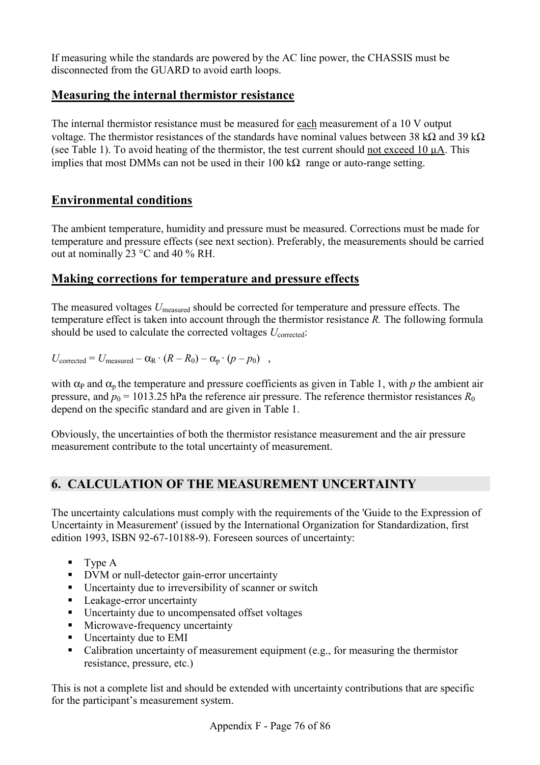If measuring while the standards are powered by the AC line power, the CHASSIS must be disconnected from the GUARD to avoid earth loops.

### **Measuring the internal thermistor resistance**

The internal thermistor resistance must be measured for each measurement of a 10 V output voltage. The thermistor resistances of the standards have nominal values between 38 kΩ and 39 kΩ (see Table 1). To avoid heating of the thermistor, the test current should not exceed 10 µA. This implies that most DMMs can not be used in their  $100 \text{ k}\Omega$  range or auto-range setting.

# **Environmental conditions**

The ambient temperature, humidity and pressure must be measured. Corrections must be made for temperature and pressure effects (see next section). Preferably, the measurements should be carried out at nominally 23 °C and 40 % RH.

### **Making corrections for temperature and pressure effects**

The measured voltages *U*measured should be corrected for temperature and pressure effects. The temperature effect is taken into account through the thermistor resistance *R.* The following formula should be used to calculate the corrected voltages *U*<sub>corrected</sub>:

 $U_{\text{corrected}} = U_{\text{measured}} - \alpha_{\text{R}} \cdot (R - R_0) - \alpha_{\text{n}} \cdot (p - p_0)$ ,

with  $\alpha_P$  and  $\alpha_p$  the temperature and pressure coefficients as given in Table 1, with *p* the ambient air pressure, and  $p_0 = 1013.25$  hPa the reference air pressure. The reference thermistor resistances  $R_0$ depend on the specific standard and are given in Table 1.

Obviously, the uncertainties of both the thermistor resistance measurement and the air pressure measurement contribute to the total uncertainty of measurement.

# **6. CALCULATION OF THE MEASUREMENT UNCERTAINTY**

The uncertainty calculations must comply with the requirements of the 'Guide to the Expression of Uncertainty in Measurement' (issued by the International Organization for Standardization, first edition 1993, ISBN 92-67-10188-9). Foreseen sources of uncertainty:

- $\blacksquare$  Type A
- DVM or null-detector gain-error uncertainty
- Uncertainty due to irreversibility of scanner or switch
- **Leakage-error uncertainty**
- Uncertainty due to uncompensated offset voltages
- **Microwave-frequency uncertainty**
- Uncertainty due to EMI
- Calibration uncertainty of measurement equipment (e.g., for measuring the thermistor resistance, pressure, etc.)

This is not a complete list and should be extended with uncertainty contributions that are specific for the participant's measurement system.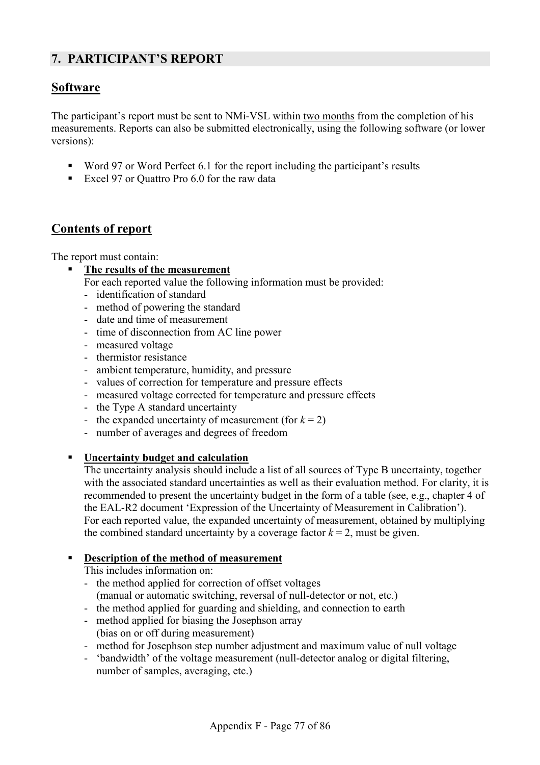# **7. PARTICIPANT'S REPORT**

# **Software**

The participant's report must be sent to NMi-VSL within two months from the completion of his measurements. Reports can also be submitted electronically, using the following software (or lower versions):

- Word 97 or Word Perfect 6.1 for the report including the participant's results
- Excel 97 or Ouattro Pro 6.0 for the raw data

### **Contents of report**

The report must contain:

- **The results of the measurement**
	- For each reported value the following information must be provided:
	- identification of standard
	- method of powering the standard
	- date and time of measurement
	- time of disconnection from AC line power
	- measured voltage
	- thermistor resistance
	- ambient temperature, humidity, and pressure
	- values of correction for temperature and pressure effects
	- measured voltage corrected for temperature and pressure effects
	- the Type A standard uncertainty
	- the expanded uncertainty of measurement (for  $k = 2$ )
	- number of averages and degrees of freedom

### **Uncertainty budget and calculation**

The uncertainty analysis should include a list of all sources of Type B uncertainty, together with the associated standard uncertainties as well as their evaluation method. For clarity, it is recommended to present the uncertainty budget in the form of a table (see, e.g., chapter 4 of the EAL-R2 document 'Expression of the Uncertainty of Measurement in Calibration'). For each reported value, the expanded uncertainty of measurement, obtained by multiplying the combined standard uncertainty by a coverage factor  $k = 2$ , must be given.

#### **Description of the method of measurement**

This includes information on:

- the method applied for correction of offset voltages (manual or automatic switching, reversal of null-detector or not, etc.)
- the method applied for guarding and shielding, and connection to earth
- method applied for biasing the Josephson array (bias on or off during measurement)
- method for Josephson step number adjustment and maximum value of null voltage
- 'bandwidth' of the voltage measurement (null-detector analog or digital filtering, number of samples, averaging, etc.)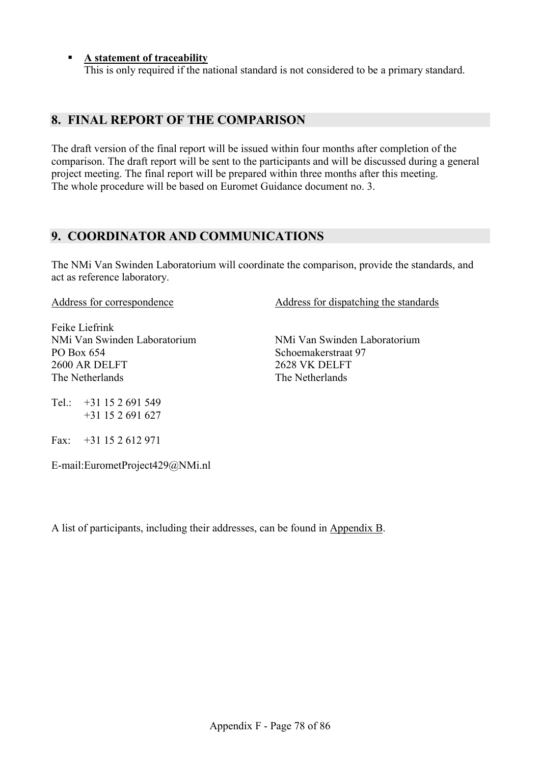#### **A statement of traceability**

This is only required if the national standard is not considered to be a primary standard.

### **8. FINAL REPORT OF THE COMPARISON**

The draft version of the final report will be issued within four months after completion of the comparison. The draft report will be sent to the participants and will be discussed during a general project meeting. The final report will be prepared within three months after this meeting. The whole procedure will be based on Euromet Guidance document no. 3.

### **9. COORDINATOR AND COMMUNICATIONS**

The NMi Van Swinden Laboratorium will coordinate the comparison, provide the standards, and act as reference laboratory.

Address for correspondence

Feike Liefrink NMi Van Swinden Laboratorium PO Box 654 2600 AR DELFT The Netherlands

Address for dispatching the standards

NMi Van Swinden Laboratorium Schoemakerstraat 97 2628 VK DELFT The Netherlands

Tel.  $+31$  15 2 691 549 +31 15 2 691 627

Fax: +31 15 2 612 971

E-mail:EurometProject429@NMi.nl

A list of participants, including their addresses, can be found in Appendix B.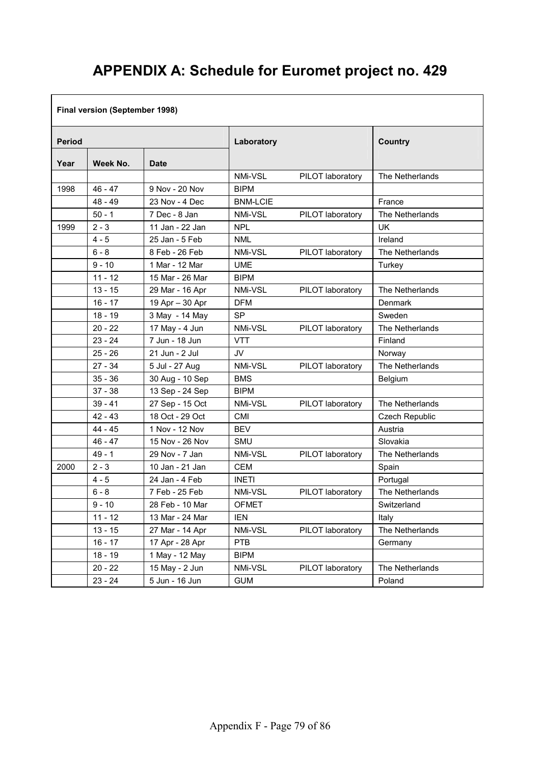# **APPENDIX A: Schedule for Euromet project no. 429**

### **Final version (September 1998)**

| <b>Period</b> |           | Laboratory      |                 | <b>Country</b>   |                 |
|---------------|-----------|-----------------|-----------------|------------------|-----------------|
| Year          | Week No.  | <b>Date</b>     |                 |                  |                 |
|               |           |                 | NMi-VSL         | PILOT laboratory | The Netherlands |
| 1998          | $46 - 47$ | 9 Nov - 20 Nov  | <b>BIPM</b>     |                  |                 |
|               | $48 - 49$ | 23 Nov - 4 Dec  | <b>BNM-LCIE</b> |                  | France          |
|               | $50 - 1$  | 7 Dec - 8 Jan   | NMi-VSL         | PILOT laboratory | The Netherlands |
| 1999          | $2 - 3$   | 11 Jan - 22 Jan | <b>NPL</b>      |                  | UK              |
|               | $4 - 5$   | 25 Jan - 5 Feb  | <b>NML</b>      |                  | Ireland         |
|               | $6 - 8$   | 8 Feb - 26 Feb  | NMi-VSL         | PILOT laboratory | The Netherlands |
|               | $9 - 10$  | 1 Mar - 12 Mar  | <b>UME</b>      |                  | Turkey          |
|               | $11 - 12$ | 15 Mar - 26 Mar | <b>BIPM</b>     |                  |                 |
|               | $13 - 15$ | 29 Mar - 16 Apr | NMi-VSL         | PILOT laboratory | The Netherlands |
|               | $16 - 17$ | 19 Apr - 30 Apr | <b>DFM</b>      |                  | Denmark         |
|               | $18 - 19$ | 3 May - 14 May  | <b>SP</b>       |                  | Sweden          |
|               | $20 - 22$ | 17 May - 4 Jun  | NMi-VSL         | PILOT laboratory | The Netherlands |
|               | $23 - 24$ | 7 Jun - 18 Jun  | <b>VTT</b>      |                  | Finland         |
|               | $25 - 26$ | 21 Jun - 2 Jul  | <b>JV</b>       |                  | Norway          |
|               | $27 - 34$ | 5 Jul - 27 Aug  | NMi-VSL         | PILOT laboratory | The Netherlands |
|               | $35 - 36$ | 30 Aug - 10 Sep | <b>BMS</b>      |                  | Belgium         |
|               | $37 - 38$ | 13 Sep - 24 Sep | <b>BIPM</b>     |                  |                 |
|               | $39 - 41$ | 27 Sep - 15 Oct | NMi-VSL         | PILOT laboratory | The Netherlands |
|               | $42 - 43$ | 18 Oct - 29 Oct | <b>CMI</b>      |                  | Czech Republic  |
|               | $44 - 45$ | 1 Nov - 12 Nov  | <b>BEV</b>      |                  | Austria         |
|               | $46 - 47$ | 15 Nov - 26 Nov | <b>SMU</b>      |                  | Slovakia        |
|               | $49 - 1$  | 29 Nov - 7 Jan  | NMi-VSL         | PILOT laboratory | The Netherlands |
| 2000          | $2 - 3$   | 10 Jan - 21 Jan | <b>CEM</b>      |                  | Spain           |
|               | $4 - 5$   | 24 Jan - 4 Feb  | <b>INETI</b>    |                  | Portugal        |
|               | $6 - 8$   | 7 Feb - 25 Feb  | NMi-VSL         | PILOT laboratory | The Netherlands |
|               | $9 - 10$  | 28 Feb - 10 Mar | <b>OFMET</b>    |                  | Switzerland     |
|               | $11 - 12$ | 13 Mar - 24 Mar | <b>IEN</b>      |                  | Italy           |
|               | $13 - 15$ | 27 Mar - 14 Apr | NMi-VSL         | PILOT laboratory | The Netherlands |
|               | $16 - 17$ | 17 Apr - 28 Apr | <b>PTB</b>      |                  | Germany         |
|               | $18 - 19$ | 1 May - 12 May  | <b>BIPM</b>     |                  |                 |
|               | $20 - 22$ | 15 May - 2 Jun  | NMi-VSL         | PILOT laboratory | The Netherlands |
|               | $23 - 24$ | 5 Jun - 16 Jun  | <b>GUM</b>      |                  | Poland          |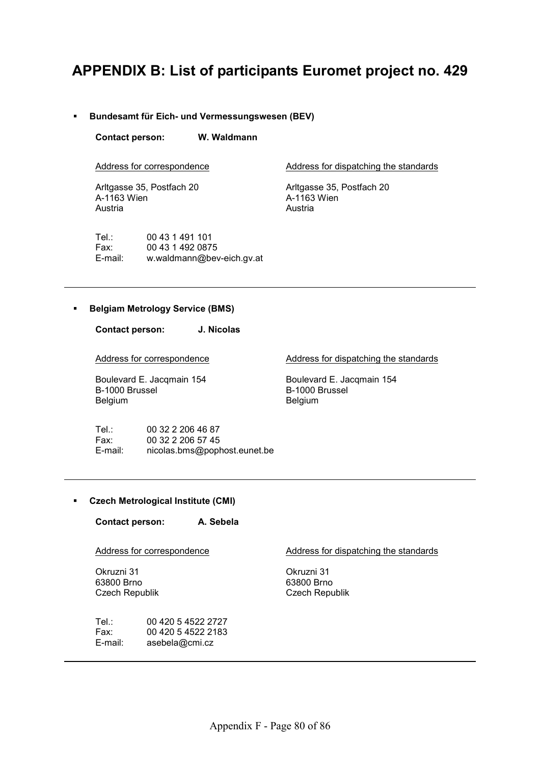# **APPENDIX B: List of participants Euromet project no. 429**

#### **Bundesamt für Eich- und Vermessungswesen (BEV)**

**Contact person: W. Waldmann** 

Address for correspondence

Arltgasse 35, Postfach 20 A-1163 Wien Austria

Tel.: 00 43 1 491 101 Fax: 00 43 1 492 0875 E-mail: w.waldmann@bev-eich.gv.at Address for dispatching the standards

Arltgasse 35, Postfach 20 A-1163 Wien Austria

#### **Belgiam Metrology Service (BMS)**

**Contact person: J. Nicolas** 

Address for correspondence

Boulevard E. Jacqmain 154 B-1000 Brussel Belgium

Address for dispatching the standards

Boulevard E. Jacqmain 154 B-1000 Brussel Belgium

Tel.: 00 32 2 206 46 87 Fax: 00 32 2 206 57 45 E-mail: nicolas.bms@pophost.eunet.be

#### **Czech Metrological Institute (CMI)**

**Contact person: A. Sebela** 

Address for correspondence

Okruzni 31 63800 Brno Czech Republik

Tel.: 00 420 5 4522 2727 Fax: 00 420 5 4522 2183 E-mail: asebela@cmi.cz

Address for dispatching the standards

Okruzni 31 63800 Brno Czech Republik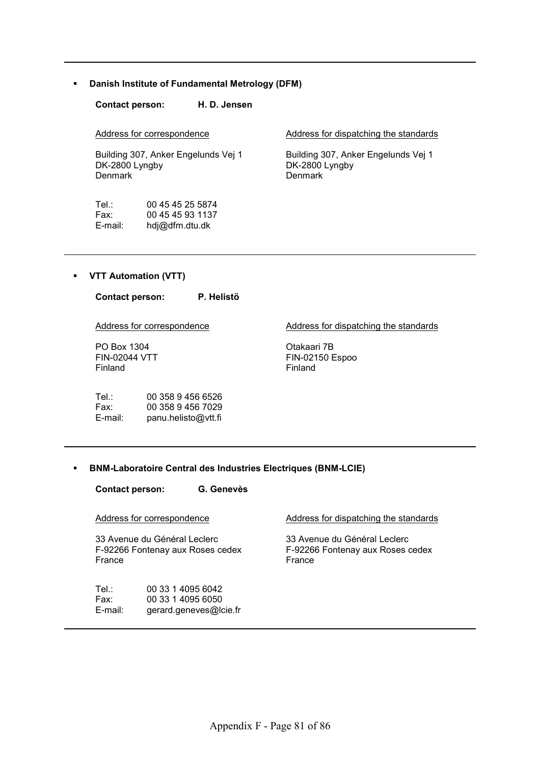**Danish Institute of Fundamental Metrology (DFM)** 

**Contact person: H. D. Jensen** 

Address for correspondence

Building 307, Anker Engelunds Vej 1 DK-2800 Lyngby Denmark

Tel.: 00 45 45 25 5874<br>Fax: 00 45 45 93 1137 00 45 45 93 1137 E-mail: hdj@dfm.dtu.dk

Address for dispatching the standards

Building 307, Anker Engelunds Vej 1 DK-2800 Lyngby Denmark

#### **VTT Automation (VTT)**

| <b>Contact person:</b>                         |                                                               | P. Helistö |                                           |
|------------------------------------------------|---------------------------------------------------------------|------------|-------------------------------------------|
|                                                | Address for correspondence                                    |            | Address for dispatching the standards     |
| PO Box 1304<br><b>FIN-02044 VTT</b><br>Finland |                                                               |            | Otakaari 7B<br>FIN-02150 Espoo<br>Finland |
| Tel :<br>Fax:<br>$E$ -mail:                    | 00 358 9 456 6526<br>00 358 9 456 7029<br>panu.helisto@vtt.fi |            |                                           |

**BNM-Laboratoire Central des Industries Electriques (BNM-LCIE)** 

**Contact person: G. Genevès** 

Address for correspondence 33 Avenue du Général Leclerc F-92266 Fontenay aux Roses cedex France Address for dispatching the standards 33 Avenue du Général Leclerc F-92266 Fontenay aux Roses cedex France Tel.: 00 33 1 4095 6042 Fax: 00 33 1 4095 6050 E-mail: gerard.geneves@lcie.fr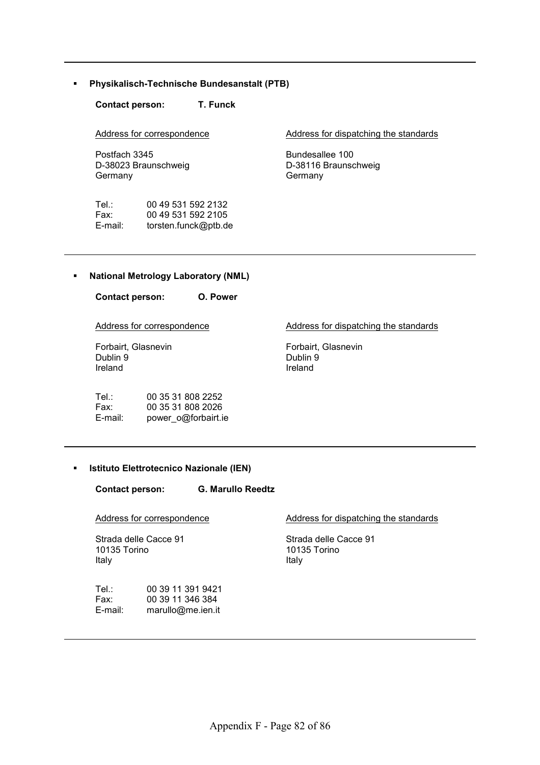**Physikalisch-Technische Bundesanstalt (PTB)** 

**Contact person: T. Funck** 

Address for correspondence

Postfach 3345 D-38023 Braunschweig Germany

| Tel∴    | 00 49 531 592 2132   |
|---------|----------------------|
| Fax:    | 00 49 531 592 2105   |
| E-mail: | torsten.funck@ptb.de |

Address for dispatching the standards

Bundesallee 100 D-38116 Braunschweig Germany

#### **National Metrology Laboratory (NML)**

**Contact person: O. Power**  Address for correspondence Forbairt, Glasnevin Dublin 9 Ireland Address for dispatching the standards Forbairt, Glasnevin Dublin 9 Ireland Tel.: 00 35 31 808 2252 Fax: 00 35 31 808 2026 E-mail: power\_o@forbairt.ie

#### **Istituto Elettrotecnico Nazionale (IEN)**

**Contact person: G. Marullo Reedtz** 

Address for correspondence

Strada delle Cacce 91 10135 Torino Italy

Tel.: 00 39 11 391 9421 Fax: 00 39 11 346 384 E-mail: marullo@me.ien.it

Address for dispatching the standards

Strada delle Cacce 91 10135 Torino Italy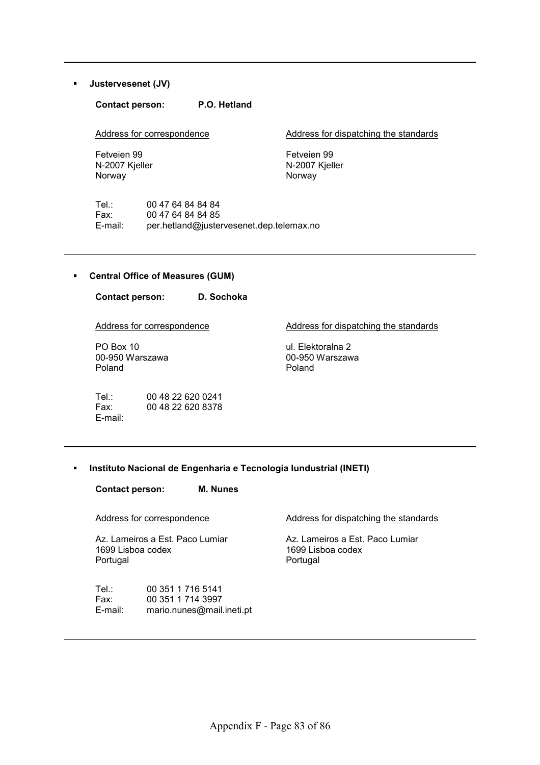#### **Justervesenet (JV)**

#### **Contact person: P.O. Hetland**

Address for correspondence

Address for dispatching the standards

Fetveien 99 N-2007 Kjeller Norway

Fetveien 99 N-2007 Kjeller Norway

Tel.: 00 47 64 84 84 84<br>Fax: 00 47 64 84 84 85 00 47 64 84 84 85 E-mail: per.hetland@justervesenet.dep.telemax.no

#### **Central Office of Measures (GUM)**

**Contact person: D. Sochoka**  Address for correspondence PO Box 10 00-950 Warszawa Poland

Tel.: 00 48 22 620 0241 Fax: 00 48 22 620 8378 E-mail:

Address for dispatching the standards

ul. Elektoralna 2 00-950 Warszawa Poland

#### **Instituto Nacional de Engenharia e Tecnologia Iundustrial (INETI)**

**Contact person: M. Nunes** 

Address for correspondence

Az. Lameiros a Est. Paco Lumiar 1699 Lisboa codex Portugal

Address for dispatching the standards

Az. Lameiros a Est. Paco Lumiar 1699 Lisboa codex Portugal

| Tel∴    | 00 351 1 716 5141         |
|---------|---------------------------|
| Fax:    | 00 351 1 714 3997         |
| E-mail: | mario.nunes@mail.ineti.pt |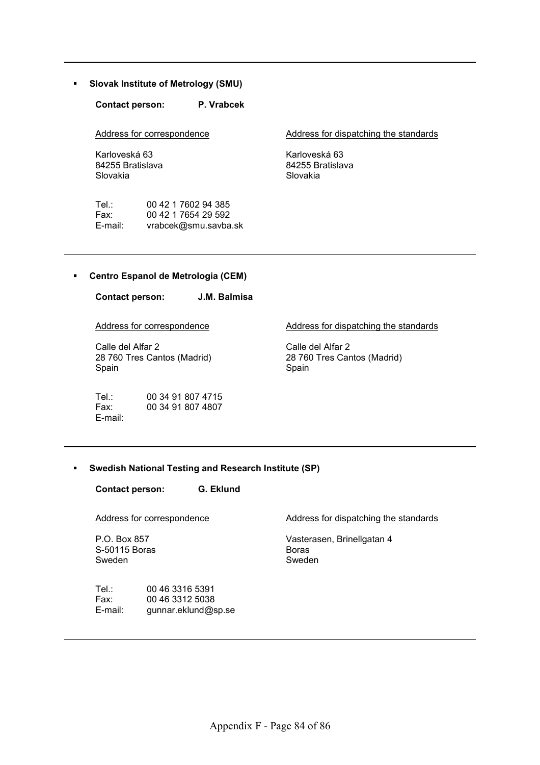**Slovak Institute of Metrology (SMU)** 

**Contact person: P. Vrabcek** 

Address for correspondence

Karloveská 63 84255 Bratislava Slovakia

Tel.: 00 42 1 7602 94 385<br>Fax: 00 42 1 7654 29 592 Fax: 00 42 1 7654 29 592<br>E-mail: vrabcek@smu.savba vrabcek@smu.savba.sk Address for dispatching the standards

Karloveská 63 84255 Bratislava Slovakia

#### **Centro Espanol de Metrologia (CEM)**

**Contact person: J.M. Balmisa** 

Address for correspondence

Calle del Alfar 2 28 760 Tres Cantos (Madrid) Spain

Tel.: 00 34 91 807 4715 Fax: 00 34 91 807 4807 E-mail:

Address for dispatching the standards

Calle del Alfar 2 28 760 Tres Cantos (Madrid) Spain

#### **Swedish National Testing and Research Institute (SP)**

**Contact person: G. Eklund** 

Address for correspondence

P.O. Box 857 S-50115 Boras Sweden

Tel.: 00 46 3316 5391 Fax: 00 46 3312 5038 E-mail: gunnar.eklund@sp.se Address for dispatching the standards

Vasterasen, Brinellgatan 4 Boras Sweden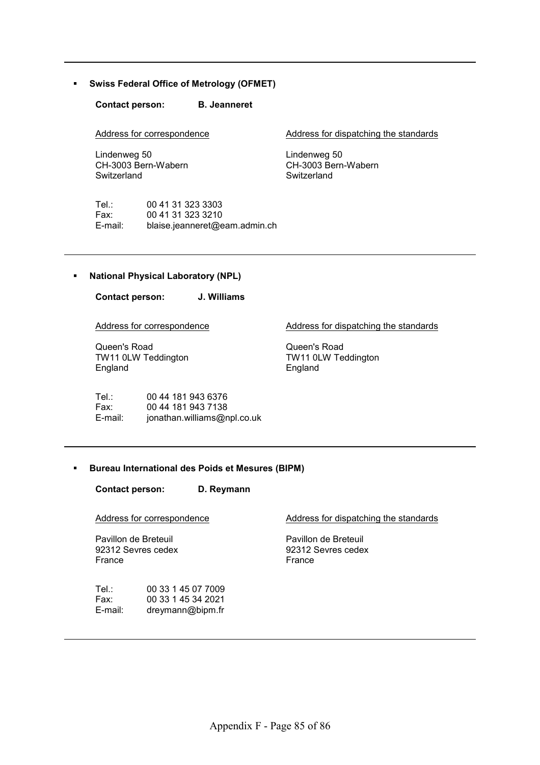#### **Swiss Federal Office of Metrology (OFMET)**

**Contact person: B. Jeanneret** 

Address for correspondence

Lindenweg 50 CH-3003 Bern-Wabern **Switzerland** 

Address for dispatching the standards

Lindenweg 50 CH-3003 Bern-Wabern **Switzerland** 

Tel.: 00 41 31 323 3303<br>Fax: 00 41 31 323 3210 Fax: 00 41 31 323 3210 E-mail: blaise.jeanneret@eam.admin.ch

#### **National Physical Laboratory (NPL)**

**Contact person: J. Williams** 

Address for correspondence

Queen's Road TW11 0LW Teddington England

Tel.: 00 44 181 943 6376 Fax: 00 44 181 943 7138 E-mail: jonathan.williams@npl.co.uk Address for dispatching the standards

Queen's Road TW11 0LW Teddington England

#### **Bureau International des Poids et Mesures (BIPM)**

**Contact person: D. Reymann** 

Address for correspondence

Pavillon de Breteuil 92312 Sevres cedex France

Tel.: 00 33 1 45 07 7009 Fax: 00 33 1 45 34 2021 E-mail: dreymann@bipm.fr

Address for dispatching the standards

Pavillon de Breteuil 92312 Sevres cedex France